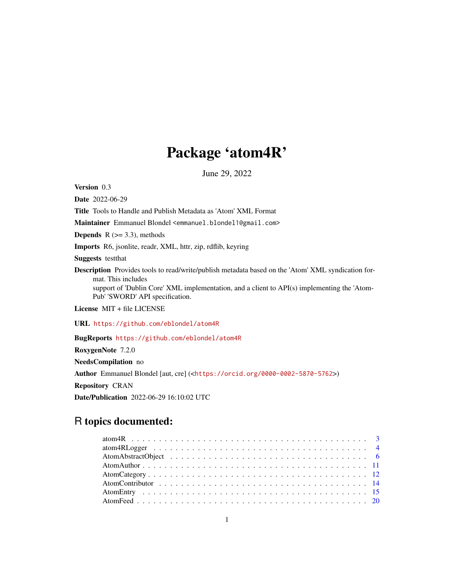# Package 'atom4R'

June 29, 2022

<span id="page-0-0"></span>Version 0.3

Date 2022-06-29

Title Tools to Handle and Publish Metadata as 'Atom' XML Format

Maintainer Emmanuel Blondel <emmanuel.blondel1@gmail.com>

**Depends** R  $(>= 3.3)$ , methods

Imports R6, jsonlite, readr, XML, httr, zip, rdflib, keyring

Suggests testthat

Description Provides tools to read/write/publish metadata based on the 'Atom' XML syndication format. This includes

support of 'Dublin Core' XML implementation, and a client to API(s) implementing the 'Atom-Pub' 'SWORD' API specification.

License MIT + file LICENSE

URL <https://github.com/eblondel/atom4R>

BugReports <https://github.com/eblondel/atom4R>

RoxygenNote 7.2.0

NeedsCompilation no Author Emmanuel Blondel [aut, cre] (<<https://orcid.org/0000-0002-5870-5762>>) Repository CRAN Date/Publication 2022-06-29 16:10:02 UTC

## R topics documented: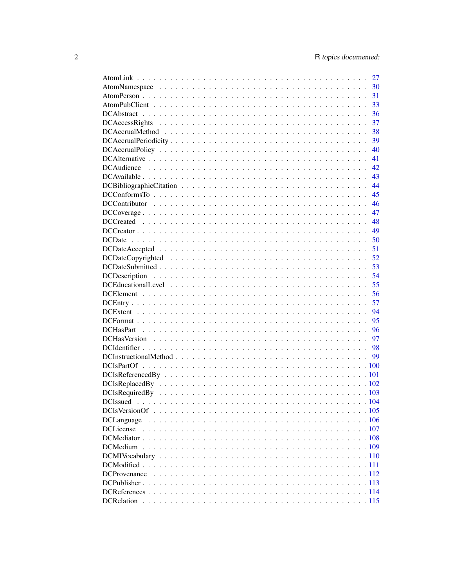| 27 |
|----|
| 30 |
| 31 |
| 33 |
| 36 |
| 37 |
| 38 |
| 39 |
| 40 |
| 41 |
| 42 |
| 43 |
| 44 |
|    |
| 45 |
| 46 |
| 47 |
| 48 |
| 49 |
| 50 |
| 51 |
| 52 |
| 53 |
| 54 |
| 55 |
| 56 |
| 57 |
| 94 |
| 95 |
| 96 |
| 97 |
|    |
|    |
|    |
|    |
|    |
|    |
|    |
|    |
|    |
|    |
|    |
|    |
|    |
|    |
|    |
|    |
|    |
|    |
|    |
|    |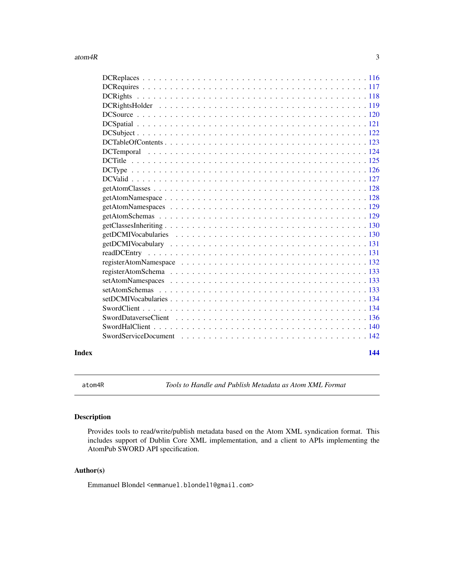#### <span id="page-2-0"></span>atom $4R$  3

#### **Index** 2008 **[144](#page-143-0)**

atom4R *Tools to Handle and Publish Metadata as Atom XML Format*

## Description

Provides tools to read/write/publish metadata based on the Atom XML syndication format. This includes support of Dublin Core XML implementation, and a client to APIs implementing the AtomPub SWORD API specification.

#### Author(s)

Emmanuel Blondel <emmanuel.blondel1@gmail.com>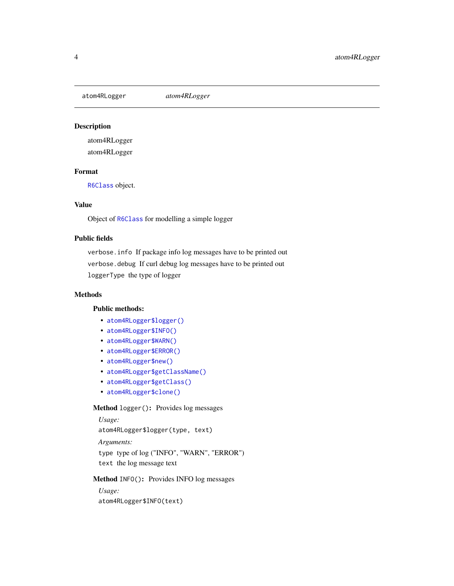<span id="page-3-0"></span>

## Description

atom4RLogger

atom4RLogger

## Format

[R6Class](#page-0-0) object.

#### Value

Object of [R6Class](#page-0-0) for modelling a simple logger

## Public fields

verbose.info If package info log messages have to be printed out verbose.debug If curl debug log messages have to be printed out loggerType the type of logger

#### Methods

#### Public methods:

- [atom4RLogger\\$logger\(\)](#page-3-1)
- [atom4RLogger\\$INFO\(\)](#page-3-2)
- [atom4RLogger\\$WARN\(\)](#page-4-0)
- [atom4RLogger\\$ERROR\(\)](#page-4-1)
- [atom4RLogger\\$new\(\)](#page-4-2)
- [atom4RLogger\\$getClassName\(\)](#page-4-3)
- [atom4RLogger\\$getClass\(\)](#page-4-4)
- [atom4RLogger\\$clone\(\)](#page-4-5)

#### <span id="page-3-1"></span>Method logger(): Provides log messages

*Usage:* atom4RLogger\$logger(type, text) *Arguments:* type type of log ("INFO", "WARN", "ERROR") text the log message text

<span id="page-3-2"></span>Method INFO(): Provides INFO log messages

*Usage:* atom4RLogger\$INFO(text)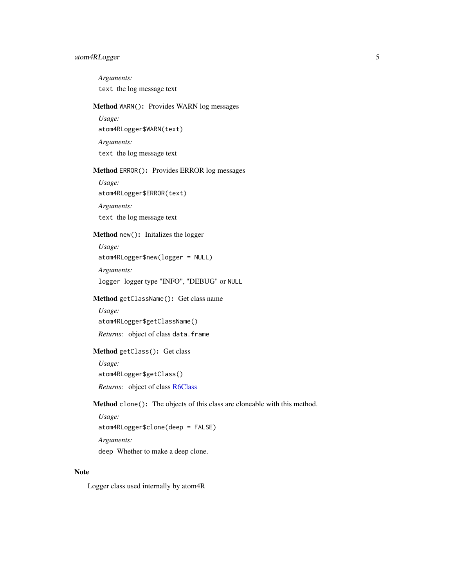## atom4RLogger 5

*Arguments:* text the log message text

## <span id="page-4-0"></span>Method WARN(): Provides WARN log messages

*Usage:* atom4RLogger\$WARN(text) *Arguments:* text the log message text

## <span id="page-4-1"></span>Method ERROR(): Provides ERROR log messages

*Usage:* atom4RLogger\$ERROR(text) *Arguments:* text the log message text

#### <span id="page-4-2"></span>Method new(): Initalizes the logger

*Usage:* atom4RLogger\$new(logger = NULL) *Arguments:*

logger logger type "INFO", "DEBUG" or NULL

## <span id="page-4-3"></span>Method getClassName(): Get class name

*Usage:* atom4RLogger\$getClassName() *Returns:* object of class data.frame

## <span id="page-4-4"></span>Method getClass(): Get class

*Usage:* atom4RLogger\$getClass() *Returns:* object of class [R6Class](#page-0-0)

<span id="page-4-5"></span>Method clone(): The objects of this class are cloneable with this method.

*Usage:* atom4RLogger\$clone(deep = FALSE) *Arguments:* deep Whether to make a deep clone.

## Note

Logger class used internally by atom4R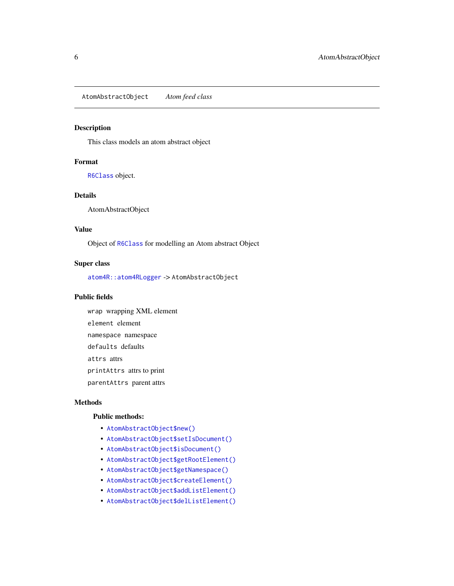#### <span id="page-5-1"></span><span id="page-5-0"></span>Description

This class models an atom abstract object

#### Format

[R6Class](#page-0-0) object.

#### Details

AtomAbstractObject

#### Value

Object of [R6Class](#page-0-0) for modelling an Atom abstract Object

#### Super class

[atom4R::atom4RLogger](#page-0-0) -> AtomAbstractObject

#### Public fields

wrap wrapping XML element element element namespace namespace defaults defaults attrs attrs printAttrs attrs to print parentAttrs parent attrs

## Methods

#### Public methods:

- [AtomAbstractObject\\$new\(\)](#page-6-0)
- [AtomAbstractObject\\$setIsDocument\(\)](#page-6-1)
- [AtomAbstractObject\\$isDocument\(\)](#page-6-2)
- [AtomAbstractObject\\$getRootElement\(\)](#page-6-3)
- [AtomAbstractObject\\$getNamespace\(\)](#page-7-0)
- [AtomAbstractObject\\$createElement\(\)](#page-7-1)
- [AtomAbstractObject\\$addListElement\(\)](#page-7-2)
- [AtomAbstractObject\\$delListElement\(\)](#page-7-3)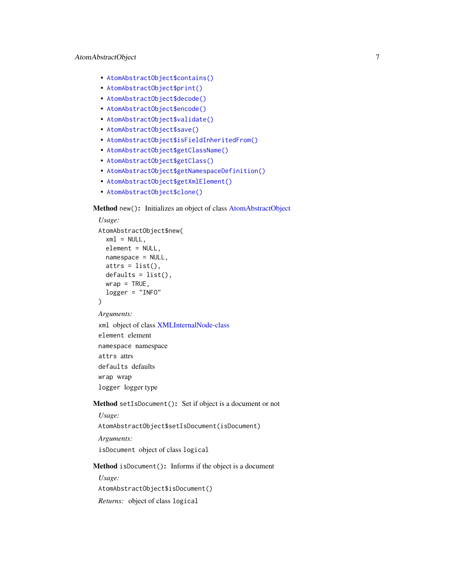- [AtomAbstractObject\\$contains\(\)](#page-7-4)
- [AtomAbstractObject\\$print\(\)](#page-7-5)
- [AtomAbstractObject\\$decode\(\)](#page-8-0)
- [AtomAbstractObject\\$encode\(\)](#page-8-1)
- [AtomAbstractObject\\$validate\(\)](#page-8-2)
- [AtomAbstractObject\\$save\(\)](#page-8-3)
- [AtomAbstractObject\\$isFieldInheritedFrom\(\)](#page-8-4)
- [AtomAbstractObject\\$getClassName\(\)](#page-9-0)
- [AtomAbstractObject\\$getClass\(\)](#page-9-1)
- [AtomAbstractObject\\$getNamespaceDefinition\(\)](#page-9-2)
- [AtomAbstractObject\\$getXmlElement\(\)](#page-9-3)
- [AtomAbstractObject\\$clone\(\)](#page-9-4)

## <span id="page-6-0"></span>Method new(): Initializes an object of class [AtomAbstractObject](#page-5-1)

```
Usage:
AtomAbstractObject$new(
  xml = NULL,element = NULL,
  namespace = NULL,
  atts = list(),
 defaults = list(),wrap = TRUE,
  logger = "INFO"
)
Arguments:
xml object of class XMLInternalNode-class
element element
namespace namespace
attrs attrs
defaults defaults
wrap wrap
logger logger type
```
#### <span id="page-6-1"></span>Method setIsDocument(): Set if object is a document or not

*Usage:*

AtomAbstractObject\$setIsDocument(isDocument)

*Arguments:*

isDocument object of class logical

#### <span id="page-6-2"></span>Method isDocument(): Informs if the object is a document

<span id="page-6-3"></span>*Usage:* AtomAbstractObject\$isDocument() *Returns:* object of class logical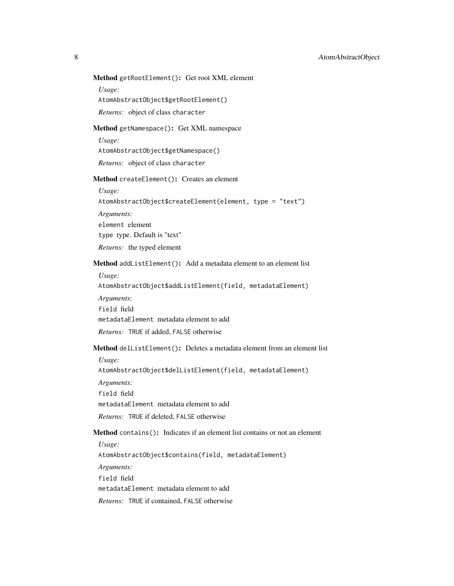Method getRootElement(): Get root XML element

*Usage:*

AtomAbstractObject\$getRootElement()

*Returns:* object of class character

#### <span id="page-7-0"></span>Method getNamespace(): Get XML namespace

*Usage:*

AtomAbstractObject\$getNamespace()

*Returns:* object of class character

<span id="page-7-1"></span>Method createElement(): Creates an element

*Usage:*

AtomAbstractObject\$createElement(element, type = "text")

*Arguments:*

element element

type type. Default is "text"

*Returns:* the typed element

#### <span id="page-7-2"></span>Method addListElement(): Add a metadata element to an element list

*Usage:*

AtomAbstractObject\$addListElement(field, metadataElement)

- *Arguments:*
- field field

metadataElement metadata element to add

*Returns:* TRUE if added, FALSE otherwise

#### <span id="page-7-3"></span>Method delListElement(): Deletes a metadata element from an element list

*Usage:*

AtomAbstractObject\$delListElement(field, metadataElement)

*Arguments:*

field field

metadataElement metadata element to add

*Returns:* TRUE if deleted, FALSE otherwise

## <span id="page-7-4"></span>Method contains(): Indicates if an element list contains or not an element

*Usage:*

AtomAbstractObject\$contains(field, metadataElement)

*Arguments:*

field field

metadataElement metadata element to add

<span id="page-7-5"></span>*Returns:* TRUE if contained, FALSE otherwise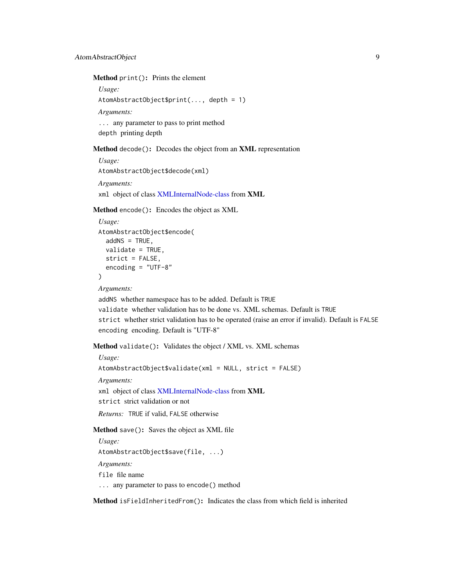Method print(): Prints the element

*Usage:*

AtomAbstractObject\$print(..., depth = 1)

*Arguments:*

... any parameter to pass to print method depth printing depth

<span id="page-8-0"></span>Method decode(): Decodes the object from an XML representation

*Usage:* AtomAbstractObject\$decode(xml) *Arguments:* xml object of class [XMLInternalNode-class](#page-0-0) from XML

<span id="page-8-1"></span>Method encode(): Encodes the object as XML

```
Usage:
AtomAbstractObject$encode(
 addNS = TRUE,validate = TRUE,
 strict = FALSE,
  encoding = "UTF-8"
\lambda
```
*Arguments:*

addNS whether namespace has to be added. Default is TRUE validate whether validation has to be done vs. XML schemas. Default is TRUE strict whether strict validation has to be operated (raise an error if invalid). Default is FALSE encoding encoding. Default is "UTF-8"

<span id="page-8-2"></span>Method validate(): Validates the object / XML vs. XML schemas

*Usage:*

AtomAbstractObject\$validate(xml = NULL, strict = FALSE)

*Arguments:*

xml object of class [XMLInternalNode-class](#page-0-0) from XML

strict strict validation or not

*Returns:* TRUE if valid, FALSE otherwise

<span id="page-8-3"></span>Method save(): Saves the object as XML file

```
Usage:
AtomAbstractObject$save(file, ...)
Arguments:
file file name
... any parameter to pass to encode() method
```
<span id="page-8-4"></span>Method isFieldInheritedFrom(): Indicates the class from which field is inherited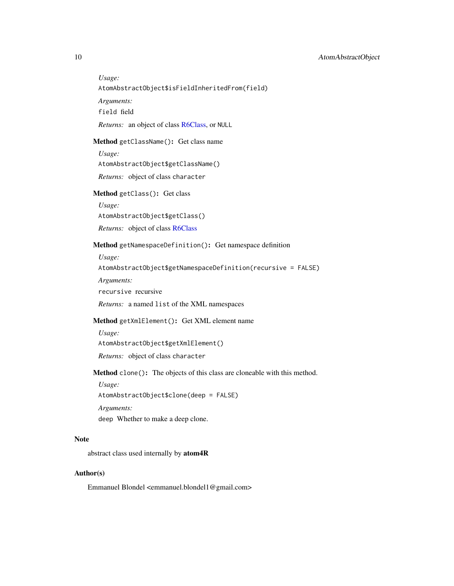*Usage:*

AtomAbstractObject\$isFieldInheritedFrom(field)

*Arguments:*

field field

*Returns:* an object of class [R6Class,](#page-0-0) or NULL

#### <span id="page-9-0"></span>Method getClassName(): Get class name

*Usage:*

AtomAbstractObject\$getClassName()

*Returns:* object of class character

#### <span id="page-9-1"></span>Method getClass(): Get class

*Usage:* AtomAbstractObject\$getClass() *Returns:* object of class [R6Class](#page-0-0)

#### <span id="page-9-2"></span>Method getNamespaceDefinition(): Get namespace definition

*Usage:*

AtomAbstractObject\$getNamespaceDefinition(recursive = FALSE)

*Arguments:*

recursive recursive

*Returns:* a named list of the XML namespaces

## <span id="page-9-3"></span>Method getXmlElement(): Get XML element name

*Usage:*

AtomAbstractObject\$getXmlElement()

*Returns:* object of class character

<span id="page-9-4"></span>Method clone(): The objects of this class are cloneable with this method.

*Usage:*

AtomAbstractObject\$clone(deep = FALSE)

*Arguments:*

deep Whether to make a deep clone.

#### Note

abstract class used internally by atom4R

#### Author(s)

Emmanuel Blondel <emmanuel.blondel1@gmail.com>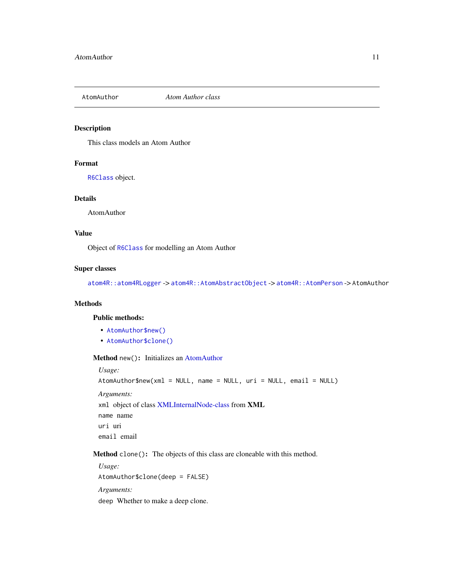<span id="page-10-3"></span><span id="page-10-0"></span>

#### Description

This class models an Atom Author

## Format

[R6Class](#page-0-0) object.

#### Details

AtomAuthor

#### Value

Object of [R6Class](#page-0-0) for modelling an Atom Author

## Super classes

[atom4R::atom4RLogger](#page-0-0) -> [atom4R::AtomAbstractObject](#page-0-0) -> [atom4R::AtomPerson](#page-0-0) -> AtomAuthor

## Methods

## Public methods:

- [AtomAuthor\\$new\(\)](#page-10-1)
- [AtomAuthor\\$clone\(\)](#page-10-2)

## <span id="page-10-1"></span>Method new(): Initializes an [AtomAuthor](#page-10-3)

*Usage:* AtomAuthor\$new(xml = NULL, name = NULL, uri = NULL, email = NULL) *Arguments:* xml object of class [XMLInternalNode-class](#page-0-0) from XML name name uri uri email email

<span id="page-10-2"></span>Method clone(): The objects of this class are cloneable with this method.

*Usage:* AtomAuthor\$clone(deep = FALSE) *Arguments:* deep Whether to make a deep clone.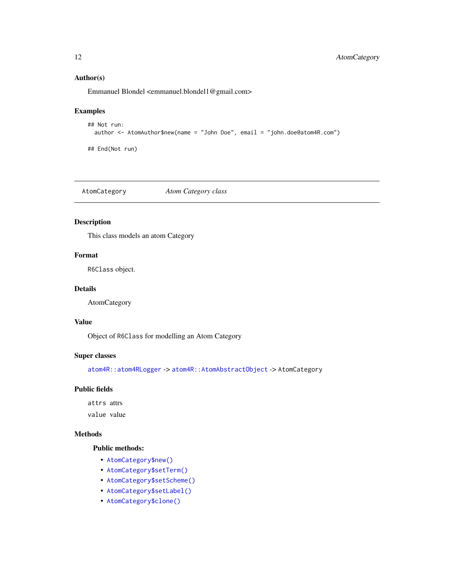## Author(s)

Emmanuel Blondel <emmanuel.blondel1@gmail.com>

## Examples

```
## Not run:
 author <- AtomAuthor$new(name = "John Doe", email = "john.doe@atom4R.com")
```
## End(Not run)

<span id="page-11-2"></span>AtomCategory *Atom Category class*

## Description

This class models an atom Category

## Format

R6Class object.

#### Details

AtomCategory

#### Value

Object of R6Class for modelling an Atom Category

#### Super classes

[atom4R::atom4RLogger](#page-0-0) -> [atom4R::AtomAbstractObject](#page-0-0) -> AtomCategory

#### Public fields

attrs attrs

value value

#### Methods

## Public methods:

- [AtomCategory\\$new\(\)](#page-11-1)
- [AtomCategory\\$setTerm\(\)](#page-12-0)
- [AtomCategory\\$setScheme\(\)](#page-12-1)
- [AtomCategory\\$setLabel\(\)](#page-12-2)
- <span id="page-11-1"></span>• [AtomCategory\\$clone\(\)](#page-12-3)

<span id="page-11-0"></span>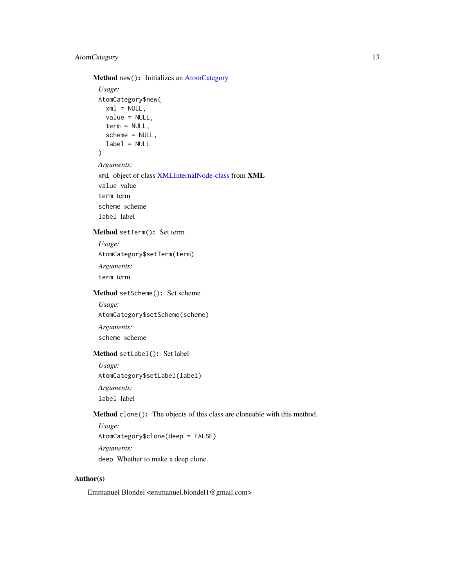## AtomCategory 13

Method new(): Initializes an [AtomCategory](#page-11-2)

```
Usage:
 AtomCategory$new(
   xml = NULL,value = NULL,
   term = NULL,
   scheme = NULL,
   label = NULL\mathcal{L}Arguments:
 xml object of class XMLInternalNode-class from XML
 value value
 term term
 scheme scheme
 label label
Method setTerm(): Set term
 Usage:
 AtomCategory$setTerm(term)
```
<span id="page-12-0"></span>*Arguments:* term term

## <span id="page-12-1"></span>Method setScheme(): Set scheme

*Usage:* AtomCategory\$setScheme(scheme) *Arguments:* scheme scheme

## <span id="page-12-2"></span>Method setLabel(): Set label

*Usage:* AtomCategory\$setLabel(label) *Arguments:* label label

## <span id="page-12-3"></span>Method clone(): The objects of this class are cloneable with this method.

*Usage:* AtomCategory\$clone(deep = FALSE) *Arguments:* deep Whether to make a deep clone.

#### Author(s)

Emmanuel Blondel <emmanuel.blondel1@gmail.com>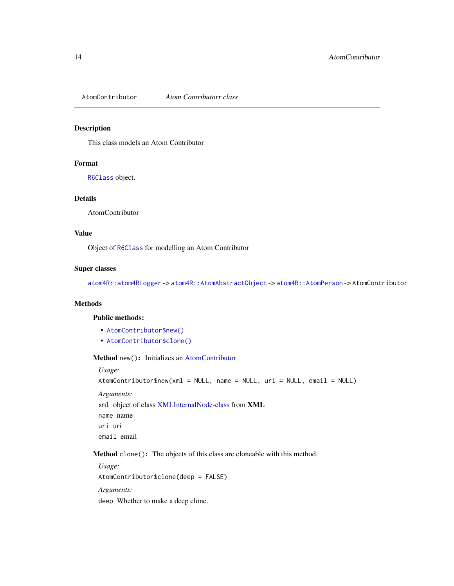<span id="page-13-3"></span><span id="page-13-0"></span>AtomContributor *Atom Contributorr class*

#### Description

This class models an Atom Contributor

#### Format

[R6Class](#page-0-0) object.

#### Details

AtomContributor

#### Value

Object of [R6Class](#page-0-0) for modelling an Atom Contributor

## Super classes

[atom4R::atom4RLogger](#page-0-0) -> [atom4R::AtomAbstractObject](#page-0-0) -> [atom4R::AtomPerson](#page-0-0) -> AtomContributor

## Methods

## Public methods:

- [AtomContributor\\$new\(\)](#page-13-1)
- [AtomContributor\\$clone\(\)](#page-13-2)

## <span id="page-13-1"></span>Method new(): Initializes an [AtomContributor](#page-13-3)

*Usage:*

AtomContributor\$new(xml = NULL, name = NULL, uri = NULL, email = NULL) *Arguments:* xml object of class [XMLInternalNode-class](#page-0-0) from XML name name uri uri email email

<span id="page-13-2"></span>Method clone(): The objects of this class are cloneable with this method.

*Usage:* AtomContributor\$clone(deep = FALSE) *Arguments:* deep Whether to make a deep clone.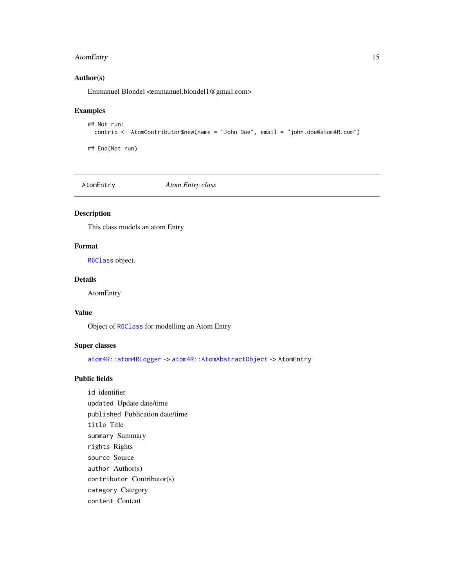## <span id="page-14-0"></span>Author(s)

Emmanuel Blondel <emmanuel.blondel1@gmail.com>

#### Examples

```
## Not run:
 contrib <- AtomContributor$new(name = "John Doe", email = "john.doe@atom4R.com")
```
## End(Not run)

<span id="page-14-1"></span>

AtomEntry *Atom Entry class*

## Description

This class models an atom Entry

#### Format

[R6Class](#page-0-0) object.

## Details

AtomEntry

#### Value

Object of [R6Class](#page-0-0) for modelling an Atom Entry

## Super classes

[atom4R::atom4RLogger](#page-0-0) -> [atom4R::AtomAbstractObject](#page-0-0) -> AtomEntry

## Public fields

id identifier updated Update date/time published Publication date/time title Title summary Summary rights Rights source Source author Author(s) contributor Contributor(s) category Category content Content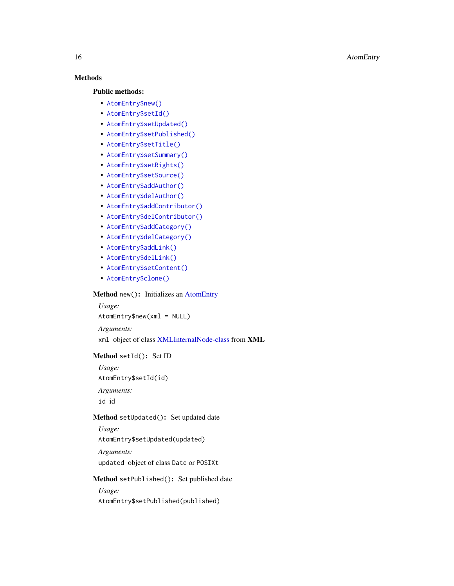## Methods

#### Public methods:

- [AtomEntry\\$new\(\)](#page-15-0)
- [AtomEntry\\$setId\(\)](#page-15-1)
- [AtomEntry\\$setUpdated\(\)](#page-15-2)
- [AtomEntry\\$setPublished\(\)](#page-15-3)
- [AtomEntry\\$setTitle\(\)](#page-16-0)
- [AtomEntry\\$setSummary\(\)](#page-16-1)
- [AtomEntry\\$setRights\(\)](#page-16-2)
- [AtomEntry\\$setSource\(\)](#page-16-3)
- [AtomEntry\\$addAuthor\(\)](#page-16-4)
- [AtomEntry\\$delAuthor\(\)](#page-16-5)
- [AtomEntry\\$addContributor\(\)](#page-17-0)
- [AtomEntry\\$delContributor\(\)](#page-17-1)
- [AtomEntry\\$addCategory\(\)](#page-17-2)
- [AtomEntry\\$delCategory\(\)](#page-17-3)
- [AtomEntry\\$addLink\(\)](#page-17-4)
- [AtomEntry\\$delLink\(\)](#page-18-0)
- [AtomEntry\\$setContent\(\)](#page-18-1)
- [AtomEntry\\$clone\(\)](#page-18-2)

#### <span id="page-15-0"></span>Method new(): Initializes an [AtomEntry](#page-14-1)

*Usage:* AtomEntry\$new(xml = NULL)

*Arguments:*

xml object of class [XMLInternalNode-class](#page-0-0) from XML

## <span id="page-15-1"></span>Method setId(): Set ID

*Usage:* AtomEntry\$setId(id) *Arguments:* id id

#### <span id="page-15-2"></span>Method setUpdated(): Set updated date

*Usage:*

AtomEntry\$setUpdated(updated)

*Arguments:* updated object of class Date or POSIXt

#### <span id="page-15-3"></span>Method setPublished(): Set published date

*Usage:*

AtomEntry\$setPublished(published)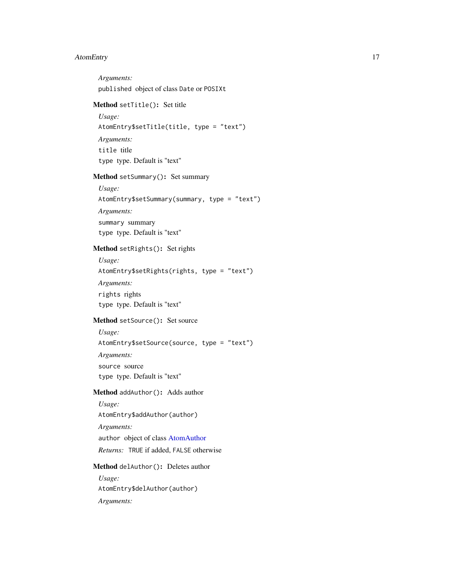*Arguments:* published object of class Date or POSIXt

## <span id="page-16-0"></span>Method setTitle(): Set title

*Usage:* AtomEntry\$setTitle(title, type = "text") *Arguments:* title title type type. Default is "text"

<span id="page-16-1"></span>Method setSummary(): Set summary

*Usage:* AtomEntry\$setSummary(summary, type = "text") *Arguments:* summary summary type type. Default is "text"

## <span id="page-16-2"></span>Method setRights(): Set rights

*Usage:* AtomEntry\$setRights(rights, type = "text") *Arguments:* rights rights type type. Default is "text"

<span id="page-16-3"></span>Method setSource(): Set source

*Usage:* AtomEntry\$setSource(source, type = "text") *Arguments:* source source type type. Default is "text"

<span id="page-16-4"></span>Method addAuthor(): Adds author

*Usage:* AtomEntry\$addAuthor(author) *Arguments:* author object of class [AtomAuthor](#page-10-3) *Returns:* TRUE if added, FALSE otherwise

<span id="page-16-5"></span>Method delAuthor(): Deletes author *Usage:* AtomEntry\$delAuthor(author) *Arguments:*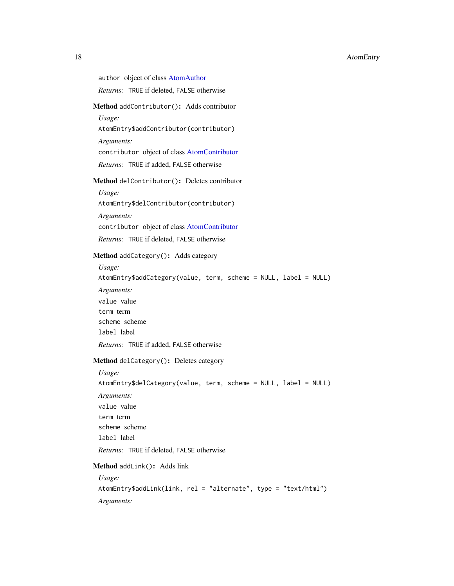author object of class [AtomAuthor](#page-10-3)

*Returns:* TRUE if deleted, FALSE otherwise

## <span id="page-17-0"></span>Method addContributor(): Adds contributor

*Usage:*

AtomEntry\$addContributor(contributor)

*Arguments:*

contributor object of class [AtomContributor](#page-13-3)

*Returns:* TRUE if added, FALSE otherwise

### <span id="page-17-1"></span>Method delContributor(): Deletes contributor

*Usage:* AtomEntry\$delContributor(contributor) *Arguments:*

contributor object of class [AtomContributor](#page-13-3)

*Returns:* TRUE if deleted, FALSE otherwise

## <span id="page-17-2"></span>Method addCategory(): Adds category

*Usage:* AtomEntry\$addCategory(value, term, scheme = NULL, label = NULL) *Arguments:* value value term term scheme scheme label label *Returns:* TRUE if added, FALSE otherwise

#### <span id="page-17-3"></span>Method delCategory(): Deletes category

*Usage:* AtomEntry\$delCategory(value, term, scheme = NULL, label = NULL) *Arguments:* value value term term scheme scheme label label *Returns:* TRUE if deleted, FALSE otherwise

## <span id="page-17-4"></span>Method addLink(): Adds link

*Usage:* AtomEntry\$addLink(link, rel = "alternate", type = "text/html") *Arguments:*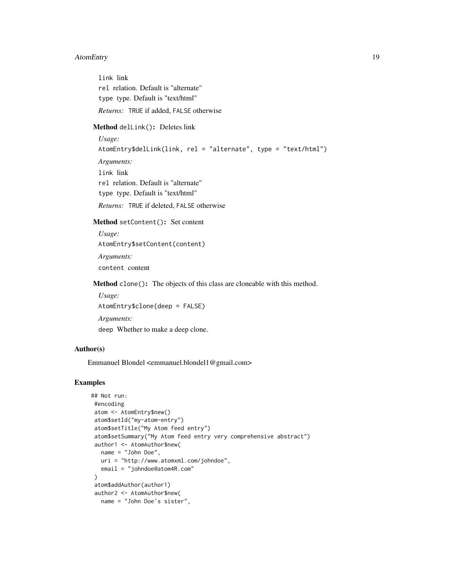link link rel relation. Default is "alternate" type type. Default is "text/html" *Returns:* TRUE if added, FALSE otherwise

<span id="page-18-0"></span>Method delLink(): Deletes link

*Usage:* AtomEntry\$delLink(link, rel = "alternate", type = "text/html") *Arguments:* link link rel relation. Default is "alternate" type type. Default is "text/html" *Returns:* TRUE if deleted, FALSE otherwise

#### <span id="page-18-1"></span>Method setContent(): Set content

*Usage:* AtomEntry\$setContent(content) *Arguments:* content content

<span id="page-18-2"></span>Method clone(): The objects of this class are cloneable with this method.

*Usage:* AtomEntry\$clone(deep = FALSE) *Arguments:*

deep Whether to make a deep clone.

## Author(s)

Emmanuel Blondel <emmanuel.blondel1@gmail.com>

## Examples

```
## Not run:
 #encoding
 atom <- AtomEntry$new()
 atom$setId("my-atom-entry")
 atom$setTitle("My Atom feed entry")
 atom$setSummary("My Atom feed entry very comprehensive abstract")
 author1 <- AtomAuthor$new(
  name = "John Doe",
  uri = "http://www.atomxml.com/johndoe",
  email = "johndoe@atom4R.com"
 \lambdaatom$addAuthor(author1)
 author2 <- AtomAuthor$new(
  name = "John Doe's sister",
```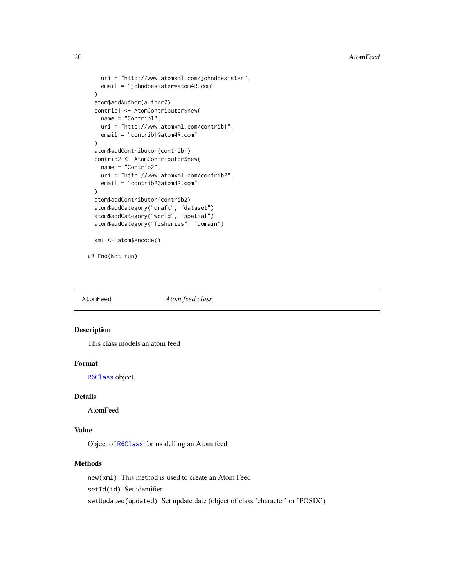```
uri = "http://www.atomxml.com/johndoesister",
   email = "johndoesister@atom4R.com"
 )
 atom$addAuthor(author2)
 contrib1 <- AtomContributor$new(
   name = "Contrib1",
   uri = "http://www.atomxml.com/contrib1",
   email = "contrib1@atom4R.com"
 \lambdaatom$addContributor(contrib1)
 contrib2 <- AtomContributor$new(
   name = "Contrib2",
   uri = "http://www.atomxml.com/contrib2",
   email = "contrib2@atom4R.com"
 )
 atom$addContributor(contrib2)
 atom$addCategory("draft", "dataset")
 atom$addCategory("world", "spatial")
 atom$addCategory("fisheries", "domain")
 xml <- atom$encode()
## End(Not run)
```
<span id="page-19-1"></span>AtomFeed *Atom feed class*

#### Description

This class models an atom feed

#### Format

[R6Class](#page-0-0) object.

## Details

AtomFeed

## Value

Object of [R6Class](#page-0-0) for modelling an Atom feed

## Methods

new(xml) This method is used to create an Atom Feed setId(id) Set identifier setUpdated(updated) Set update date (object of class 'character' or 'POSIX')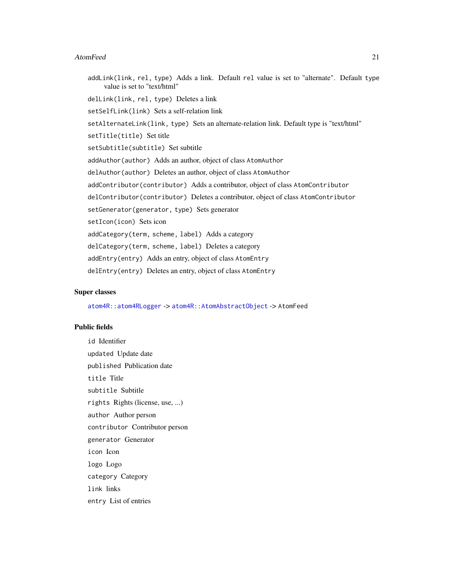addLink(link, rel, type) Adds a link. Default rel value is set to "alternate". Default type value is set to "text/html" delLink(link, rel, type) Deletes a link setSelfLink(link) Sets a self-relation link setAlternateLink(link, type) Sets an alternate-relation link. Default type is "text/html" setTitle(title) Set title setSubtitle(subtitle) Set subtitle addAuthor(author) Adds an author, object of class AtomAuthor delAuthor(author) Deletes an author, object of class AtomAuthor addContributor(contributor) Adds a contributor, object of class AtomContributor delContributor(contributor) Deletes a contributor, object of class AtomContributor setGenerator(generator, type) Sets generator setIcon(icon) Sets icon addCategory(term, scheme, label) Adds a category delCategory(term, scheme, label) Deletes a category addEntry(entry) Adds an entry, object of class AtomEntry delEntry(entry) Deletes an entry, object of class AtomEntry

#### Super classes

[atom4R::atom4RLogger](#page-0-0) -> [atom4R::AtomAbstractObject](#page-0-0) -> AtomFeed

#### Public fields

id Identifier updated Update date published Publication date title Title subtitle Subtitle rights Rights (license, use, ...) author Author person contributor Contributor person generator Generator icon Icon logo Logo category Category link links entry List of entries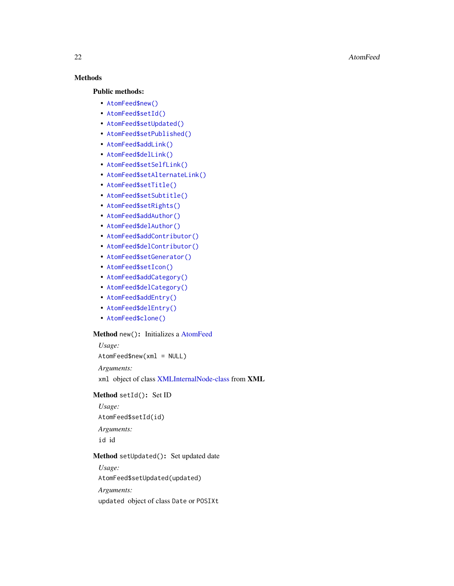## Methods

#### Public methods:

- [AtomFeed\\$new\(\)](#page-21-0)
- [AtomFeed\\$setId\(\)](#page-21-1)
- [AtomFeed\\$setUpdated\(\)](#page-21-2)
- [AtomFeed\\$setPublished\(\)](#page-21-3)
- [AtomFeed\\$addLink\(\)](#page-22-0)
- [AtomFeed\\$delLink\(\)](#page-22-1)
- [AtomFeed\\$setSelfLink\(\)](#page-22-2)
- [AtomFeed\\$setAlternateLink\(\)](#page-22-3)
- [AtomFeed\\$setTitle\(\)](#page-22-4)
- [AtomFeed\\$setSubtitle\(\)](#page-23-0)
- [AtomFeed\\$setRights\(\)](#page-23-1)
- [AtomFeed\\$addAuthor\(\)](#page-23-2)
- [AtomFeed\\$delAuthor\(\)](#page-23-3)
- [AtomFeed\\$addContributor\(\)](#page-23-4)
- [AtomFeed\\$delContributor\(\)](#page-23-5)
- [AtomFeed\\$setGenerator\(\)](#page-24-0)
- [AtomFeed\\$setIcon\(\)](#page-24-1)
- [AtomFeed\\$addCategory\(\)](#page-24-2)
- [AtomFeed\\$delCategory\(\)](#page-24-3)
- [AtomFeed\\$addEntry\(\)](#page-24-4)
- [AtomFeed\\$delEntry\(\)](#page-25-0)
- [AtomFeed\\$clone\(\)](#page-25-1)

## <span id="page-21-0"></span>Method new(): Initializes a [AtomFeed](#page-19-1)

*Usage:* AtomFeed\$new(xml = NULL) *Arguments:* xml object of class [XMLInternalNode-class](#page-0-0) from XML

## <span id="page-21-1"></span>Method setId(): Set ID

*Usage:*

AtomFeed\$setId(id)

*Arguments:*

id id

## <span id="page-21-2"></span>Method setUpdated(): Set updated date

*Usage:*

AtomFeed\$setUpdated(updated)

*Arguments:*

<span id="page-21-3"></span>updated object of class Date or POSIXt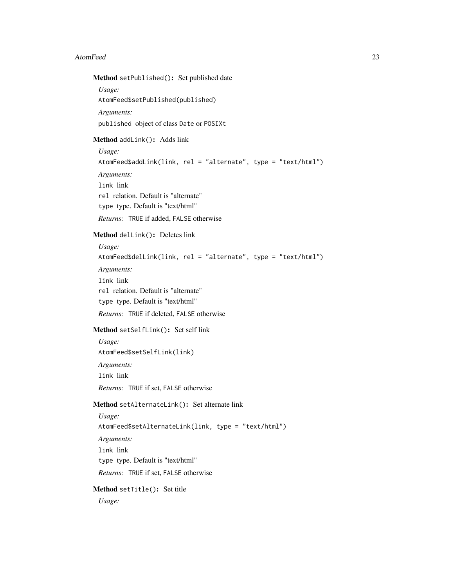#### Method setPublished(): Set published date

*Usage:* AtomFeed\$setPublished(published) *Arguments:* published object of class Date or POSIXt

#### <span id="page-22-0"></span>Method addLink(): Adds link

*Usage:* AtomFeed\$addLink(link, rel = "alternate", type = "text/html") *Arguments:* link link rel relation. Default is "alternate" type type. Default is "text/html" *Returns:* TRUE if added, FALSE otherwise

#### <span id="page-22-1"></span>Method delLink(): Deletes link

*Usage:* AtomFeed\$delLink(link, rel = "alternate", type = "text/html") *Arguments:* link link rel relation. Default is "alternate" type type. Default is "text/html" *Returns:* TRUE if deleted, FALSE otherwise Method setSelfLink(): Set self link

<span id="page-22-2"></span>*Usage:* AtomFeed\$setSelfLink(link) *Arguments:* link link *Returns:* TRUE if set, FALSE otherwise

#### <span id="page-22-3"></span>Method setAlternateLink(): Set alternate link

*Usage:* AtomFeed\$setAlternateLink(link, type = "text/html") *Arguments:* link link type type. Default is "text/html" *Returns:* TRUE if set, FALSE otherwise

## <span id="page-22-4"></span>Method setTitle(): Set title

*Usage:*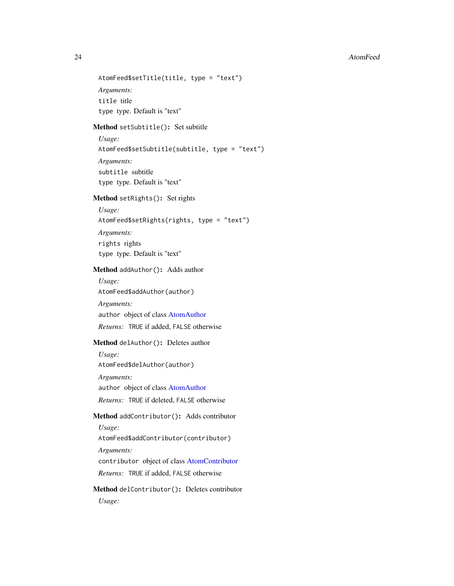```
AtomFeed$setTitle(title, type = "text")
Arguments:
title title
type type. Default is "text"
```
<span id="page-23-0"></span>Method setSubtitle(): Set subtitle

*Usage:* AtomFeed\$setSubtitle(subtitle, type = "text") *Arguments:* subtitle subtitle type type. Default is "text"

<span id="page-23-1"></span>Method setRights(): Set rights

*Usage:* AtomFeed\$setRights(rights, type = "text") *Arguments:* rights rights type type. Default is "text"

<span id="page-23-2"></span>Method addAuthor(): Adds author

*Usage:* AtomFeed\$addAuthor(author) *Arguments:* author object of class [AtomAuthor](#page-10-3) *Returns:* TRUE if added, FALSE otherwise

#### <span id="page-23-3"></span>Method delAuthor(): Deletes author

*Usage:* AtomFeed\$delAuthor(author) *Arguments:* author object of class [AtomAuthor](#page-10-3) *Returns:* TRUE if deleted, FALSE otherwise

<span id="page-23-4"></span>Method addContributor(): Adds contributor

*Usage:*

AtomFeed\$addContributor(contributor)

*Arguments:*

contributor object of class [AtomContributor](#page-13-3)

*Returns:* TRUE if added, FALSE otherwise

<span id="page-23-5"></span>Method delContributor(): Deletes contributor *Usage:*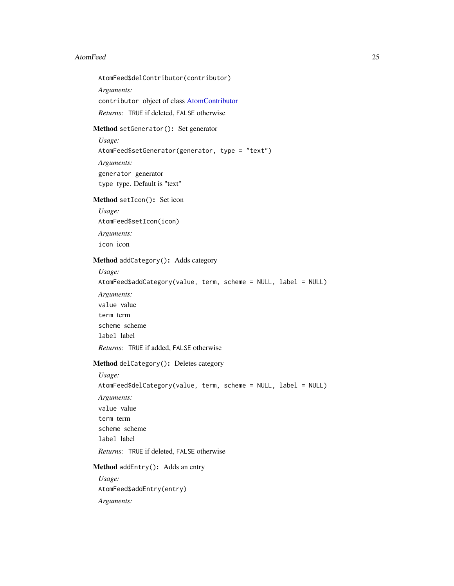AtomFeed\$delContributor(contributor)

*Arguments:*

contributor object of class [AtomContributor](#page-13-3)

*Returns:* TRUE if deleted, FALSE otherwise

#### <span id="page-24-0"></span>Method setGenerator(): Set generator

*Usage:* AtomFeed\$setGenerator(generator, type = "text") *Arguments:* generator generator type type. Default is "text"

## <span id="page-24-1"></span>Method setIcon(): Set icon

*Usage:* AtomFeed\$setIcon(icon) *Arguments:* icon icon

## <span id="page-24-2"></span>Method addCategory(): Adds category

*Usage:* AtomFeed\$addCategory(value, term, scheme = NULL, label = NULL) *Arguments:* value value term term scheme scheme label label *Returns:* TRUE if added, FALSE otherwise

## <span id="page-24-3"></span>Method delCategory(): Deletes category

*Usage:* AtomFeed\$delCategory(value, term, scheme = NULL, label = NULL) *Arguments:* value value term term scheme scheme label label *Returns:* TRUE if deleted, FALSE otherwise Method addEntry(): Adds an entry

<span id="page-24-4"></span>*Usage:* AtomFeed\$addEntry(entry) *Arguments:*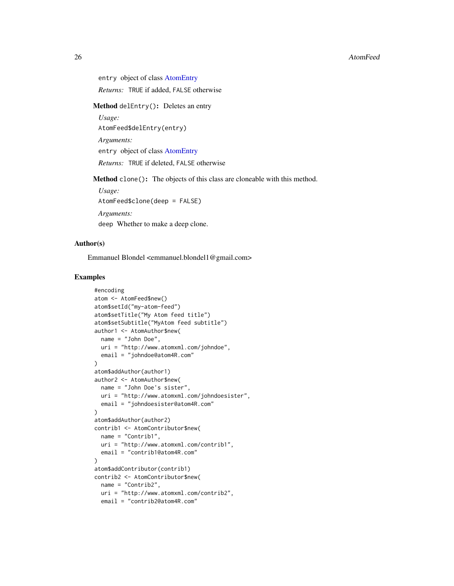entry object of class [AtomEntry](#page-14-1)

*Returns:* TRUE if added, FALSE otherwise

<span id="page-25-0"></span>Method delEntry(): Deletes an entry

*Usage:*

AtomFeed\$delEntry(entry)

*Arguments:*

entry object of class [AtomEntry](#page-14-1)

*Returns:* TRUE if deleted, FALSE otherwise

<span id="page-25-1"></span>Method clone(): The objects of this class are cloneable with this method.

*Usage:*

AtomFeed\$clone(deep = FALSE)

*Arguments:*

deep Whether to make a deep clone.

## Author(s)

Emmanuel Blondel <emmanuel.blondel1@gmail.com>

#### Examples

```
#encoding
atom <- AtomFeed$new()
atom$setId("my-atom-feed")
atom$setTitle("My Atom feed title")
atom$setSubtitle("MyAtom feed subtitle")
author1 <- AtomAuthor$new(
 name = "John Doe",
 uri = "http://www.atomxml.com/johndoe",
  email = "johndoe@atom4R.com"
)
atom$addAuthor(author1)
author2 <- AtomAuthor$new(
 name = "John Doe's sister",
 uri = "http://www.atomxml.com/johndoesister",
  email = "johndoesister@atom4R.com"
\mathcal{L}atom$addAuthor(author2)
contrib1 <- AtomContributor$new(
 name = "Contrib1",
 uri = "http://www.atomxml.com/contrib1",
 email = "contrib1@atom4R.com"
)
atom$addContributor(contrib1)
contrib2 <- AtomContributor$new(
 name = "Contrib2",
 uri = "http://www.atomxml.com/contrib2",
  email = "contrib2@atom4R.com"
```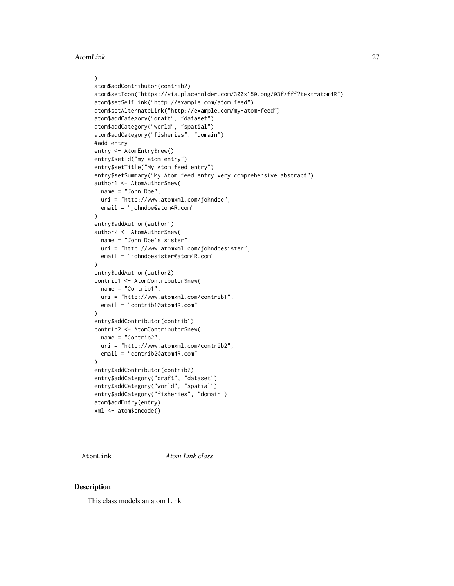```
)
atom$addContributor(contrib2)
atom$setIcon("https://via.placeholder.com/300x150.png/03f/fff?text=atom4R")
atom$setSelfLink("http://example.com/atom.feed")
atom$setAlternateLink("http://example.com/my-atom-feed")
atom$addCategory("draft", "dataset")
atom$addCategory("world", "spatial")
atom$addCategory("fisheries", "domain")
#add entry
entry <- AtomEntry$new()
entry$setId("my-atom-entry")
entry$setTitle("My Atom feed entry")
entry$setSummary("My Atom feed entry very comprehensive abstract")
author1 <- AtomAuthor$new(
  name = "John Doe",
 uri = "http://www.atomxml.com/johndoe",
  email = "johndoe@atom4R.com"
)
entry$addAuthor(author1)
author2 <- AtomAuthor$new(
 name = "John Doe's sister",
 uri = "http://www.atomxml.com/johndoesister",
 email = "johndoesister@atom4R.com"
)
entry$addAuthor(author2)
contrib1 <- AtomContributor$new(
 name = "Contrib1",
 uri = "http://www.atomxml.com/contrib1",
  email = "contrib1@atom4R.com"
)
entry$addContributor(contrib1)
contrib2 <- AtomContributor$new(
 name = "Contrib2",
 uri = "http://www.atomxml.com/contrib2",
  email = "contrib2@atom4R.com"
\lambdaentry$addContributor(contrib2)
entry$addCategory("draft", "dataset")
entry$addCategory("world", "spatial")
entry$addCategory("fisheries", "domain")
atom$addEntry(entry)
xml <- atom$encode()
```
<span id="page-26-1"></span>AtomLink *Atom Link class*

#### Description

This class models an atom Link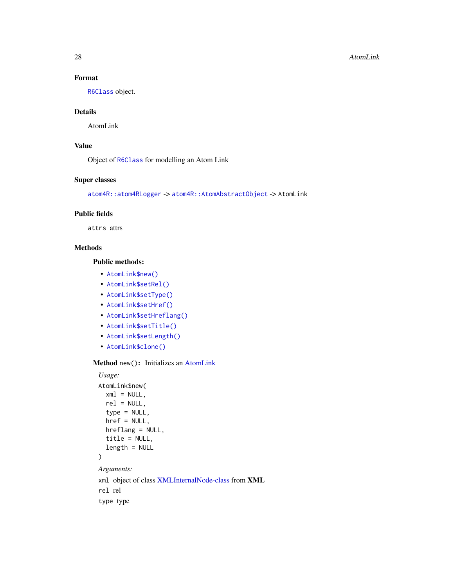#### 28 AtomLink

## Format

[R6Class](#page-0-0) object.

## Details

AtomLink

## Value

Object of [R6Class](#page-0-0) for modelling an Atom Link

## Super classes

[atom4R::atom4RLogger](#page-0-0) -> [atom4R::AtomAbstractObject](#page-0-0) -> AtomLink

#### Public fields

attrs attrs

## Methods

Public methods:

- [AtomLink\\$new\(\)](#page-27-0)
- [AtomLink\\$setRel\(\)](#page-28-0)
- [AtomLink\\$setType\(\)](#page-28-1)
- [AtomLink\\$setHref\(\)](#page-28-2)
- [AtomLink\\$setHreflang\(\)](#page-28-3)
- [AtomLink\\$setTitle\(\)](#page-28-4)
- [AtomLink\\$setLength\(\)](#page-28-5)
- [AtomLink\\$clone\(\)](#page-28-6)

## <span id="page-27-0"></span>Method new(): Initializes an [AtomLink](#page-26-1)

```
Usage:
AtomLink$new(
  xml = NULL,rel = NULL,type = NULL,href = NULL,
  hreflang = NULL,
  title = NULL,
  length = NULL
)
Arguments:
xml object of class XMLInternalNode-class from XML
rel rel
```
type type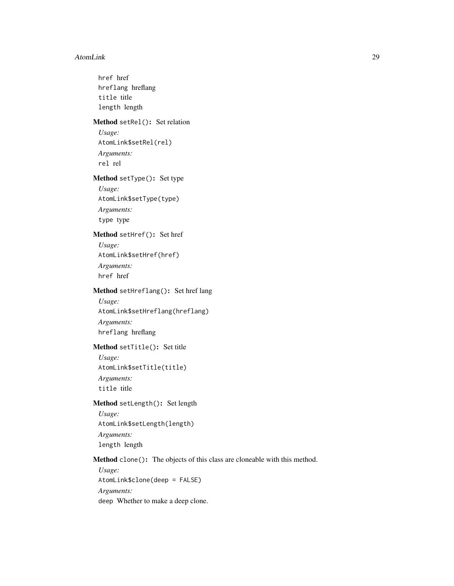#### AtomLink 29

<span id="page-28-6"></span><span id="page-28-5"></span><span id="page-28-4"></span><span id="page-28-3"></span><span id="page-28-2"></span><span id="page-28-1"></span><span id="page-28-0"></span>href href hreflang hreflang title title length length Method setRel(): Set relation *Usage:* AtomLink\$setRel(rel) *Arguments:* rel rel Method setType(): Set type *Usage:* AtomLink\$setType(type) *Arguments:* type type Method setHref(): Set href *Usage:* AtomLink\$setHref(href) *Arguments:* href href Method setHreflang(): Set href lang *Usage:* AtomLink\$setHreflang(hreflang) *Arguments:* hreflang hreflang Method setTitle(): Set title *Usage:* AtomLink\$setTitle(title) *Arguments:* title title Method setLength(): Set length *Usage:* AtomLink\$setLength(length) *Arguments:* length length Method clone(): The objects of this class are cloneable with this method. *Usage:* AtomLink\$clone(deep = FALSE) *Arguments:* deep Whether to make a deep clone.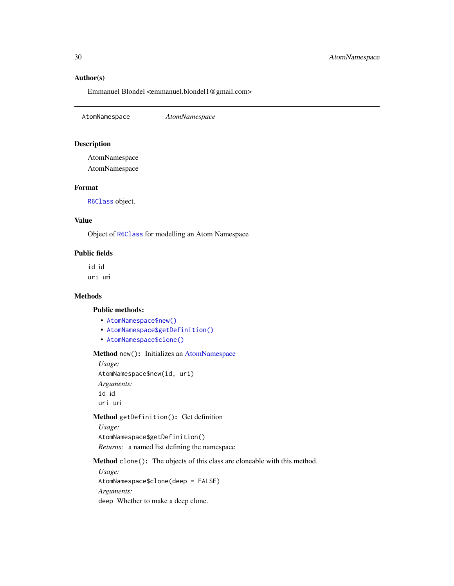## <span id="page-29-0"></span>Author(s)

Emmanuel Blondel <emmanuel.blondel1@gmail.com>

<span id="page-29-4"></span>AtomNamespace *AtomNamespace*

#### Description

AtomNamespace AtomNamespace

## Format

[R6Class](#page-0-0) object.

## Value

Object of [R6Class](#page-0-0) for modelling an Atom Namespace

## Public fields

id id uri uri

#### Methods

#### Public methods:

- [AtomNamespace\\$new\(\)](#page-29-1)
- [AtomNamespace\\$getDefinition\(\)](#page-29-2)
- [AtomNamespace\\$clone\(\)](#page-29-3)

## <span id="page-29-1"></span>Method new(): Initializes an [AtomNamespace](#page-29-4)

*Usage:* AtomNamespace\$new(id, uri) *Arguments:* id id uri uri

#### <span id="page-29-2"></span>Method getDefinition(): Get definition

*Usage:* AtomNamespace\$getDefinition() *Returns:* a named list defining the namespace

<span id="page-29-3"></span>Method clone(): The objects of this class are cloneable with this method.

*Usage:* AtomNamespace\$clone(deep = FALSE) *Arguments:* deep Whether to make a deep clone.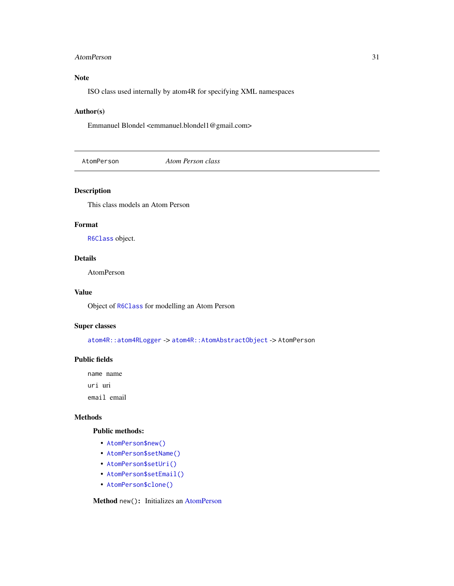#### <span id="page-30-0"></span>AtomPerson 31

## Note

ISO class used internally by atom4R for specifying XML namespaces

## Author(s)

Emmanuel Blondel <emmanuel.blondel1@gmail.com>

<span id="page-30-2"></span>AtomPerson *Atom Person class*

## Description

This class models an Atom Person

#### Format

[R6Class](#page-0-0) object.

#### Details

AtomPerson

## Value

Object of [R6Class](#page-0-0) for modelling an Atom Person

#### Super classes

[atom4R::atom4RLogger](#page-0-0) -> [atom4R::AtomAbstractObject](#page-0-0) -> AtomPerson

#### Public fields

name name uri uri

email email

#### Methods

#### Public methods:

- [AtomPerson\\$new\(\)](#page-30-1)
- [AtomPerson\\$setName\(\)](#page-31-0)
- [AtomPerson\\$setUri\(\)](#page-31-1)
- [AtomPerson\\$setEmail\(\)](#page-31-2)
- [AtomPerson\\$clone\(\)](#page-31-3)

<span id="page-30-1"></span>Method new(): Initializes an [AtomPerson](#page-30-2)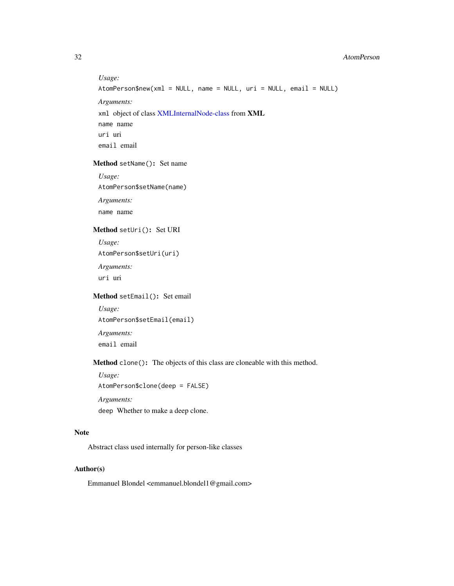#### 32 AtomPerson

*Usage:* AtomPerson\$new(xml = NULL, name = NULL, uri = NULL, email = NULL) *Arguments:* xml object of class [XMLInternalNode-class](#page-0-0) from XML name name uri uri email email

## <span id="page-31-0"></span>Method setName(): Set name

*Usage:* AtomPerson\$setName(name) *Arguments:* name name

#### <span id="page-31-1"></span>Method setUri(): Set URI

*Usage:*

AtomPerson\$setUri(uri)

*Arguments:* uri uri

## <span id="page-31-2"></span>Method setEmail(): Set email

*Usage:* AtomPerson\$setEmail(email) *Arguments:* email email

## <span id="page-31-3"></span>Method clone(): The objects of this class are cloneable with this method.

*Usage:*

AtomPerson\$clone(deep = FALSE)

*Arguments:*

deep Whether to make a deep clone.

#### Note

Abstract class used internally for person-like classes

## Author(s)

Emmanuel Blondel <emmanuel.blondel1@gmail.com>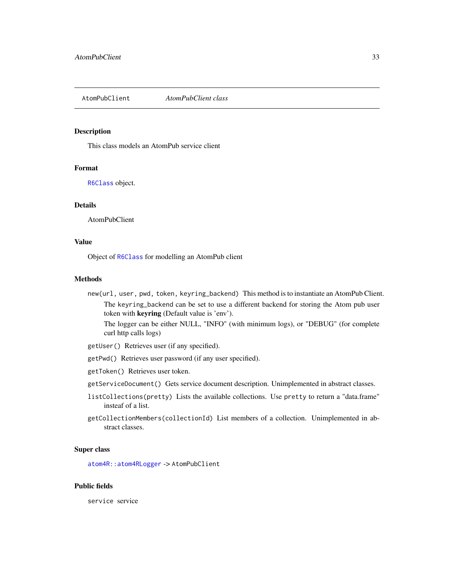<span id="page-32-1"></span><span id="page-32-0"></span>AtomPubClient *AtomPubClient class*

#### Description

This class models an AtomPub service client

#### Format

[R6Class](#page-0-0) object.

#### Details

AtomPubClient

#### Value

Object of [R6Class](#page-0-0) for modelling an AtomPub client

#### Methods

new(url, user, pwd, token, keyring\_backend) This method is to instantiate an AtomPub Client. The keyring\_backend can be set to use a different backend for storing the Atom pub user token with keyring (Default value is 'env').

The logger can be either NULL, "INFO" (with minimum logs), or "DEBUG" (for complete curl http calls logs)

- getUser() Retrieves user (if any specified).
- getPwd() Retrieves user password (if any user specified).
- getToken() Retrieves user token.
- getServiceDocument() Gets service document description. Unimplemented in abstract classes.
- listCollections(pretty) Lists the available collections. Use pretty to return a "data.frame" insteaf of a list.
- getCollectionMembers(collectionId) List members of a collection. Unimplemented in abstract classes.

#### Super class

[atom4R::atom4RLogger](#page-0-0) -> AtomPubClient

#### Public fields

service service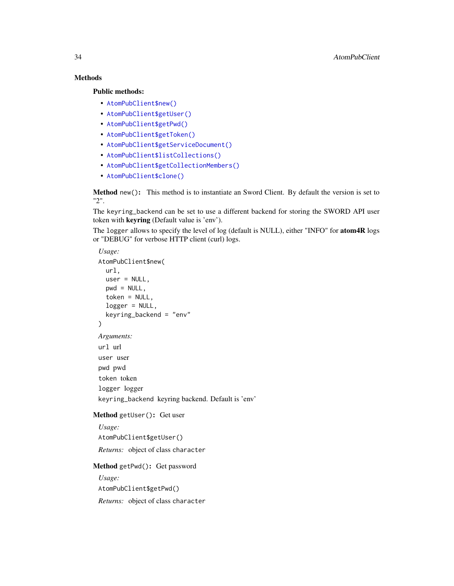## Methods

#### Public methods:

- [AtomPubClient\\$new\(\)](#page-33-0)
- [AtomPubClient\\$getUser\(\)](#page-33-1)
- [AtomPubClient\\$getPwd\(\)](#page-33-2)
- [AtomPubClient\\$getToken\(\)](#page-33-3)
- [AtomPubClient\\$getServiceDocument\(\)](#page-34-0)
- [AtomPubClient\\$listCollections\(\)](#page-34-1)
- [AtomPubClient\\$getCollectionMembers\(\)](#page-34-2)
- [AtomPubClient\\$clone\(\)](#page-34-3)

<span id="page-33-0"></span>Method new(): This method is to instantiate an Sword Client. By default the version is set to "2".

The keyring\_backend can be set to use a different backend for storing the SWORD API user token with keyring (Default value is 'env').

The logger allows to specify the level of log (default is NULL), either "INFO" for **atom4R** logs or "DEBUG" for verbose HTTP client (curl) logs.

```
Usage:
AtomPubClient$new(
  url,
  user = NULL,
  pwd = NULL,token = NULL,
  logger = NULL,
  keyring_backend = "env"
)
Arguments:
url url
user user
pwd pwd
token token
logger logger
keyring_backend keyring backend. Default is 'env'
```
## <span id="page-33-1"></span>Method getUser(): Get user

*Usage:* AtomPubClient\$getUser() *Returns:* object of class character

<span id="page-33-2"></span>Method getPwd(): Get password

<span id="page-33-3"></span>*Usage:* AtomPubClient\$getPwd() *Returns:* object of class character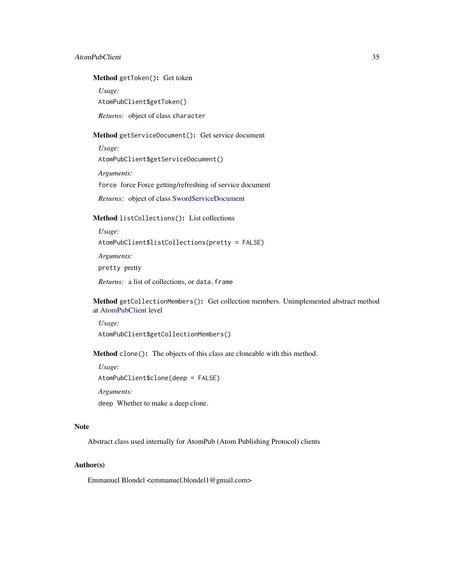#### AtomPubClient 35

#### Method getToken(): Get token

*Usage:*

AtomPubClient\$getToken()

*Returns:* object of class character

<span id="page-34-0"></span>Method getServiceDocument(): Get service document

*Usage:* AtomPubClient\$getServiceDocument()

*Arguments:* force force Force getting/refreshing of service document

*Returns:* object of class [SwordServiceDocument](#page-141-1)

<span id="page-34-1"></span>Method listCollections(): List collections

*Usage:*

AtomPubClient\$listCollections(pretty = FALSE)

*Arguments:*

pretty pretty

*Returns:* a list of collections, or data.frame

<span id="page-34-2"></span>Method getCollectionMembers(): Get collection members. Unimplemented abstract method at [AtomPubClient](#page-32-1) level

*Usage:* AtomPubClient\$getCollectionMembers()

<span id="page-34-3"></span>Method clone(): The objects of this class are cloneable with this method.

*Usage:* AtomPubClient\$clone(deep = FALSE)

*Arguments:*

deep Whether to make a deep clone.

#### Note

Abstract class used internally for AtomPub (Atom Publishing Protocol) clients

#### Author(s)

Emmanuel Blondel <emmanuel.blondel1@gmail.com>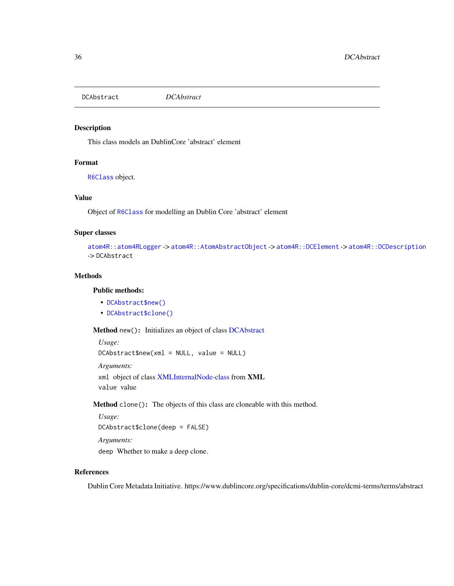<span id="page-35-3"></span><span id="page-35-0"></span>DCAbstract *DCAbstract*

## Description

This class models an DublinCore 'abstract' element

## Format

[R6Class](#page-0-0) object.

#### Value

Object of [R6Class](#page-0-0) for modelling an Dublin Core 'abstract' element

## Super classes

```
atom4R::atom4RLogger -> atom4R::AtomAbstractObject -> atom4R::DCElement -> atom4R::DCDescription
-> DCAbstract
```
#### Methods

#### Public methods:

- [DCAbstract\\$new\(\)](#page-35-1)
- [DCAbstract\\$clone\(\)](#page-35-2)

<span id="page-35-1"></span>Method new(): Initializes an object of class [DCAbstract](#page-35-3)

```
Usage:
DCAbstract$new(xml = NULL, value = NULL)
Arguments:
xml object of class XMLInternalNode-class from XML
value value
```
<span id="page-35-2"></span>Method clone(): The objects of this class are cloneable with this method.

*Usage:* DCAbstract\$clone(deep = FALSE) *Arguments:*

deep Whether to make a deep clone.

## References

Dublin Core Metadata Initiative. https://www.dublincore.org/specifications/dublin-core/dcmi-terms/terms/abstract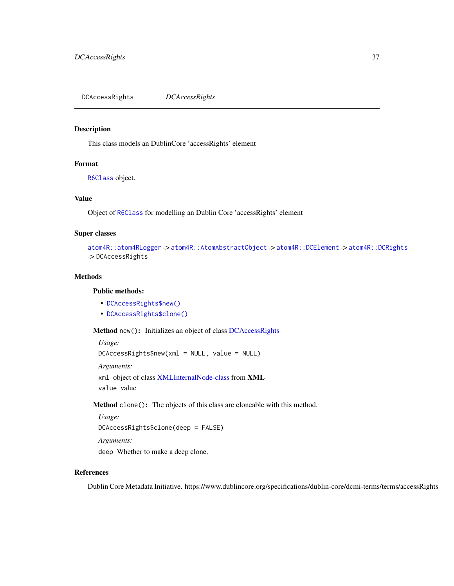<span id="page-36-2"></span>DCAccessRights *DCAccessRights*

#### Description

This class models an DublinCore 'accessRights' element

# Format

[R6Class](#page-0-0) object.

## Value

Object of [R6Class](#page-0-0) for modelling an Dublin Core 'accessRights' element

#### Super classes

```
atom4R::atom4RLogger -> atom4R::AtomAbstractObject -> atom4R::DCElement -> atom4R::DCRights
-> DCAccessRights
```
# Methods

#### Public methods:

- [DCAccessRights\\$new\(\)](#page-36-0)
- [DCAccessRights\\$clone\(\)](#page-36-1)

<span id="page-36-0"></span>Method new(): Initializes an object of class [DCAccessRights](#page-36-2)

*Usage:* DCAccessRights\$new(xml = NULL, value = NULL) *Arguments:* xml object of class [XMLInternalNode-class](#page-0-0) from XML value value

<span id="page-36-1"></span>Method clone(): The objects of this class are cloneable with this method.

```
Usage:
DCAccessRights$clone(deep = FALSE)
Arguments:
deep Whether to make a deep clone.
```
# References

Dublin Core Metadata Initiative. https://www.dublincore.org/specifications/dublin-core/dcmi-terms/terms/accessRights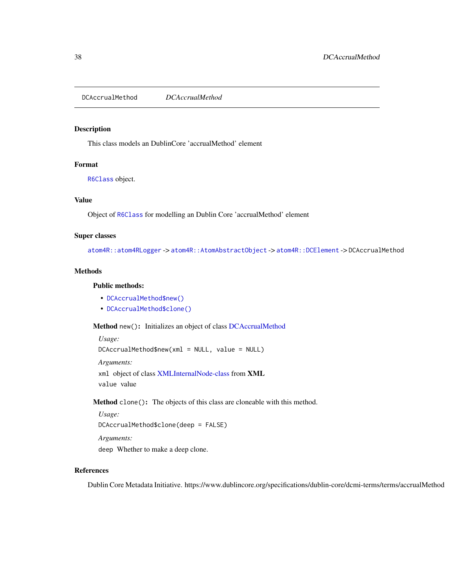<span id="page-37-2"></span>DCAccrualMethod *DCAccrualMethod*

## Description

This class models an DublinCore 'accrualMethod' element

# Format

[R6Class](#page-0-0) object.

# Value

Object of [R6Class](#page-0-0) for modelling an Dublin Core 'accrualMethod' element

## Super classes

[atom4R::atom4RLogger](#page-0-0) -> [atom4R::AtomAbstractObject](#page-0-0) -> [atom4R::DCElement](#page-0-0) -> DCAccrualMethod

# Methods

# Public methods:

- [DCAccrualMethod\\$new\(\)](#page-37-0)
- [DCAccrualMethod\\$clone\(\)](#page-37-1)

<span id="page-37-0"></span>Method new(): Initializes an object of class [DCAccrualMethod](#page-37-2)

```
Usage:
DCAccrualMethod$new(xml = NULL, value = NULL)
Arguments:
xml object of class XMLInternalNode-class from XML
value value
```
<span id="page-37-1"></span>Method clone(): The objects of this class are cloneable with this method.

```
Usage:
DCAccrualMethod$clone(deep = FALSE)
Arguments:
deep Whether to make a deep clone.
```
## References

Dublin Core Metadata Initiative. https://www.dublincore.org/specifications/dublin-core/dcmi-terms/terms/accrualMethod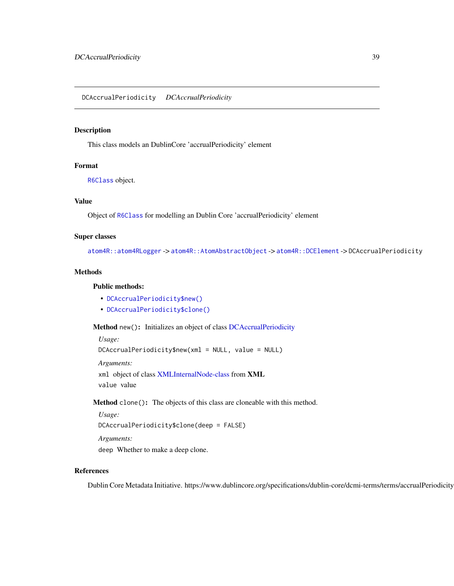<span id="page-38-2"></span>DCAccrualPeriodicity *DCAccrualPeriodicity*

# Description

This class models an DublinCore 'accrualPeriodicity' element

## Format

[R6Class](#page-0-0) object.

#### Value

Object of [R6Class](#page-0-0) for modelling an Dublin Core 'accrualPeriodicity' element

## Super classes

[atom4R::atom4RLogger](#page-0-0) -> [atom4R::AtomAbstractObject](#page-0-0) -> [atom4R::DCElement](#page-0-0) -> DCAccrualPeriodicity

# Methods

## Public methods:

- [DCAccrualPeriodicity\\$new\(\)](#page-38-0)
- [DCAccrualPeriodicity\\$clone\(\)](#page-38-1)

<span id="page-38-0"></span>Method new(): Initializes an object of class [DCAccrualPeriodicity](#page-38-2)

```
Usage:
DCAccrualPeriodicity$new(xml = NULL, value = NULL)
Arguments:
xml object of class XMLInternalNode-class from XML
value value
```
<span id="page-38-1"></span>Method clone(): The objects of this class are cloneable with this method.

*Usage:* DCAccrualPeriodicity\$clone(deep = FALSE) *Arguments:* deep Whether to make a deep clone.

#### References

Dublin Core Metadata Initiative. https://www.dublincore.org/specifications/dublin-core/dcmi-terms/terms/accrualPeriodicity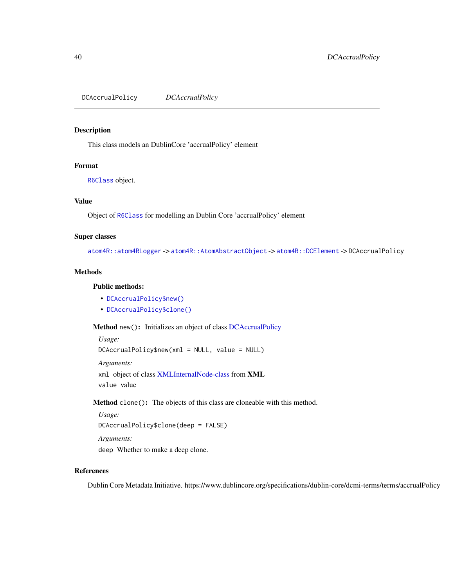<span id="page-39-2"></span>DCAccrualPolicy *DCAccrualPolicy*

# Description

This class models an DublinCore 'accrualPolicy' element

#### Format

[R6Class](#page-0-0) object.

#### Value

Object of [R6Class](#page-0-0) for modelling an Dublin Core 'accrualPolicy' element

# Super classes

[atom4R::atom4RLogger](#page-0-0) -> [atom4R::AtomAbstractObject](#page-0-0) -> [atom4R::DCElement](#page-0-0) -> DCAccrualPolicy

## Methods

## Public methods:

- [DCAccrualPolicy\\$new\(\)](#page-39-0)
- [DCAccrualPolicy\\$clone\(\)](#page-39-1)

<span id="page-39-0"></span>Method new(): Initializes an object of class [DCAccrualPolicy](#page-39-2)

```
Usage:
DCAccrualPolicy$new(xml = NULL, value = NULL)
Arguments:
xml object of class XMLInternalNode-class from XML
value value
```
<span id="page-39-1"></span>Method clone(): The objects of this class are cloneable with this method.

```
Usage:
DCAccrualPolicy$clone(deep = FALSE)
Arguments:
deep Whether to make a deep clone.
```
## References

Dublin Core Metadata Initiative. https://www.dublincore.org/specifications/dublin-core/dcmi-terms/terms/accrualPolicy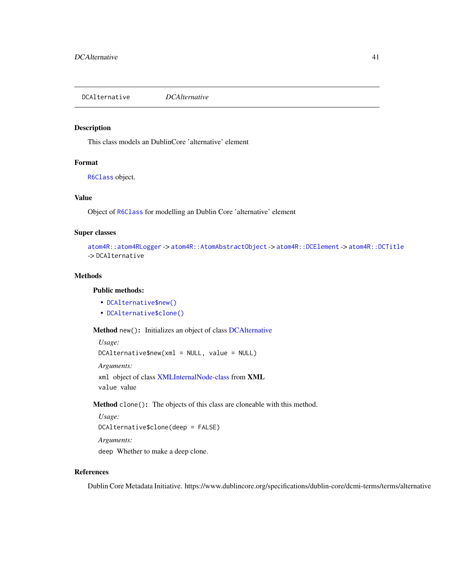<span id="page-40-2"></span>DCAlternative *DCAlternative*

# Description

This class models an DublinCore 'alternative' element

# Format

[R6Class](#page-0-0) object.

## Value

Object of [R6Class](#page-0-0) for modelling an Dublin Core 'alternative' element

# Super classes

```
atom4R::atom4RLogger -> atom4R::AtomAbstractObject -> atom4R::DCElement -> atom4R::DCTitle
-> DCAlternative
```
# Methods

# Public methods:

- [DCAlternative\\$new\(\)](#page-40-0)
- [DCAlternative\\$clone\(\)](#page-40-1)

<span id="page-40-0"></span>Method new(): Initializes an object of class [DCAlternative](#page-40-2)

*Usage:* DCAlternative\$new(xml = NULL, value = NULL) *Arguments:* xml object of class [XMLInternalNode-class](#page-0-0) from XML value value

<span id="page-40-1"></span>Method clone(): The objects of this class are cloneable with this method.

```
Usage:
DCAlternative$clone(deep = FALSE)
Arguments:
```
deep Whether to make a deep clone.

# References

Dublin Core Metadata Initiative. https://www.dublincore.org/specifications/dublin-core/dcmi-terms/terms/alternative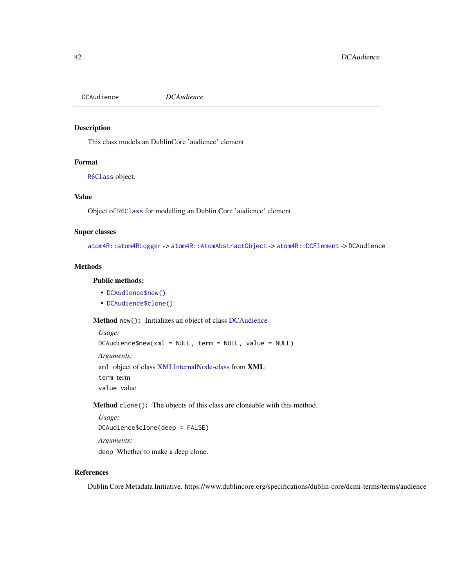<span id="page-41-2"></span>

# Description

This class models an DublinCore 'audience' element

## Format

[R6Class](#page-0-0) object.

#### Value

Object of [R6Class](#page-0-0) for modelling an Dublin Core 'audience' element

## Super classes

[atom4R::atom4RLogger](#page-0-0) -> [atom4R::AtomAbstractObject](#page-0-0) -> [atom4R::DCElement](#page-0-0) -> DCAudience

# Methods

# Public methods:

- [DCAudience\\$new\(\)](#page-41-0)
- [DCAudience\\$clone\(\)](#page-41-1)

<span id="page-41-0"></span>Method new(): Initializes an object of class [DCAudience](#page-41-2)

```
Usage:
DCAudience$new(xml = NULL, term = NULL, value = NULL)
Arguments:
xml object of class XMLInternalNode-class from XML
term term
value value
```
<span id="page-41-1"></span>Method clone(): The objects of this class are cloneable with this method.

*Usage:* DCAudience\$clone(deep = FALSE) *Arguments:* deep Whether to make a deep clone.

## References

Dublin Core Metadata Initiative. https://www.dublincore.org/specifications/dublin-core/dcmi-terms/terms/audience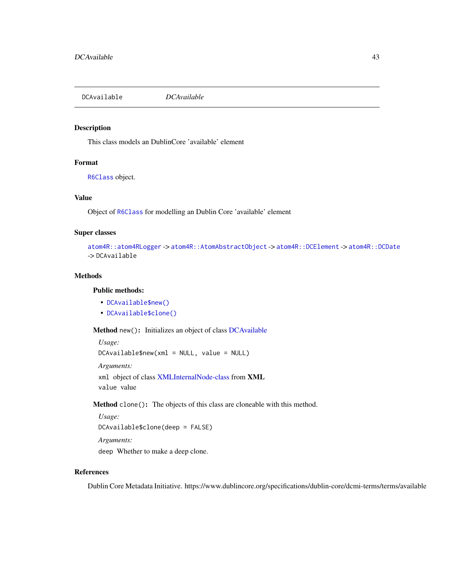<span id="page-42-2"></span>DCAvailable *DCAvailable*

# Description

This class models an DublinCore 'available' element

# Format

[R6Class](#page-0-0) object.

## Value

Object of [R6Class](#page-0-0) for modelling an Dublin Core 'available' element

# Super classes

```
atom4R::atom4RLogger -> atom4R::AtomAbstractObject -> atom4R::DCElement -> atom4R::DCDate
-> DCAvailable
```
# Methods

# Public methods:

- [DCAvailable\\$new\(\)](#page-42-0)
- [DCAvailable\\$clone\(\)](#page-42-1)

<span id="page-42-0"></span>Method new(): Initializes an object of class [DCAvailable](#page-42-2)

```
Usage:
DCAvailable$new(xml = NULL, value = NULL)
Arguments:
xml object of class XMLInternalNode-class from XML
value value
```
<span id="page-42-1"></span>Method clone(): The objects of this class are cloneable with this method.

```
Usage:
DCAvailable$clone(deep = FALSE)
Arguments:
```
deep Whether to make a deep clone.

# References

Dublin Core Metadata Initiative. https://www.dublincore.org/specifications/dublin-core/dcmi-terms/terms/available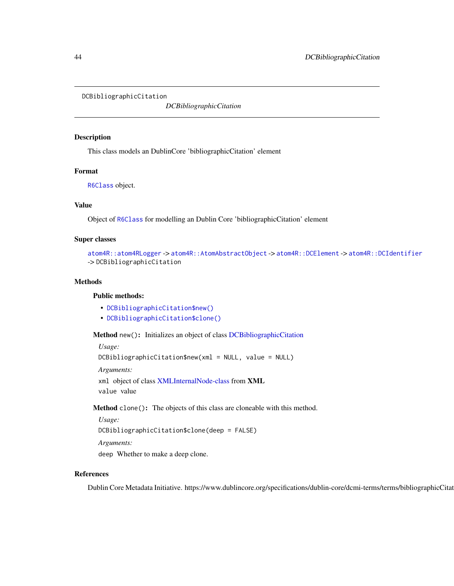<span id="page-43-2"></span>DCBibliographicCitation

*DCBibliographicCitation*

## Description

This class models an DublinCore 'bibliographicCitation' element

#### Format

[R6Class](#page-0-0) object.

#### Value

Object of [R6Class](#page-0-0) for modelling an Dublin Core 'bibliographicCitation' element

## Super classes

```
atom4R::atom4RLogger -> atom4R::AtomAbstractObject -> atom4R::DCElement -> atom4R::DCIdentifier
-> DCBibliographicCitation
```
## **Methods**

#### Public methods:

- [DCBibliographicCitation\\$new\(\)](#page-43-0)
- [DCBibliographicCitation\\$clone\(\)](#page-43-1)

<span id="page-43-0"></span>Method new(): Initializes an object of class [DCBibliographicCitation](#page-43-2)

*Usage:*

DCBibliographicCitation\$new(xml = NULL, value = NULL)

*Arguments:*

xml object of class [XMLInternalNode-class](#page-0-0) from XML value value

<span id="page-43-1"></span>Method clone(): The objects of this class are cloneable with this method.

```
Usage:
```
DCBibliographicCitation\$clone(deep = FALSE)

*Arguments:*

deep Whether to make a deep clone.

## References

Dublin Core Metadata Initiative. https://www.dublincore.org/specifications/dublin-core/dcmi-terms/terms/bibliographicCitation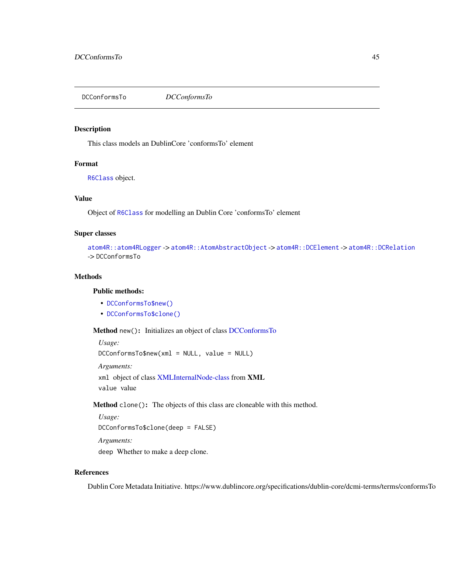<span id="page-44-2"></span>DCConformsTo *DCConformsTo*

#### Description

This class models an DublinCore 'conformsTo' element

## Format

[R6Class](#page-0-0) object.

## Value

Object of [R6Class](#page-0-0) for modelling an Dublin Core 'conformsTo' element

#### Super classes

```
atom4R::atom4RLogger -> atom4R::AtomAbstractObject -> atom4R::DCElement -> atom4R::DCRelation
-> DCConformsTo
```
# Methods

#### Public methods:

- [DCConformsTo\\$new\(\)](#page-44-0)
- [DCConformsTo\\$clone\(\)](#page-44-1)

<span id="page-44-0"></span>Method new(): Initializes an object of class [DCConformsTo](#page-44-2)

*Usage:* DCConformsTo\$new(xml = NULL, value = NULL) *Arguments:* xml object of class [XMLInternalNode-class](#page-0-0) from XML value value

<span id="page-44-1"></span>Method clone(): The objects of this class are cloneable with this method.

```
Usage:
DCConformsTo$clone(deep = FALSE)
Arguments:
deep Whether to make a deep clone.
```
# References

Dublin Core Metadata Initiative. https://www.dublincore.org/specifications/dublin-core/dcmi-terms/terms/conformsTo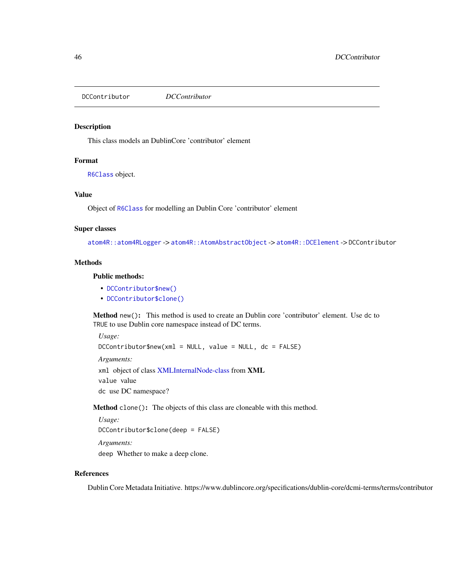<span id="page-45-2"></span>DCContributor *DCContributor*

## Description

This class models an DublinCore 'contributor' element

# Format

[R6Class](#page-0-0) object.

# Value

Object of [R6Class](#page-0-0) for modelling an Dublin Core 'contributor' element

#### Super classes

[atom4R::atom4RLogger](#page-0-0) -> [atom4R::AtomAbstractObject](#page-0-0) -> [atom4R::DCElement](#page-0-0) -> DCContributor

# **Methods**

# Public methods:

- [DCContributor\\$new\(\)](#page-45-0)
- [DCContributor\\$clone\(\)](#page-45-1)

<span id="page-45-0"></span>Method new(): This method is used to create an Dublin core 'contributor' element. Use dc to TRUE to use Dublin core namespace instead of DC terms.

*Usage:*

 $DCContribution$ \$new(xml = NULL, value = NULL, dc = FALSE)

*Arguments:*

xml object of class [XMLInternalNode-class](#page-0-0) from XML

value value

dc use DC namespace?

<span id="page-45-1"></span>Method clone(): The objects of this class are cloneable with this method.

```
Usage:
DCContributor$clone(deep = FALSE)
```
*Arguments:*

deep Whether to make a deep clone.

# References

Dublin Core Metadata Initiative. https://www.dublincore.org/specifications/dublin-core/dcmi-terms/terms/contributor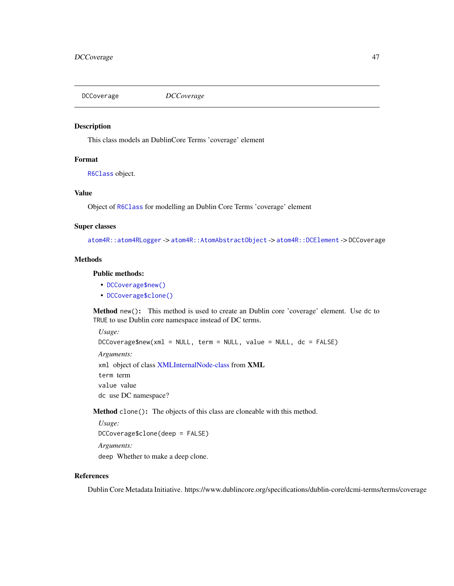<span id="page-46-2"></span>DCCoverage *DCCoverage*

## Description

This class models an DublinCore Terms 'coverage' element

# Format

[R6Class](#page-0-0) object.

# Value

Object of [R6Class](#page-0-0) for modelling an Dublin Core Terms 'coverage' element

## Super classes

[atom4R::atom4RLogger](#page-0-0) -> [atom4R::AtomAbstractObject](#page-0-0) -> [atom4R::DCElement](#page-0-0) -> DCCoverage

#### **Methods**

# Public methods:

- [DCCoverage\\$new\(\)](#page-46-0)
- [DCCoverage\\$clone\(\)](#page-46-1)

<span id="page-46-0"></span>Method new(): This method is used to create an Dublin core 'coverage' element. Use dc to TRUE to use Dublin core namespace instead of DC terms.

*Usage:* DCCoverage\$new(xml = NULL, term = NULL, value = NULL, dc = FALSE) *Arguments:* xml object of class [XMLInternalNode-class](#page-0-0) from XML term term value value dc use DC namespace?

<span id="page-46-1"></span>Method clone(): The objects of this class are cloneable with this method.

*Usage:* DCCoverage\$clone(deep = FALSE) *Arguments:* deep Whether to make a deep clone.

## References

Dublin Core Metadata Initiative. https://www.dublincore.org/specifications/dublin-core/dcmi-terms/terms/coverage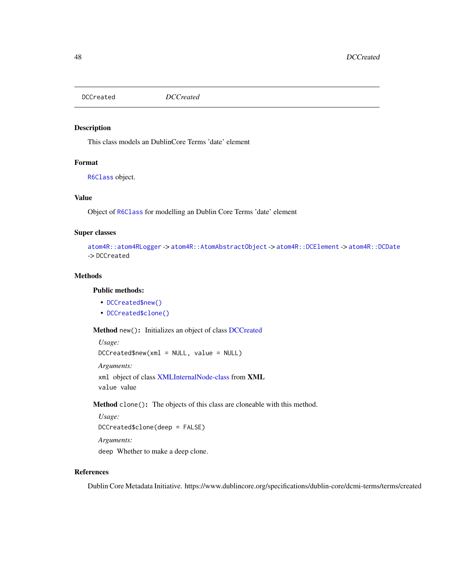<span id="page-47-2"></span>DCCreated *DCCreated*

# Description

This class models an DublinCore Terms 'date' element

# Format

[R6Class](#page-0-0) object.

## Value

Object of [R6Class](#page-0-0) for modelling an Dublin Core Terms 'date' element

# Super classes

```
atom4R::atom4RLogger -> atom4R::AtomAbstractObject -> atom4R::DCElement -> atom4R::DCDate
-> DCCreated
```
# Methods

# Public methods:

- [DCCreated\\$new\(\)](#page-47-0)
- [DCCreated\\$clone\(\)](#page-47-1)

<span id="page-47-0"></span>Method new(): Initializes an object of class [DCCreated](#page-47-2)

```
Usage:
DCCreated$new(xml = NULL, value = NULL)
Arguments:
xml object of class XMLInternalNode-class from XML
value value
```
<span id="page-47-1"></span>Method clone(): The objects of this class are cloneable with this method.

```
Usage:
DCCreated$clone(deep = FALSE)
Arguments:
```
deep Whether to make a deep clone.

# References

Dublin Core Metadata Initiative. https://www.dublincore.org/specifications/dublin-core/dcmi-terms/terms/created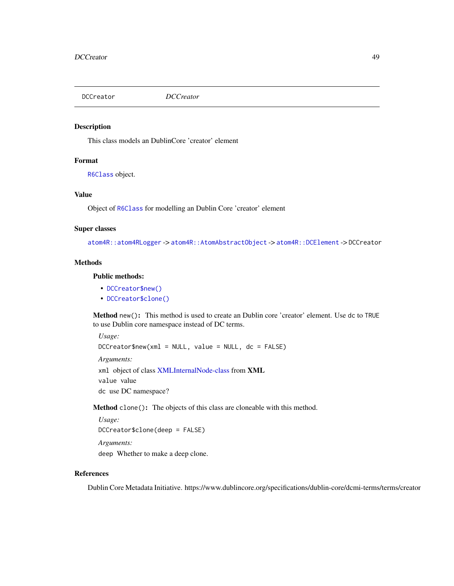<span id="page-48-2"></span>

## Description

This class models an DublinCore 'creator' element

# Format

[R6Class](#page-0-0) object.

# Value

Object of [R6Class](#page-0-0) for modelling an Dublin Core 'creator' element

#### Super classes

[atom4R::atom4RLogger](#page-0-0) -> [atom4R::AtomAbstractObject](#page-0-0) -> [atom4R::DCElement](#page-0-0) -> DCCreator

# **Methods**

# Public methods:

- [DCCreator\\$new\(\)](#page-48-0)
- [DCCreator\\$clone\(\)](#page-48-1)

<span id="page-48-0"></span>Method new(): This method is used to create an Dublin core 'creator' element. Use dc to TRUE to use Dublin core namespace instead of DC terms.

DCCreator\$new(xml = NULL, value = NULL, dc = FALSE)

*Usage:*

*Arguments:*

xml object of class [XMLInternalNode-class](#page-0-0) from XML value value

dc use DC namespace?

<span id="page-48-1"></span>Method clone(): The objects of this class are cloneable with this method.

```
Usage:
DCCreator$clone(deep = FALSE)
Arguments:
deep Whether to make a deep clone.
```
# References

Dublin Core Metadata Initiative. https://www.dublincore.org/specifications/dublin-core/dcmi-terms/terms/creator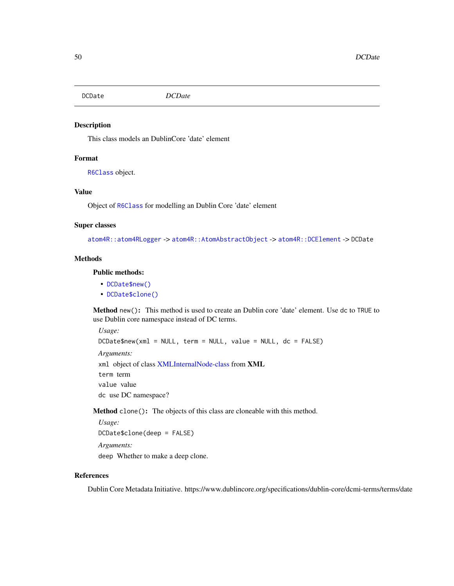<span id="page-49-2"></span>DCDate *DCDate*

### Description

This class models an DublinCore 'date' element

## Format

[R6Class](#page-0-0) object.

# Value

Object of [R6Class](#page-0-0) for modelling an Dublin Core 'date' element

# Super classes

[atom4R::atom4RLogger](#page-0-0) -> [atom4R::AtomAbstractObject](#page-0-0) -> [atom4R::DCElement](#page-0-0) -> DCDate

## **Methods**

# Public methods:

- [DCDate\\$new\(\)](#page-49-0)
- [DCDate\\$clone\(\)](#page-49-1)

<span id="page-49-0"></span>Method new(): This method is used to create an Dublin core 'date' element. Use dc to TRUE to use Dublin core namespace instead of DC terms.

*Usage:* DCDate\$new(xml = NULL, term = NULL, value = NULL, dc = FALSE) *Arguments:* xml object of class [XMLInternalNode-class](#page-0-0) from XML term term value value dc use DC namespace?

<span id="page-49-1"></span>Method clone(): The objects of this class are cloneable with this method.

*Usage:* DCDate\$clone(deep = FALSE) *Arguments:* deep Whether to make a deep clone.

# References

Dublin Core Metadata Initiative. https://www.dublincore.org/specifications/dublin-core/dcmi-terms/terms/date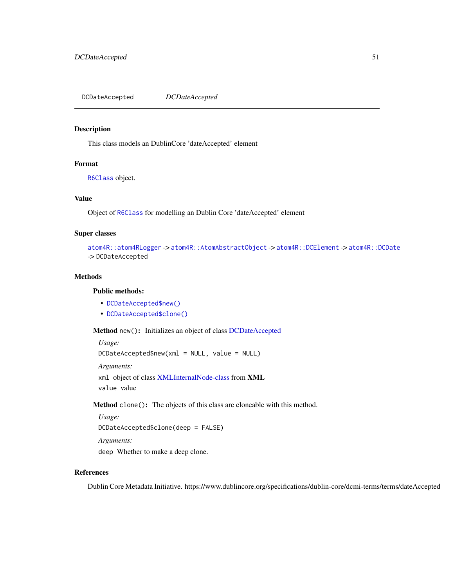<span id="page-50-2"></span>DCDateAccepted *DCDateAccepted*

#### Description

This class models an DublinCore 'dateAccepted' element

## Format

[R6Class](#page-0-0) object.

## Value

Object of [R6Class](#page-0-0) for modelling an Dublin Core 'dateAccepted' element

#### Super classes

```
atom4R::atom4RLogger -> atom4R::AtomAbstractObject -> atom4R::DCElement -> atom4R::DCDate
-> DCDateAccepted
```
# Methods

#### Public methods:

- [DCDateAccepted\\$new\(\)](#page-50-0)
- [DCDateAccepted\\$clone\(\)](#page-50-1)

<span id="page-50-0"></span>Method new(): Initializes an object of class [DCDateAccepted](#page-50-2)

*Usage:* DCDateAccepted\$new(xml = NULL, value = NULL) *Arguments:* xml object of class [XMLInternalNode-class](#page-0-0) from XML value value

<span id="page-50-1"></span>Method clone(): The objects of this class are cloneable with this method.

```
Usage:
DCDateAccepted$clone(deep = FALSE)
Arguments:
deep Whether to make a deep clone.
```
# References

Dublin Core Metadata Initiative. https://www.dublincore.org/specifications/dublin-core/dcmi-terms/terms/dateAccepted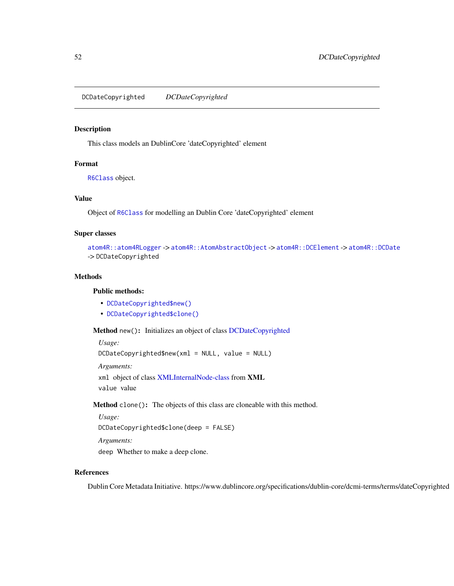<span id="page-51-2"></span>DCDateCopyrighted *DCDateCopyrighted*

## Description

This class models an DublinCore 'dateCopyrighted' element

# Format

[R6Class](#page-0-0) object.

## Value

Object of [R6Class](#page-0-0) for modelling an Dublin Core 'dateCopyrighted' element

#### Super classes

```
atom4R::atom4RLogger -> atom4R::AtomAbstractObject -> atom4R::DCElement -> atom4R::DCDate
-> DCDateCopyrighted
```
# Methods

#### Public methods:

- [DCDateCopyrighted\\$new\(\)](#page-51-0)
- [DCDateCopyrighted\\$clone\(\)](#page-51-1)

<span id="page-51-0"></span>Method new(): Initializes an object of class [DCDateCopyrighted](#page-51-2)

*Usage:*

DCDateCopyrighted\$new(xml = NULL, value = NULL)

*Arguments:*

xml object of class [XMLInternalNode-class](#page-0-0) from XML value value

<span id="page-51-1"></span>Method clone(): The objects of this class are cloneable with this method.

```
Usage:
DCDateCopyrighted$clone(deep = FALSE)
Arguments:
```
deep Whether to make a deep clone.

# References

Dublin Core Metadata Initiative. https://www.dublincore.org/specifications/dublin-core/dcmi-terms/terms/dateCopyrighted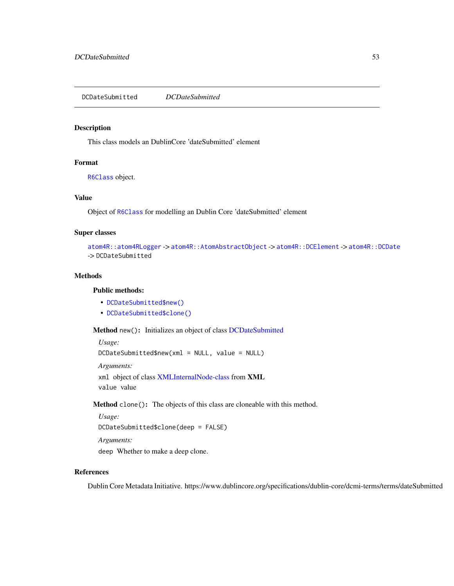<span id="page-52-2"></span>DCDateSubmitted *DCDateSubmitted*

# Description

This class models an DublinCore 'dateSubmitted' element

# Format

[R6Class](#page-0-0) object.

## Value

Object of [R6Class](#page-0-0) for modelling an Dublin Core 'dateSubmitted' element

# Super classes

```
atom4R::atom4RLogger -> atom4R::AtomAbstractObject -> atom4R::DCElement -> atom4R::DCDate
-> DCDateSubmitted
```
# Methods

# Public methods:

- [DCDateSubmitted\\$new\(\)](#page-52-0)
- [DCDateSubmitted\\$clone\(\)](#page-52-1)

<span id="page-52-0"></span>Method new(): Initializes an object of class [DCDateSubmitted](#page-52-2)

```
Usage:
DCDateSubmitted$new(xml = NULL, value = NULL)
Arguments:
xml object of class XMLInternalNode-class from XML
value value
```
<span id="page-52-1"></span>Method clone(): The objects of this class are cloneable with this method.

```
Usage:
DCDateSubmitted$clone(deep = FALSE)
```
*Arguments:* deep Whether to make a deep clone.

# References

Dublin Core Metadata Initiative. https://www.dublincore.org/specifications/dublin-core/dcmi-terms/terms/dateSubmitted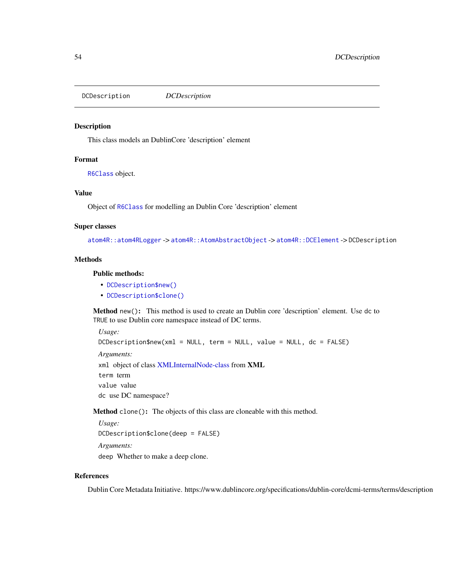DCDescription *DCDescription*

## Description

This class models an DublinCore 'description' element

## Format

[R6Class](#page-0-0) object.

# Value

Object of [R6Class](#page-0-0) for modelling an Dublin Core 'description' element

#### Super classes

[atom4R::atom4RLogger](#page-0-0) -> [atom4R::AtomAbstractObject](#page-0-0) -> [atom4R::DCElement](#page-0-0) -> DCDescription

#### **Methods**

# Public methods:

- [DCDescription\\$new\(\)](#page-53-0)
- [DCDescription\\$clone\(\)](#page-53-1)

<span id="page-53-0"></span>Method new(): This method is used to create an Dublin core 'description' element. Use dc to TRUE to use Dublin core namespace instead of DC terms.

*Usage:* DCDescription\$new(xml = NULL, term = NULL, value = NULL, dc = FALSE) *Arguments:* xml object of class [XMLInternalNode-class](#page-0-0) from XML term term value value dc use DC namespace?

<span id="page-53-1"></span>Method clone(): The objects of this class are cloneable with this method.

```
Usage:
DCDescription$clone(deep = FALSE)
Arguments:
deep Whether to make a deep clone.
```
# References

Dublin Core Metadata Initiative. https://www.dublincore.org/specifications/dublin-core/dcmi-terms/terms/description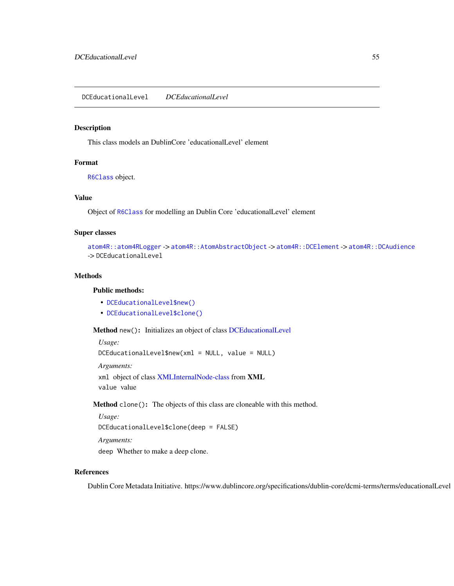## <span id="page-54-2"></span>Description

This class models an DublinCore 'educationalLevel' element

# Format

[R6Class](#page-0-0) object.

## Value

Object of [R6Class](#page-0-0) for modelling an Dublin Core 'educationalLevel' element

## Super classes

```
atom4R::atom4RLogger -> atom4R::AtomAbstractObject -> atom4R::DCElement -> atom4R::DCAudience
-> DCEducationalLevel
```
# Methods

# Public methods:

- [DCEducationalLevel\\$new\(\)](#page-54-0)
- [DCEducationalLevel\\$clone\(\)](#page-54-1)

<span id="page-54-0"></span>Method new(): Initializes an object of class [DCEducationalLevel](#page-54-2)

*Usage:*

DCEducationalLevel\$new(xml = NULL, value = NULL)

*Arguments:*

xml object of class [XMLInternalNode-class](#page-0-0) from XML value value

<span id="page-54-1"></span>Method clone(): The objects of this class are cloneable with this method.

*Usage:*

```
DCEducationalLevel$clone(deep = FALSE)
```
*Arguments:* deep Whether to make a deep clone.

# References

Dublin Core Metadata Initiative. https://www.dublincore.org/specifications/dublin-core/dcmi-terms/terms/educationalLevel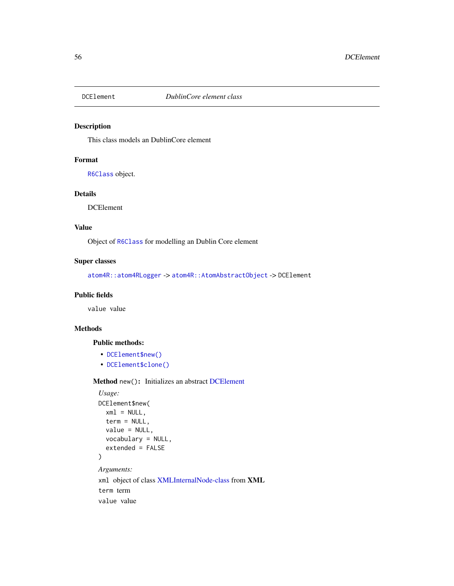<span id="page-55-1"></span>

# Description

This class models an DublinCore element

## Format

[R6Class](#page-0-0) object.

# Details

DCElement

# Value

Object of [R6Class](#page-0-0) for modelling an Dublin Core element

# Super classes

[atom4R::atom4RLogger](#page-0-0) -> [atom4R::AtomAbstractObject](#page-0-0) -> DCElement

#### Public fields

value value

# Methods

# Public methods:

- [DCElement\\$new\(\)](#page-55-0)
- [DCElement\\$clone\(\)](#page-56-0)

<span id="page-55-0"></span>Method new(): Initializes an abstract [DCElement](#page-55-1)

```
Usage:
DCElement$new(
  xml = NULL,term = NULL,
  value = NULL,
  vocabulary = NULL,
  extended = FALSE
\mathcal{L}Arguments:
xml object of class XMLInternalNode-class from XML
term term
value value
```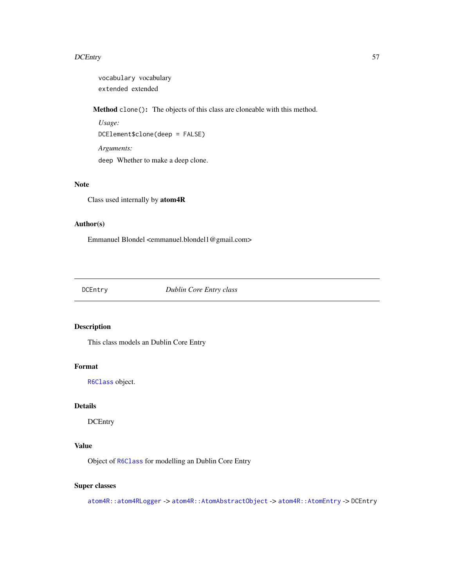vocabulary vocabulary extended extended

<span id="page-56-0"></span>Method clone(): The objects of this class are cloneable with this method.

```
Usage:
DCElement$clone(deep = FALSE)
Arguments:
deep Whether to make a deep clone.
```
# Note

Class used internally by atom4R

# Author(s)

Emmanuel Blondel <emmanuel.blondel1@gmail.com>

<span id="page-56-1"></span>DCEntry *Dublin Core Entry class*

# Description

This class models an Dublin Core Entry

# Format

[R6Class](#page-0-0) object.

## Details

**DCEntry** 

# Value

Object of [R6Class](#page-0-0) for modelling an Dublin Core Entry

# Super classes

[atom4R::atom4RLogger](#page-0-0) -> [atom4R::AtomAbstractObject](#page-0-0) -> [atom4R::AtomEntry](#page-0-0) -> DCEntry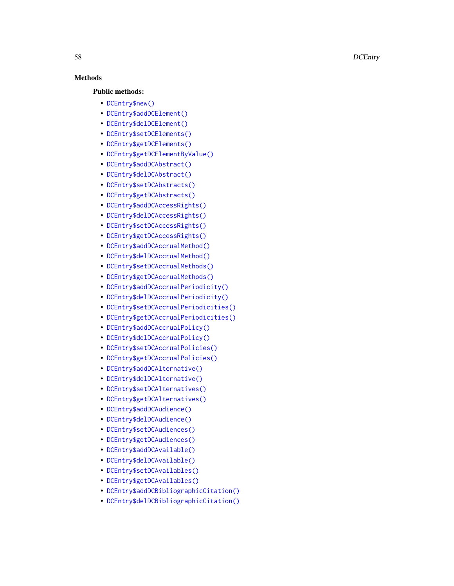# Methods

# Public methods:

- [DCEntry\\$new\(\)](#page-61-0)
- [DCEntry\\$addDCElement\(\)](#page-61-1)
- [DCEntry\\$delDCElement\(\)](#page-62-0)
- [DCEntry\\$setDCElements\(\)](#page-62-1)
- [DCEntry\\$getDCElements\(\)](#page-62-2)
- [DCEntry\\$getDCElementByValue\(\)](#page-62-3)
- [DCEntry\\$addDCAbstract\(\)](#page-62-4)
- [DCEntry\\$delDCAbstract\(\)](#page-63-0)
- [DCEntry\\$setDCAbstracts\(\)](#page-63-1)
- [DCEntry\\$getDCAbstracts\(\)](#page-63-2)
- [DCEntry\\$addDCAccessRights\(\)](#page-63-3)
- [DCEntry\\$delDCAccessRights\(\)](#page-63-4)
- [DCEntry\\$setDCAccessRights\(\)](#page-63-5)
- [DCEntry\\$getDCAccessRights\(\)](#page-63-6)
- [DCEntry\\$addDCAccrualMethod\(\)](#page-63-7)
- [DCEntry\\$delDCAccrualMethod\(\)](#page-64-0)
- [DCEntry\\$setDCAccrualMethods\(\)](#page-64-1)
- [DCEntry\\$getDCAccrualMethods\(\)](#page-64-2)
- [DCEntry\\$addDCAccrualPeriodicity\(\)](#page-64-3)
- [DCEntry\\$delDCAccrualPeriodicity\(\)](#page-64-4)
- [DCEntry\\$setDCAccrualPeriodicities\(\)](#page-64-5)
- [DCEntry\\$getDCAccrualPeriodicities\(\)](#page-65-0)
- [DCEntry\\$addDCAccrualPolicy\(\)](#page-65-1)
- [DCEntry\\$delDCAccrualPolicy\(\)](#page-65-2)
- [DCEntry\\$setDCAccrualPolicies\(\)](#page-65-3)
- [DCEntry\\$getDCAccrualPolicies\(\)](#page-65-4)
- [DCEntry\\$addDCAlternative\(\)](#page-65-5)
- [DCEntry\\$delDCAlternative\(\)](#page-65-6)
- [DCEntry\\$setDCAlternatives\(\)](#page-66-0)
- [DCEntry\\$getDCAlternatives\(\)](#page-66-1)
- [DCEntry\\$addDCAudience\(\)](#page-66-2)
- [DCEntry\\$delDCAudience\(\)](#page-66-3)
- [DCEntry\\$setDCAudiences\(\)](#page-66-4)
- [DCEntry\\$getDCAudiences\(\)](#page-66-5)
- [DCEntry\\$addDCAvailable\(\)](#page-66-6)
- [DCEntry\\$delDCAvailable\(\)](#page-67-0)
- [DCEntry\\$setDCAvailables\(\)](#page-67-1)
- [DCEntry\\$getDCAvailables\(\)](#page-67-2)
- [DCEntry\\$addDCBibliographicCitation\(\)](#page-67-3)
- [DCEntry\\$delDCBibliographicCitation\(\)](#page-67-4)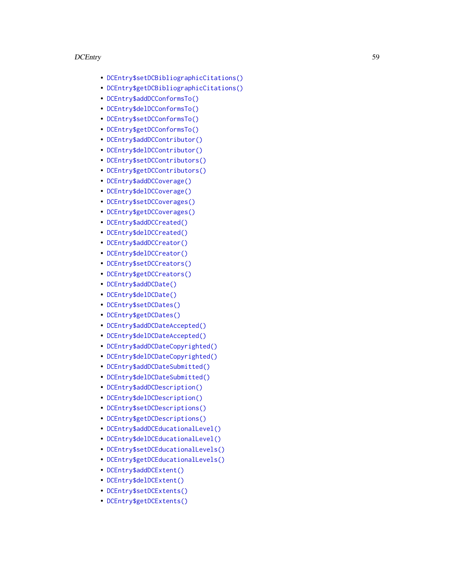- [DCEntry\\$setDCBibliographicCitations\(\)](#page-67-5)
- [DCEntry\\$getDCBibliographicCitations\(\)](#page-68-0)
- [DCEntry\\$addDCConformsTo\(\)](#page-68-1)
- [DCEntry\\$delDCConformsTo\(\)](#page-68-2)
- [DCEntry\\$setDCConformsTo\(\)](#page-68-3)
- [DCEntry\\$getDCConformsTo\(\)](#page-68-4)
- [DCEntry\\$addDCContributor\(\)](#page-68-5)
- [DCEntry\\$delDCContributor\(\)](#page-68-6)
- [DCEntry\\$setDCContributors\(\)](#page-69-0)
- [DCEntry\\$getDCContributors\(\)](#page-69-1)
- [DCEntry\\$addDCCoverage\(\)](#page-69-2)
- [DCEntry\\$delDCCoverage\(\)](#page-69-3)
- [DCEntry\\$setDCCoverages\(\)](#page-69-4)
- [DCEntry\\$getDCCoverages\(\)](#page-69-5)
- [DCEntry\\$addDCCreated\(\)](#page-69-6)
- [DCEntry\\$delDCCreated\(\)](#page-70-0)
- [DCEntry\\$addDCCreator\(\)](#page-70-1)
- [DCEntry\\$delDCCreator\(\)](#page-70-2)
- [DCEntry\\$setDCCreators\(\)](#page-70-3)
- [DCEntry\\$getDCCreators\(\)](#page-70-4)
- [DCEntry\\$addDCDate\(\)](#page-70-5)
- [DCEntry\\$delDCDate\(\)](#page-71-0)
- [DCEntry\\$setDCDates\(\)](#page-71-1)
- [DCEntry\\$getDCDates\(\)](#page-71-2)
- [DCEntry\\$addDCDateAccepted\(\)](#page-71-3)
- [DCEntry\\$delDCDateAccepted\(\)](#page-71-4)
- [DCEntry\\$addDCDateCopyrighted\(\)](#page-71-5)
- [DCEntry\\$delDCDateCopyrighted\(\)](#page-72-0)
- [DCEntry\\$addDCDateSubmitted\(\)](#page-72-1)
- [DCEntry\\$delDCDateSubmitted\(\)](#page-72-2)
- [DCEntry\\$addDCDescription\(\)](#page-72-3)
- [DCEntry\\$delDCDescription\(\)](#page-72-4)
- [DCEntry\\$setDCDescriptions\(\)](#page-72-5)
- [DCEntry\\$getDCDescriptions\(\)](#page-73-0)
- [DCEntry\\$addDCEducationalLevel\(\)](#page-73-1)
- [DCEntry\\$delDCEducationalLevel\(\)](#page-73-2)
- [DCEntry\\$setDCEducationalLevels\(\)](#page-73-3)
- [DCEntry\\$getDCEducationalLevels\(\)](#page-73-4)
- [DCEntry\\$addDCExtent\(\)](#page-73-5)
- [DCEntry\\$delDCExtent\(\)](#page-74-0)
- [DCEntry\\$setDCExtents\(\)](#page-74-1)
- [DCEntry\\$getDCExtents\(\)](#page-74-2)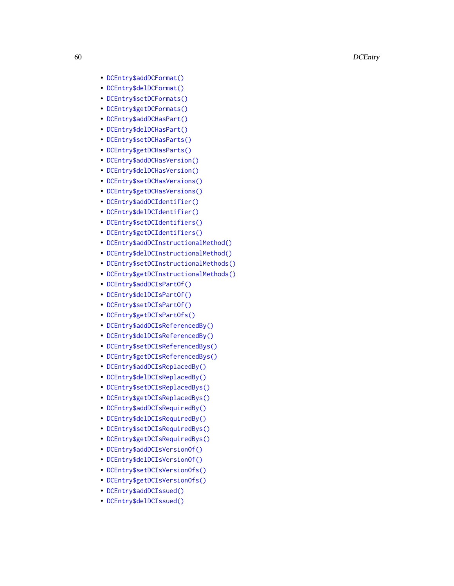- [DCEntry\\$addDCFormat\(\)](#page-74-3)
- [DCEntry\\$delDCFormat\(\)](#page-74-4)
- [DCEntry\\$setDCFormats\(\)](#page-74-5)
- [DCEntry\\$getDCFormats\(\)](#page-74-6)
- [DCEntry\\$addDCHasPart\(\)](#page-75-0)
- [DCEntry\\$delDCHasPart\(\)](#page-75-1)
- [DCEntry\\$setDCHasParts\(\)](#page-75-2)
- [DCEntry\\$getDCHasParts\(\)](#page-75-3)
- [DCEntry\\$addDCHasVersion\(\)](#page-75-4)
- [DCEntry\\$delDCHasVersion\(\)](#page-75-5)
- [DCEntry\\$setDCHasVersions\(\)](#page-76-0)
- [DCEntry\\$getDCHasVersions\(\)](#page-76-1)
- [DCEntry\\$addDCIdentifier\(\)](#page-76-2)
- [DCEntry\\$delDCIdentifier\(\)](#page-76-3)
- [DCEntry\\$setDCIdentifiers\(\)](#page-76-4)
- [DCEntry\\$getDCIdentifiers\(\)](#page-76-5)
- [DCEntry\\$addDCInstructionalMethod\(\)](#page-76-6)
- [DCEntry\\$delDCInstructionalMethod\(\)](#page-77-0)
- [DCEntry\\$setDCInstructionalMethods\(\)](#page-77-1)
- [DCEntry\\$getDCInstructionalMethods\(\)](#page-77-2)
- [DCEntry\\$addDCIsPartOf\(\)](#page-77-3)
- [DCEntry\\$delDCIsPartOf\(\)](#page-77-4)
- [DCEntry\\$setDCIsPartOf\(\)](#page-77-5)
- [DCEntry\\$getDCIsPartOfs\(\)](#page-77-6)
- [DCEntry\\$addDCIsReferencedBy\(\)](#page-78-0)
- [DCEntry\\$delDCIsReferencedBy\(\)](#page-78-1)
- [DCEntry\\$setDCIsReferencedBys\(\)](#page-78-2)
- [DCEntry\\$getDCIsReferencedBys\(\)](#page-78-3)
- [DCEntry\\$addDCIsReplacedBy\(\)](#page-78-4)
- [DCEntry\\$delDCIsReplacedBy\(\)](#page-78-5)
- [DCEntry\\$setDCIsReplacedBys\(\)](#page-79-0)
- [DCEntry\\$getDCIsReplacedBys\(\)](#page-79-1)
- [DCEntry\\$addDCIsRequiredBy\(\)](#page-79-2)
- [DCEntry\\$delDCIsRequiredBy\(\)](#page-79-3)
- [DCEntry\\$setDCIsRequiredBys\(\)](#page-79-4)
- [DCEntry\\$getDCIsRequiredBys\(\)](#page-79-5)
- [DCEntry\\$addDCIsVersionOf\(\)](#page-79-6)
- [DCEntry\\$delDCIsVersionOf\(\)](#page-80-0)
- [DCEntry\\$setDCIsVersionOfs\(\)](#page-80-1)
- [DCEntry\\$getDCIsVersionOfs\(\)](#page-80-2)
- [DCEntry\\$addDCIssued\(\)](#page-80-3)
- [DCEntry\\$delDCIssued\(\)](#page-80-4)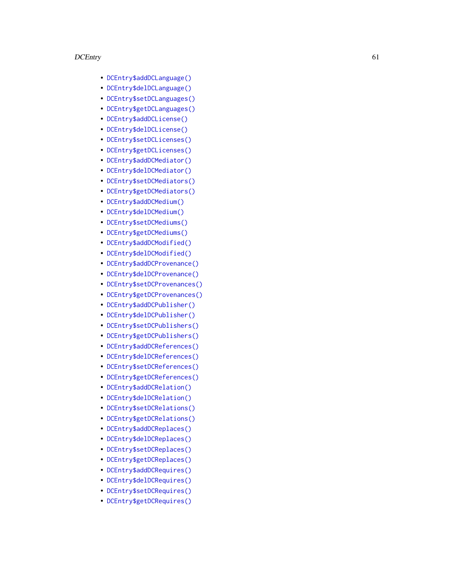- [DCEntry\\$addDCLanguage\(\)](#page-80-5)
- [DCEntry\\$delDCLanguage\(\)](#page-80-6)
- [DCEntry\\$setDCLanguages\(\)](#page-81-0)
- [DCEntry\\$getDCLanguages\(\)](#page-81-1)
- [DCEntry\\$addDCLicense\(\)](#page-81-2)
- [DCEntry\\$delDCLicense\(\)](#page-81-3)
- [DCEntry\\$setDCLicenses\(\)](#page-81-4)
- [DCEntry\\$getDCLicenses\(\)](#page-81-5)
- [DCEntry\\$addDCMediator\(\)](#page-81-6)
- [DCEntry\\$delDCMediator\(\)](#page-82-0)
- [DCEntry\\$setDCMediators\(\)](#page-82-1)
- [DCEntry\\$getDCMediators\(\)](#page-82-2)
- [DCEntry\\$addDCMedium\(\)](#page-82-3)
- [DCEntry\\$delDCMedium\(\)](#page-82-4)
- [DCEntry\\$setDCMediums\(\)](#page-82-5)
- [DCEntry\\$getDCMediums\(\)](#page-83-0)
- [DCEntry\\$addDCModified\(\)](#page-83-1)
- [DCEntry\\$delDCModified\(\)](#page-83-2)
- [DCEntry\\$addDCProvenance\(\)](#page-83-3)
- [DCEntry\\$delDCProvenance\(\)](#page-83-4)
- [DCEntry\\$setDCProvenances\(\)](#page-83-5)
- [DCEntry\\$getDCProvenances\(\)](#page-83-6)
- [DCEntry\\$addDCPublisher\(\)](#page-84-0)
- [DCEntry\\$delDCPublisher\(\)](#page-84-1)
- [DCEntry\\$setDCPublishers\(\)](#page-84-2)
- [DCEntry\\$getDCPublishers\(\)](#page-84-3)
- [DCEntry\\$addDCReferences\(\)](#page-84-4)
- [DCEntry\\$delDCReferences\(\)](#page-84-5)
- [DCEntry\\$setDCReferences\(\)](#page-85-0)
- [DCEntry\\$getDCReferences\(\)](#page-85-1)
- [DCEntry\\$addDCRelation\(\)](#page-85-2)
- [DCEntry\\$delDCRelation\(\)](#page-85-3)
- [DCEntry\\$setDCRelations\(\)](#page-85-4)
- [DCEntry\\$getDCRelations\(\)](#page-85-5)
- [DCEntry\\$addDCReplaces\(\)](#page-85-6)
- [DCEntry\\$delDCReplaces\(\)](#page-86-0)
- [DCEntry\\$setDCReplaces\(\)](#page-86-1)
- [DCEntry\\$getDCReplaces\(\)](#page-86-2)
- [DCEntry\\$addDCRequires\(\)](#page-86-3)
- [DCEntry\\$delDCRequires\(\)](#page-86-4)
- [DCEntry\\$setDCRequires\(\)](#page-86-5)
- [DCEntry\\$getDCRequires\(\)](#page-86-6)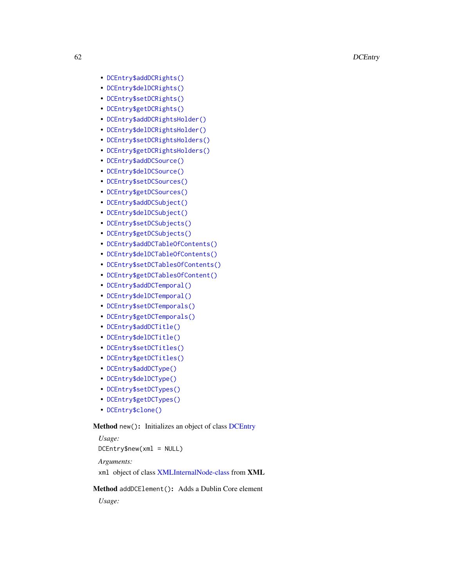- [DCEntry\\$addDCRights\(\)](#page-87-0)
- [DCEntry\\$delDCRights\(\)](#page-87-1)
- [DCEntry\\$setDCRights\(\)](#page-87-2)
- [DCEntry\\$getDCRights\(\)](#page-87-3)
- [DCEntry\\$addDCRightsHolder\(\)](#page-87-4)
- [DCEntry\\$delDCRightsHolder\(\)](#page-87-5)
- [DCEntry\\$setDCRightsHolders\(\)](#page-88-0)
- [DCEntry\\$getDCRightsHolders\(\)](#page-88-1)
- [DCEntry\\$addDCSource\(\)](#page-88-2)
- [DCEntry\\$delDCSource\(\)](#page-88-3)
- [DCEntry\\$setDCSources\(\)](#page-88-4)
- [DCEntry\\$getDCSources\(\)](#page-88-5)
- [DCEntry\\$addDCSubject\(\)](#page-88-6)
- [DCEntry\\$delDCSubject\(\)](#page-89-0)
- [DCEntry\\$setDCSubjects\(\)](#page-89-1)
- [DCEntry\\$getDCSubjects\(\)](#page-89-2)
- [DCEntry\\$addDCTableOfContents\(\)](#page-89-3)
- [DCEntry\\$delDCTableOfContents\(\)](#page-89-4)
- [DCEntry\\$setDCTablesOfContents\(\)](#page-89-5)
- [DCEntry\\$getDCTablesOfContent\(\)](#page-89-6)
- [DCEntry\\$addDCTemporal\(\)](#page-90-0)
- [DCEntry\\$delDCTemporal\(\)](#page-90-1)
- [DCEntry\\$setDCTemporals\(\)](#page-90-2)
- [DCEntry\\$getDCTemporals\(\)](#page-90-3)
- [DCEntry\\$addDCTitle\(\)](#page-90-4)
- [DCEntry\\$delDCTitle\(\)](#page-90-5)
- [DCEntry\\$setDCTitles\(\)](#page-91-0)
- [DCEntry\\$getDCTitles\(\)](#page-91-1)
- [DCEntry\\$addDCType\(\)](#page-91-2)
- [DCEntry\\$delDCType\(\)](#page-91-3)
- [DCEntry\\$setDCTypes\(\)](#page-91-4)
- [DCEntry\\$getDCTypes\(\)](#page-91-5)
- [DCEntry\\$clone\(\)](#page-91-6)

# <span id="page-61-0"></span>Method new(): Initializes an object of class [DCEntry](#page-56-1)

*Usage:* DCEntry\$new(xml = NULL) *Arguments:*

xml object of class [XMLInternalNode-class](#page-0-0) from XML

# <span id="page-61-1"></span>Method addDCElement(): Adds a Dublin Core element

*Usage:*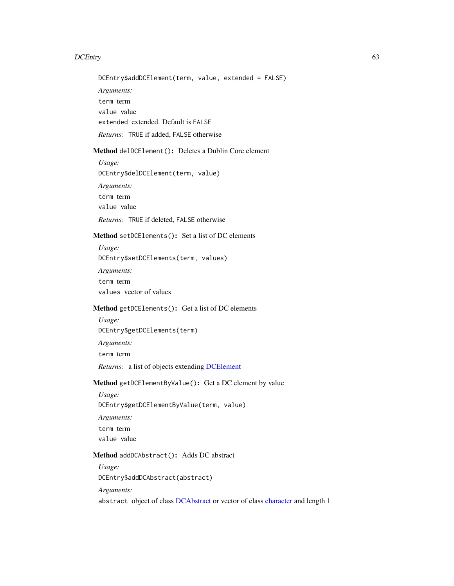DCEntry\$addDCElement(term, value, extended = FALSE)

*Arguments:*

term term value value extended extended. Default is FALSE *Returns:* TRUE if added, FALSE otherwise

<span id="page-62-0"></span>Method delDCElement(): Deletes a Dublin Core element

*Usage:* DCEntry\$delDCElement(term, value) *Arguments:*

term term value value

*Returns:* TRUE if deleted, FALSE otherwise

# <span id="page-62-1"></span>Method setDCElements(): Set a list of DC elements

*Usage:*

DCEntry\$setDCElements(term, values)

*Arguments:*

term term

values vector of values

#### <span id="page-62-2"></span>Method getDCElements(): Get a list of DC elements

*Usage:* DCEntry\$getDCElements(term)

*Arguments:*

term term

*Returns:* a list of objects extending [DCElement](#page-55-1)

# <span id="page-62-3"></span>Method getDCElementByValue(): Get a DC element by value

*Usage:*

DCEntry\$getDCElementByValue(term, value)

*Arguments:*

term term

value value

# <span id="page-62-4"></span>Method addDCAbstract(): Adds DC abstract

*Usage:*

DCEntry\$addDCAbstract(abstract)

*Arguments:*

abstract object of class [DCAbstract](#page-35-0) or vector of class [character](#page-0-0) and length 1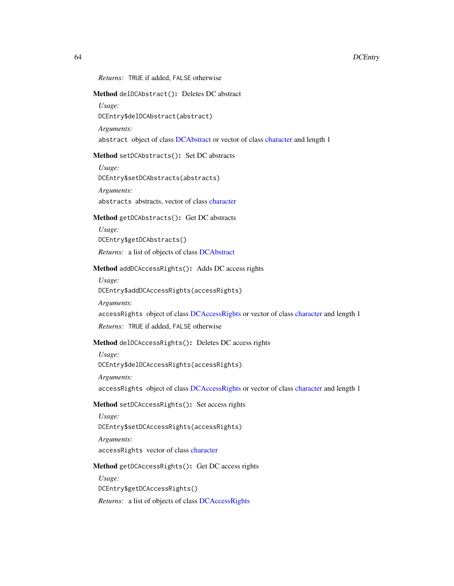## <span id="page-63-0"></span>Method delDCAbstract(): Deletes DC abstract

*Usage:*

DCEntry\$delDCAbstract(abstract)

*Arguments:*

*Arguments:*

abstract object of class [DCAbstract](#page-35-0) or vector of class [character](#page-0-0) and length 1

#### <span id="page-63-1"></span>Method setDCAbstracts(): Set DC abstracts

*Usage:* DCEntry\$setDCAbstracts(abstracts)

abstracts abstracts, vector of class [character](#page-0-0)

# <span id="page-63-2"></span>Method getDCAbstracts(): Get DC abstracts

*Usage:* DCEntry\$getDCAbstracts()

*Returns:* a list of objects of class [DCAbstract](#page-35-0)

# <span id="page-63-3"></span>Method addDCAccessRights(): Adds DC access rights

*Usage:*

DCEntry\$addDCAccessRights(accessRights)

*Arguments:*

accessRights object of class [DCAccessRights](#page-36-2) or vector of class [character](#page-0-0) and length 1

*Returns:* TRUE if added, FALSE otherwise

# <span id="page-63-4"></span>Method delDCAccessRights(): Deletes DC access rights

*Usage:* DCEntry\$delDCAccessRights(accessRights)

*Arguments:*

accessRights object of class [DCAccessRights](#page-36-2) or vector of class [character](#page-0-0) and length 1

## <span id="page-63-5"></span>Method setDCAccessRights(): Set access rights

*Usage:* DCEntry\$setDCAccessRights(accessRights) *Arguments:*

accessRights vector of class [character](#page-0-0)

## <span id="page-63-6"></span>Method getDCAccessRights(): Get DC access rights

<span id="page-63-7"></span>*Usage:* DCEntry\$getDCAccessRights() *Returns:* a list of objects of class [DCAccessRights](#page-36-2)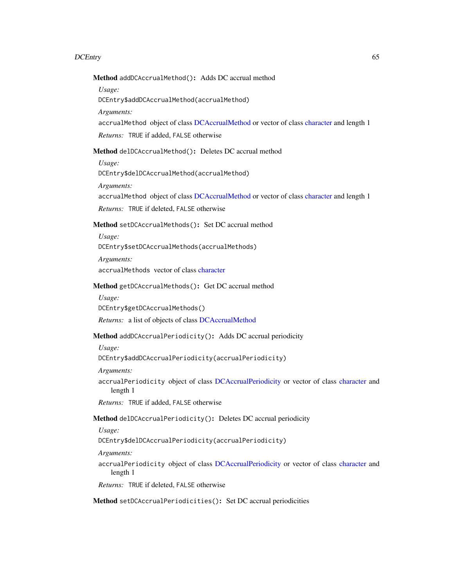Method addDCAccrualMethod(): Adds DC accrual method

*Usage:*

DCEntry\$addDCAccrualMethod(accrualMethod)

*Arguments:*

accrualMethod object of class [DCAccrualMethod](#page-37-2) or vector of class [character](#page-0-0) and length 1 *Returns:* TRUE if added, FALSE otherwise

<span id="page-64-0"></span>Method delDCAccrualMethod(): Deletes DC accrual method

*Usage:*

DCEntry\$delDCAccrualMethod(accrualMethod)

*Arguments:*

accrualMethod object of class [DCAccrualMethod](#page-37-2) or vector of class [character](#page-0-0) and length 1

*Returns:* TRUE if deleted, FALSE otherwise

<span id="page-64-1"></span>Method setDCAccrualMethods(): Set DC accrual method

*Usage:*

DCEntry\$setDCAccrualMethods(accrualMethods)

*Arguments:*

accrualMethods vector of class [character](#page-0-0)

## <span id="page-64-2"></span>Method getDCAccrualMethods(): Get DC accrual method

*Usage:*

DCEntry\$getDCAccrualMethods()

*Returns:* a list of objects of class [DCAccrualMethod](#page-37-2)

# <span id="page-64-3"></span>Method addDCAccrualPeriodicity(): Adds DC accrual periodicity

*Usage:*

DCEntry\$addDCAccrualPeriodicity(accrualPeriodicity)

*Arguments:*

accrualPeriodicity object of class [DCAccrualPeriodicity](#page-38-2) or vector of class [character](#page-0-0) and length 1

*Returns:* TRUE if added, FALSE otherwise

# <span id="page-64-4"></span>Method delDCAccrualPeriodicity(): Deletes DC accrual periodicity

*Usage:*

DCEntry\$delDCAccrualPeriodicity(accrualPeriodicity)

*Arguments:*

accrualPeriodicity object of class [DCAccrualPeriodicity](#page-38-2) or vector of class [character](#page-0-0) and length 1

*Returns:* TRUE if deleted, FALSE otherwise

<span id="page-64-5"></span>Method setDCAccrualPeriodicities(): Set DC accrual periodicities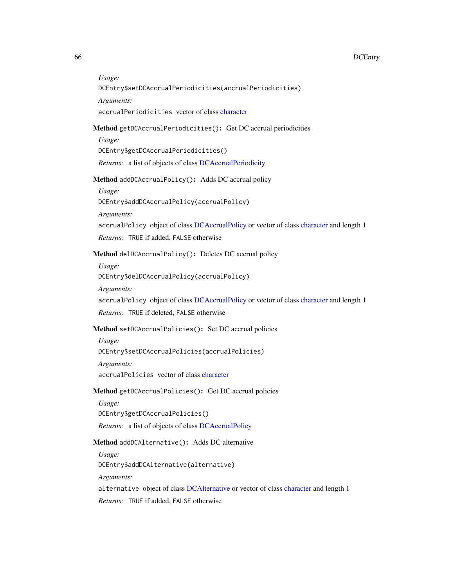*Usage:*

```
DCEntry$setDCAccrualPeriodicities(accrualPeriodicities)
```
*Arguments:*

accrualPeriodicities vector of class [character](#page-0-0)

# <span id="page-65-0"></span>Method getDCAccrualPeriodicities(): Get DC accrual periodicities

*Usage:*

DCEntry\$getDCAccrualPeriodicities()

*Returns:* a list of objects of class [DCAccrualPeriodicity](#page-38-2)

<span id="page-65-1"></span>Method addDCAccrualPolicy(): Adds DC accrual policy

*Usage:*

DCEntry\$addDCAccrualPolicy(accrualPolicy)

*Arguments:*

accrualPolicy object of class [DCAccrualPolicy](#page-39-2) or vector of class [character](#page-0-0) and length 1

*Returns:* TRUE if added, FALSE otherwise

## <span id="page-65-2"></span>Method delDCAccrualPolicy(): Deletes DC accrual policy

*Usage:* DCEntry\$delDCAccrualPolicy(accrualPolicy)

*Arguments:*

accrualPolicy object of class [DCAccrualPolicy](#page-39-2) or vector of class [character](#page-0-0) and length 1

*Returns:* TRUE if deleted, FALSE otherwise

# <span id="page-65-3"></span>Method setDCAccrualPolicies(): Set DC accrual policies

*Usage:*

DCEntry\$setDCAccrualPolicies(accrualPolicies)

*Arguments:*

accrualPolicies vector of class [character](#page-0-0)

# <span id="page-65-4"></span>Method getDCAccrualPolicies(): Get DC accrual policies

*Usage:*

DCEntry\$getDCAccrualPolicies()

*Returns:* a list of objects of class [DCAccrualPolicy](#page-39-2)

## <span id="page-65-5"></span>Method addDCAlternative(): Adds DC alternative

*Usage:*

DCEntry\$addDCAlternative(alternative)

*Arguments:*

alternative object of class [DCAlternative](#page-40-2) or vector of class [character](#page-0-0) and length 1

<span id="page-65-6"></span>*Returns:* TRUE if added, FALSE otherwise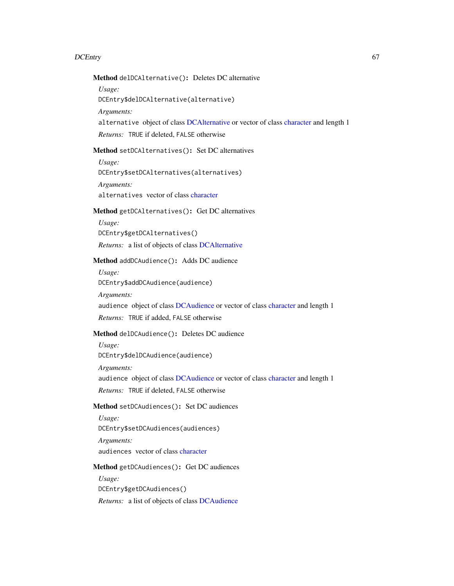Method delDCAlternative(): Deletes DC alternative

*Usage:*

DCEntry\$delDCAlternative(alternative)

*Arguments:*

alternative object of class [DCAlternative](#page-40-2) or vector of class [character](#page-0-0) and length 1

*Returns:* TRUE if deleted, FALSE otherwise

# <span id="page-66-0"></span>Method setDCAlternatives(): Set DC alternatives

*Usage:*

DCEntry\$setDCAlternatives(alternatives)

*Arguments:*

alternatives vector of class [character](#page-0-0)

# <span id="page-66-1"></span>Method getDCAlternatives(): Get DC alternatives

*Usage:*

DCEntry\$getDCAlternatives()

*Returns:* a list of objects of class [DCAlternative](#page-40-2)

# <span id="page-66-2"></span>Method addDCAudience(): Adds DC audience

*Usage:*

DCEntry\$addDCAudience(audience)

*Arguments:*

audience object of class [DCAudience](#page-41-2) or vector of class [character](#page-0-0) and length 1

*Returns:* TRUE if added, FALSE otherwise

# <span id="page-66-3"></span>Method delDCAudience(): Deletes DC audience

*Usage:*

DCEntry\$delDCAudience(audience)

*Arguments:*

audience object of class [DCAudience](#page-41-2) or vector of class [character](#page-0-0) and length 1

*Returns:* TRUE if deleted, FALSE otherwise

# <span id="page-66-4"></span>Method setDCAudiences(): Set DC audiences

*Usage:* DCEntry\$setDCAudiences(audiences) *Arguments:*

audiences vector of class [character](#page-0-0)

#### <span id="page-66-5"></span>Method getDCAudiences(): Get DC audiences

<span id="page-66-6"></span>*Usage:* DCEntry\$getDCAudiences() *Returns:* a list of objects of class [DCAudience](#page-41-2)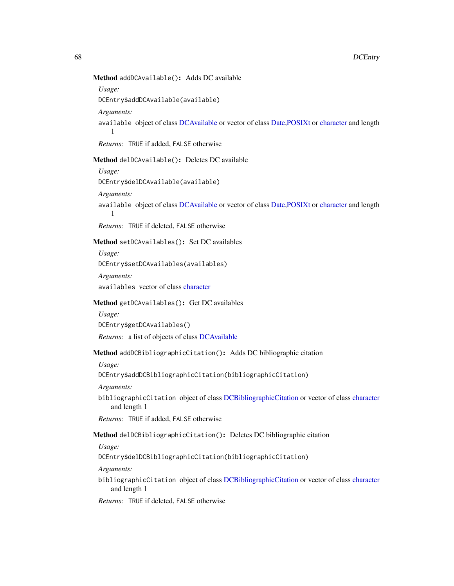# Method addDCAvailable(): Adds DC available

*Usage:*

DCEntry\$addDCAvailable(available)

*Arguments:*

available object of class [DCAvailable](#page-42-2) or vector of class [Date,POSIXt](#page-0-0) or [character](#page-0-0) and length 1

*Returns:* TRUE if added, FALSE otherwise

<span id="page-67-0"></span>Method delDCAvailable(): Deletes DC available

*Usage:*

DCEntry\$delDCAvailable(available)

*Arguments:*

available object of class [DCAvailable](#page-42-2) or vector of class [Date,POSIXt](#page-0-0) or [character](#page-0-0) and length 1

*Returns:* TRUE if deleted, FALSE otherwise

## <span id="page-67-1"></span>Method setDCAvailables(): Set DC availables

*Usage:* DCEntry\$setDCAvailables(availables)

*Arguments:* availables vector of class [character](#page-0-0)

#### <span id="page-67-2"></span>Method getDCAvailables(): Get DC availables

*Usage:* DCEntry\$getDCAvailables() *Returns:* a list of objects of class [DCAvailable](#page-42-2)

#### <span id="page-67-3"></span>Method addDCBibliographicCitation(): Adds DC bibliographic citation

*Usage:*

DCEntry\$addDCBibliographicCitation(bibliographicCitation)

*Arguments:*

bibliographicCitation object of class [DCBibliographicCitation](#page-43-2) or vector of class [character](#page-0-0) and length 1

*Returns:* TRUE if added, FALSE otherwise

# <span id="page-67-4"></span>Method delDCBibliographicCitation(): Deletes DC bibliographic citation

*Usage:*

DCEntry\$delDCBibliographicCitation(bibliographicCitation)

*Arguments:*

bibliographicCitation object of class [DCBibliographicCitation](#page-43-2) or vector of class [character](#page-0-0) and length 1

<span id="page-67-5"></span>*Returns:* TRUE if deleted, FALSE otherwise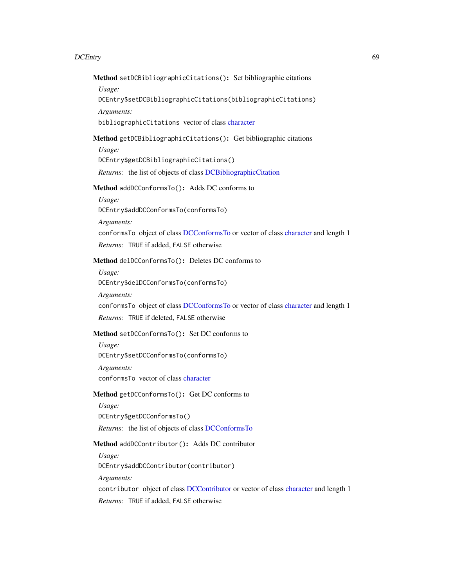Method setDCBibliographicCitations(): Set bibliographic citations

*Usage:*

DCEntry\$setDCBibliographicCitations(bibliographicCitations)

*Arguments:*

bibliographicCitations vector of class [character](#page-0-0)

## <span id="page-68-0"></span>Method getDCBibliographicCitations(): Get bibliographic citations

*Usage:*

DCEntry\$getDCBibliographicCitations()

*Returns:* the list of objects of class [DCBibliographicCitation](#page-43-2)

# <span id="page-68-1"></span>Method addDCConformsTo(): Adds DC conforms to

*Usage:*

DCEntry\$addDCConformsTo(conformsTo)

*Arguments:*

conformsTo object of class [DCConformsTo](#page-44-2) or vector of class [character](#page-0-0) and length 1

*Returns:* TRUE if added, FALSE otherwise

# <span id="page-68-2"></span>Method delDCConformsTo(): Deletes DC conforms to

*Usage:*

DCEntry\$delDCConformsTo(conformsTo)

*Arguments:*

conformsTo object of class [DCConformsTo](#page-44-2) or vector of class [character](#page-0-0) and length 1

*Returns:* TRUE if deleted, FALSE otherwise

## <span id="page-68-3"></span>Method setDCConformsTo(): Set DC conforms to

*Usage:* DCEntry\$setDCConformsTo(conformsTo) *Arguments:* conformsTo vector of class [character](#page-0-0)

#### <span id="page-68-4"></span>Method getDCConformsTo(): Get DC conforms to

*Usage:* DCEntry\$getDCConformsTo() *Returns:* the list of objects of class [DCConformsTo](#page-44-2)

# <span id="page-68-5"></span>Method addDCContributor(): Adds DC contributor

*Usage:*

DCEntry\$addDCContributor(contributor)

*Arguments:*

contributor object of class [DCContributor](#page-45-2) or vector of class [character](#page-0-0) and length 1

<span id="page-68-6"></span>*Returns:* TRUE if added, FALSE otherwise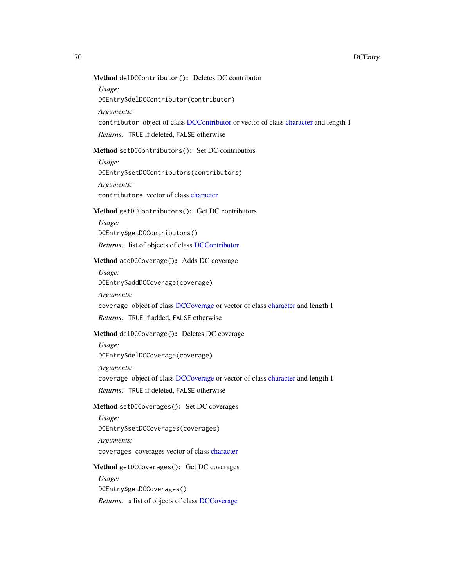# Method delDCContributor(): Deletes DC contributor

*Usage:*

DCEntry\$delDCContributor(contributor)

*Arguments:*

contributor object of class [DCContributor](#page-45-2) or vector of class [character](#page-0-0) and length 1

*Returns:* TRUE if deleted, FALSE otherwise

# <span id="page-69-0"></span>Method setDCContributors(): Set DC contributors

*Usage:*

DCEntry\$setDCContributors(contributors)

*Arguments:*

contributors vector of class [character](#page-0-0)

# <span id="page-69-1"></span>Method getDCContributors(): Get DC contributors

*Usage:*

DCEntry\$getDCContributors()

*Returns:* list of objects of class [DCContributor](#page-45-2)

# <span id="page-69-2"></span>Method addDCCoverage(): Adds DC coverage

*Usage:*

DCEntry\$addDCCoverage(coverage)

*Arguments:*

coverage object of class [DCCoverage](#page-46-2) or vector of class [character](#page-0-0) and length 1

*Returns:* TRUE if added, FALSE otherwise

# <span id="page-69-3"></span>Method delDCCoverage(): Deletes DC coverage

*Usage:*

DCEntry\$delDCCoverage(coverage)

*Arguments:*

coverage object of class [DCCoverage](#page-46-2) or vector of class [character](#page-0-0) and length 1

*Returns:* TRUE if deleted, FALSE otherwise

# <span id="page-69-4"></span>Method setDCCoverages(): Set DC coverages

*Usage:* DCEntry\$setDCCoverages(coverages)

*Arguments:* coverages coverages vector of class [character](#page-0-0)

## <span id="page-69-5"></span>Method getDCCoverages(): Get DC coverages

*Usage:* DCEntry\$getDCCoverages()

<span id="page-69-6"></span>*Returns:* a list of objects of class [DCCoverage](#page-46-2)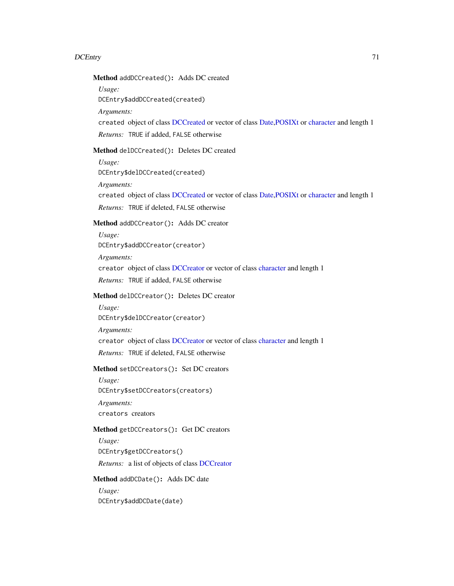Method addDCCreated(): Adds DC created

*Usage:*

DCEntry\$addDCCreated(created)

*Arguments:*

created object of class [DCCreated](#page-47-2) or vector of class [Date,POSIXt](#page-0-0) or [character](#page-0-0) and length 1 *Returns:* TRUE if added, FALSE otherwise

# <span id="page-70-0"></span>Method delDCCreated(): Deletes DC created

*Usage:*

DCEntry\$delDCCreated(created)

*Arguments:*

created object of class [DCCreated](#page-47-2) or vector of class [Date,POSIXt](#page-0-0) or [character](#page-0-0) and length 1 *Returns:* TRUE if deleted, FALSE otherwise

# <span id="page-70-1"></span>Method addDCCreator(): Adds DC creator

*Usage:* DCEntry\$addDCCreator(creator) *Arguments:* creator object of class [DCCreator](#page-48-2) or vector of class [character](#page-0-0) and length 1 *Returns:* TRUE if added, FALSE otherwise

## <span id="page-70-2"></span>Method delDCCreator(): Deletes DC creator

*Usage:* DCEntry\$delDCCreator(creator) *Arguments:* creator object of class [DCCreator](#page-48-2) or vector of class [character](#page-0-0) and length 1 *Returns:* TRUE if deleted, FALSE otherwise

## <span id="page-70-3"></span>Method setDCCreators(): Set DC creators

*Usage:* DCEntry\$setDCCreators(creators) *Arguments:* creators creators

# <span id="page-70-4"></span>Method getDCCreators(): Get DC creators

*Usage:* DCEntry\$getDCCreators() *Returns:* a list of objects of class [DCCreator](#page-48-2)

#### <span id="page-70-5"></span>Method addDCDate(): Adds DC date

*Usage:* DCEntry\$addDCDate(date)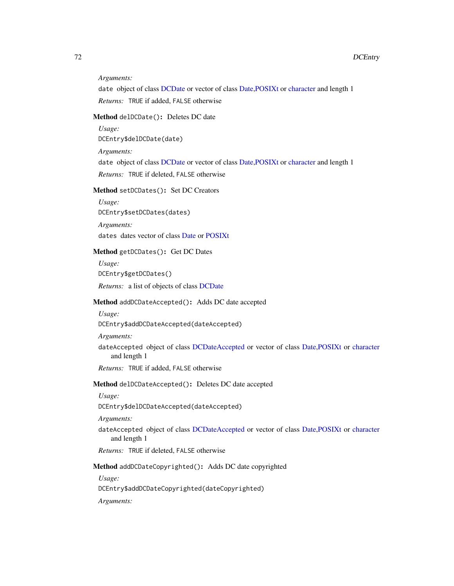#### *Arguments:*

date object of class [DCDate](#page-49-2) or vector of class [Date,POSIXt](#page-0-0) or [character](#page-0-0) and length 1 *Returns:* TRUE if added, FALSE otherwise

## <span id="page-71-0"></span>Method delDCDate(): Deletes DC date

*Usage:*

DCEntry\$delDCDate(date)

*Arguments:*

date object of class [DCDate](#page-49-2) or vector of class [Date,POSIXt](#page-0-0) or [character](#page-0-0) and length 1

*Returns:* TRUE if deleted, FALSE otherwise

# <span id="page-71-1"></span>Method setDCDates(): Set DC Creators

*Usage:* DCEntry\$setDCDates(dates) *Arguments:*

dates dates vector of class [Date](#page-0-0) or [POSIXt](#page-0-0)

# <span id="page-71-2"></span>Method getDCDates(): Get DC Dates

*Usage:*

DCEntry\$getDCDates()

*Returns:* a list of objects of class [DCDate](#page-49-2)

#### <span id="page-71-3"></span>Method addDCDateAccepted(): Adds DC date accepted

*Usage:*

DCEntry\$addDCDateAccepted(dateAccepted)

*Arguments:*

dateAccepted object of class [DCDateAccepted](#page-50-2) or vector of class [Date,POSIXt](#page-0-0) or [character](#page-0-0) and length 1

*Returns:* TRUE if added, FALSE otherwise

## <span id="page-71-4"></span>Method delDCDateAccepted(): Deletes DC date accepted

*Usage:*

DCEntry\$delDCDateAccepted(dateAccepted)

## *Arguments:*

dateAccepted object of class [DCDateAccepted](#page-50-2) or vector of class [Date,POSIXt](#page-0-0) or [character](#page-0-0) and length 1

*Returns:* TRUE if deleted, FALSE otherwise

<span id="page-71-5"></span>Method addDCDateCopyrighted(): Adds DC date copyrighted

*Usage:*

DCEntry\$addDCDateCopyrighted(dateCopyrighted)

*Arguments:*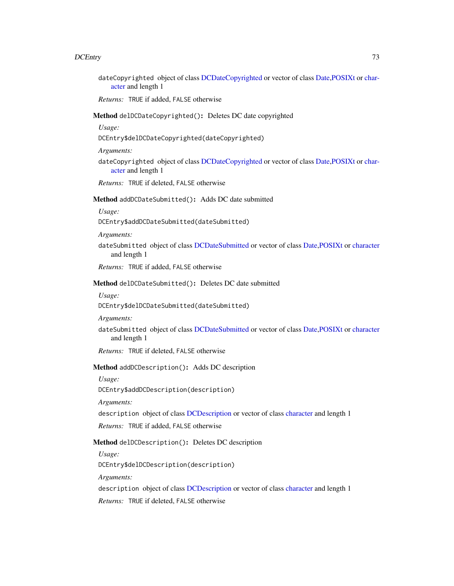dateCopyrighted object of class [DCDateCopyrighted](#page-51-0) or vector of class [Date,POSIXt](#page-0-0) or [char](#page-0-0)[acter](#page-0-0) and length 1

*Returns:* TRUE if added, FALSE otherwise

Method delDCDateCopyrighted(): Deletes DC date copyrighted

*Usage:*

DCEntry\$delDCDateCopyrighted(dateCopyrighted)

*Arguments:*

dateCopyrighted object of class [DCDateCopyrighted](#page-51-0) or vector of class [Date,POSIXt](#page-0-0) or [char](#page-0-0)[acter](#page-0-0) and length 1

*Returns:* TRUE if deleted, FALSE otherwise

# Method addDCDateSubmitted(): Adds DC date submitted

*Usage:*

DCEntry\$addDCDateSubmitted(dateSubmitted)

*Arguments:*

dateSubmitted object of class [DCDateSubmitted](#page-52-0) or vector of class [Date,POSIXt](#page-0-0) or [character](#page-0-0) and length 1

*Returns:* TRUE if added, FALSE otherwise

### Method delDCDateSubmitted(): Deletes DC date submitted

*Usage:*

DCEntry\$delDCDateSubmitted(dateSubmitted)

*Arguments:*

dateSubmitted object of class [DCDateSubmitted](#page-52-0) or vector of class [Date,POSIXt](#page-0-0) or [character](#page-0-0) and length 1

*Returns:* TRUE if deleted, FALSE otherwise

Method addDCDescription(): Adds DC description

*Usage:*

DCEntry\$addDCDescription(description)

*Arguments:*

description object of class [DCDescription](#page-53-0) or vector of class [character](#page-0-0) and length 1

*Returns:* TRUE if added, FALSE otherwise

## Method delDCDescription(): Deletes DC description

*Usage:*

DCEntry\$delDCDescription(description)

*Arguments:*

description object of class [DCDescription](#page-53-0) or vector of class [character](#page-0-0) and length 1

*Returns:* TRUE if deleted, FALSE otherwise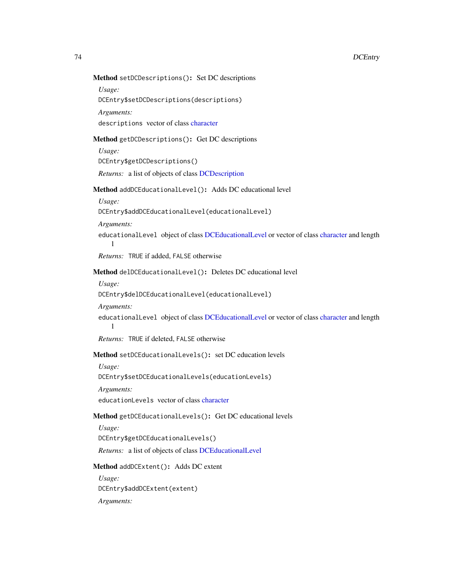## Method setDCDescriptions(): Set DC descriptions

*Usage:*

DCEntry\$setDCDescriptions(descriptions)

*Arguments:*

descriptions vector of class [character](#page-0-0)

# Method getDCDescriptions(): Get DC descriptions

*Usage:*

DCEntry\$getDCDescriptions()

*Returns:* a list of objects of class [DCDescription](#page-53-0)

## Method addDCEducationalLevel(): Adds DC educational level

*Usage:*

DCEntry\$addDCEducationalLevel(educationalLevel)

*Arguments:*

1

educationalLevel object of class [DCEducationalLevel](#page-54-0) or vector of class [character](#page-0-0) and length

*Returns:* TRUE if added, FALSE otherwise

## Method delDCEducationalLevel(): Deletes DC educational level

*Usage:*

DCEntry\$delDCEducationalLevel(educationalLevel)

#### *Arguments:*

educationalLevel object of class [DCEducationalLevel](#page-54-0) or vector of class [character](#page-0-0) and length 1

*Returns:* TRUE if deleted, FALSE otherwise

### Method setDCEducationalLevels(): set DC education levels

*Usage:*

DCEntry\$setDCEducationalLevels(educationLevels)

*Arguments:*

educationLevels vector of class [character](#page-0-0)

### Method getDCEducationalLevels(): Get DC educational levels

*Usage:*

DCEntry\$getDCEducationalLevels()

*Returns:* a list of objects of class [DCEducationalLevel](#page-54-0)

### Method addDCExtent(): Adds DC extent

*Usage:* DCEntry\$addDCExtent(extent) *Arguments:*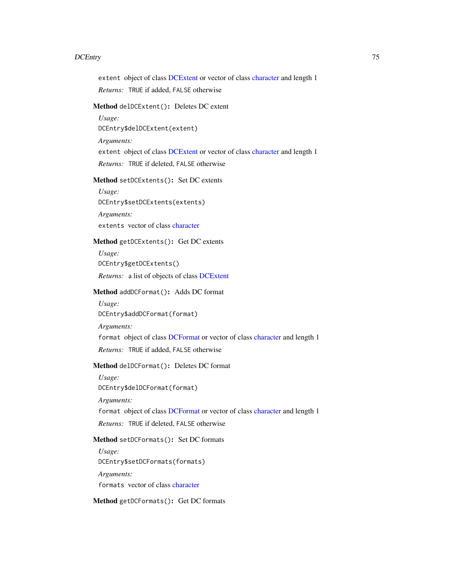extent object of class [DCExtent](#page-93-0) or vector of class [character](#page-0-0) and length 1

*Returns:* TRUE if added, FALSE otherwise

## Method delDCExtent(): Deletes DC extent

*Usage:*

DCEntry\$delDCExtent(extent)

#### *Arguments:*

extent object of class [DCExtent](#page-93-0) or vector of class [character](#page-0-0) and length 1

*Returns:* TRUE if deleted, FALSE otherwise

## Method setDCExtents(): Set DC extents

*Usage:* DCEntry\$setDCExtents(extents)

*Arguments:* extents vector of class [character](#page-0-0)

# Method getDCExtents(): Get DC extents

*Usage:* DCEntry\$getDCExtents() *Returns:* a list of objects of class [DCExtent](#page-93-0)

#### Method addDCFormat(): Adds DC format

*Usage:* DCEntry\$addDCFormat(format) *Arguments:* format object of class [DCFormat](#page-94-0) or vector of class [character](#page-0-0) and length 1 *Returns:* TRUE if added, FALSE otherwise

# Method delDCFormat(): Deletes DC format

*Usage:* DCEntry\$delDCFormat(format) *Arguments:* format object of class [DCFormat](#page-94-0) or vector of class [character](#page-0-0) and length 1 *Returns:* TRUE if deleted, FALSE otherwise

# Method setDCFormats(): Set DC formats

*Usage:* DCEntry\$setDCFormats(formats) *Arguments:* formats vector of class [character](#page-0-0)

Method getDCFormats(): Get DC formats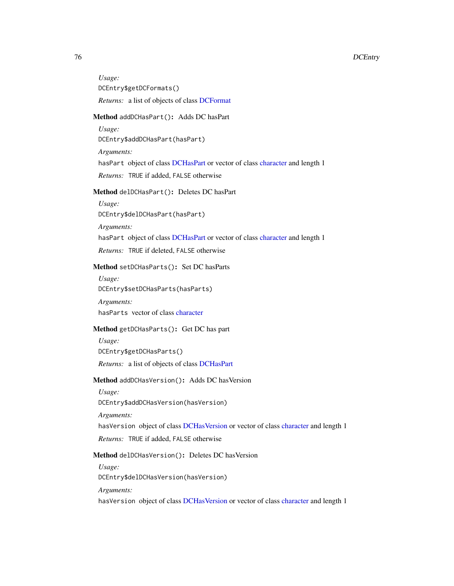*Usage:* DCEntry\$getDCFormats() *Returns:* a list of objects of class [DCFormat](#page-94-0)

### Method addDCHasPart(): Adds DC hasPart

*Usage:* DCEntry\$addDCHasPart(hasPart)

*Arguments:*

hasPart object of class [DCHasPart](#page-95-0) or vector of class [character](#page-0-0) and length 1

*Returns:* TRUE if added, FALSE otherwise

# Method delDCHasPart(): Deletes DC hasPart

*Usage:* DCEntry\$delDCHasPart(hasPart)

*Arguments:*

hasPart object of class [DCHasPart](#page-95-0) or vector of class [character](#page-0-0) and length 1

*Returns:* TRUE if deleted, FALSE otherwise

### Method setDCHasParts(): Set DC hasParts

*Usage:* DCEntry\$setDCHasParts(hasParts)

*Arguments:*

hasParts vector of class [character](#page-0-0)

# Method getDCHasParts(): Get DC has part

*Usage:* DCEntry\$getDCHasParts()

*Returns:* a list of objects of class [DCHasPart](#page-95-0)

### Method addDCHasVersion(): Adds DC hasVersion

*Usage:*

DCEntry\$addDCHasVersion(hasVersion)

*Arguments:*

hasVersion object of class [DCHasVersion](#page-96-0) or vector of class [character](#page-0-0) and length 1

*Returns:* TRUE if added, FALSE otherwise

### Method delDCHasVersion(): Deletes DC hasVersion

*Usage:*

DCEntry\$delDCHasVersion(hasVersion)

*Arguments:*

hasVersion object of class [DCHasVersion](#page-96-0) or vector of class [character](#page-0-0) and length 1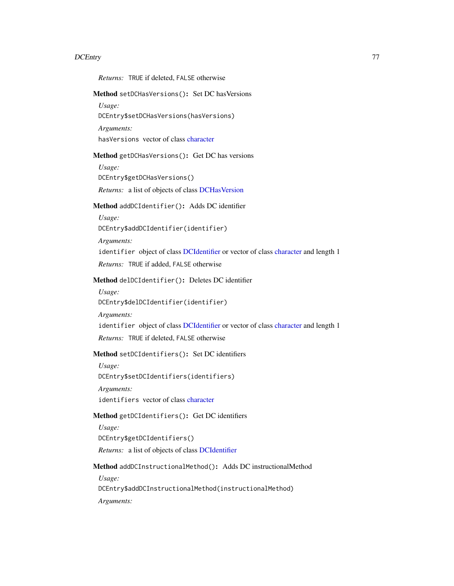*Returns:* TRUE if deleted, FALSE otherwise Method setDCHasVersions(): Set DC hasVersions *Usage:* DCEntry\$setDCHasVersions(hasVersions) *Arguments:* hasVersions vector of class [character](#page-0-0) Method getDCHasVersions(): Get DC has versions *Usage:* DCEntry\$getDCHasVersions() *Returns:* a list of objects of class [DCHasVersion](#page-96-0) Method addDCIdentifier(): Adds DC identifier *Usage:* DCEntry\$addDCIdentifier(identifier) *Arguments:* identifier object of class [DCIdentifier](#page-97-0) or vector of class [character](#page-0-0) and length 1 *Returns:* TRUE if added, FALSE otherwise Method delDCIdentifier(): Deletes DC identifier *Usage:* DCEntry\$delDCIdentifier(identifier) *Arguments:* identifier object of class [DCIdentifier](#page-97-0) or vector of class [character](#page-0-0) and length 1 *Returns:* TRUE if deleted, FALSE otherwise Method setDCIdentifiers(): Set DC identifiers *Usage:* DCEntry\$setDCIdentifiers(identifiers) *Arguments:* identifiers vector of class [character](#page-0-0) Method getDCIdentifiers(): Get DC identifiers *Usage:* DCEntry\$getDCIdentifiers() *Returns:* a list of objects of class [DCIdentifier](#page-97-0) Method addDCInstructionalMethod(): Adds DC instructionalMethod *Usage:* DCEntry\$addDCInstructionalMethod(instructionalMethod) *Arguments:*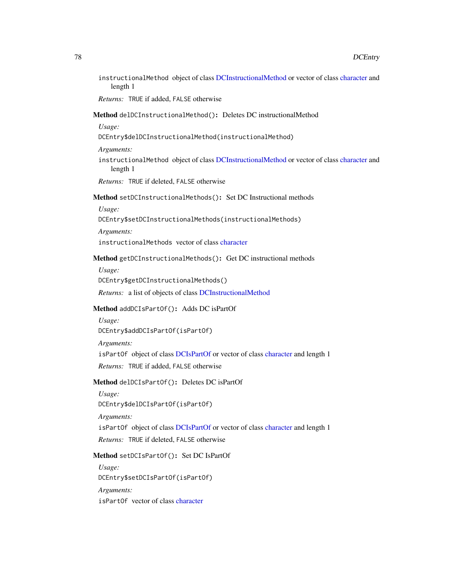instructionalMethod object of class [DCInstructionalMethod](#page-98-0) or vector of class [character](#page-0-0) and length 1

*Returns:* TRUE if added, FALSE otherwise

Method delDCInstructionalMethod(): Deletes DC instructionalMethod

*Usage:*

- DCEntry\$delDCInstructionalMethod(instructionalMethod)
- *Arguments:*
- instructionalMethod object of class [DCInstructionalMethod](#page-98-0) or vector of class [character](#page-0-0) and length 1

*Returns:* TRUE if deleted, FALSE otherwise

### Method setDCInstructionalMethods(): Set DC Instructional methods

### *Usage:*

DCEntry\$setDCInstructionalMethods(instructionalMethods)

*Arguments:* instructionalMethods vector of class [character](#page-0-0)

### Method getDCInstructionalMethods(): Get DC instructional methods

*Usage:*

DCEntry\$getDCInstructionalMethods()

*Returns:* a list of objects of class [DCInstructionalMethod](#page-98-0)

## Method addDCIsPartOf(): Adds DC isPartOf

*Usage:*

DCEntry\$addDCIsPartOf(isPartOf)

## *Arguments:*

isPartOf object of class [DCIsPartOf](#page-99-0) or vector of class [character](#page-0-0) and length 1

*Returns:* TRUE if added, FALSE otherwise

# Method delDCIsPartOf(): Deletes DC isPartOf

*Usage:*

DCEntry\$delDCIsPartOf(isPartOf)

*Arguments:*

isPartOf object of class [DCIsPartOf](#page-99-0) or vector of class [character](#page-0-0) and length 1

*Returns:* TRUE if deleted, FALSE otherwise

# Method setDCIsPartOf(): Set DC IsPartOf

*Usage:* DCEntry\$setDCIsPartOf(isPartOf) *Arguments:* isPartOf vector of class [character](#page-0-0)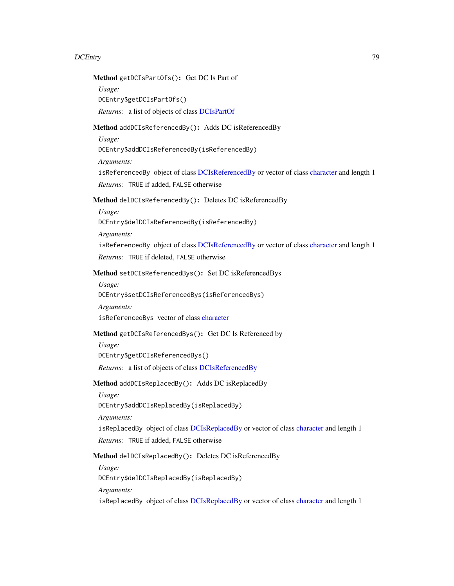Method getDCIsPartOfs(): Get DC Is Part of

*Usage:*

DCEntry\$getDCIsPartOfs()

*Returns:* a list of objects of class [DCIsPartOf](#page-99-0)

Method addDCIsReferencedBy(): Adds DC isReferencedBy

*Usage:*

DCEntry\$addDCIsReferencedBy(isReferencedBy)

*Arguments:*

isReferencedBy object of class [DCIsReferencedBy](#page-100-0) or vector of class [character](#page-0-0) and length 1 *Returns:* TRUE if added, FALSE otherwise

Method delDCIsReferencedBy(): Deletes DC isReferencedBy

*Usage:*

DCEntry\$delDCIsReferencedBy(isReferencedBy)

*Arguments:*

isReferencedBy object of class [DCIsReferencedBy](#page-100-0) or vector of class [character](#page-0-0) and length 1 *Returns:* TRUE if deleted, FALSE otherwise

Method setDCIsReferencedBys(): Set DC isReferencedBys

*Usage:*

DCEntry\$setDCIsReferencedBys(isReferencedBys)

*Arguments:*

isReferencedBys vector of class [character](#page-0-0)

## Method getDCIsReferencedBys(): Get DC Is Referenced by

*Usage:*

DCEntry\$getDCIsReferencedBys()

*Returns:* a list of objects of class [DCIsReferencedBy](#page-100-0)

Method addDCIsReplacedBy(): Adds DC isReplacedBy

*Usage:*

DCEntry\$addDCIsReplacedBy(isReplacedBy)

*Arguments:*

isReplacedBy object of class [DCIsReplacedBy](#page-101-0) or vector of class [character](#page-0-0) and length 1

*Returns:* TRUE if added, FALSE otherwise

Method delDCIsReplacedBy(): Deletes DC isReferencedBy

*Usage:*

DCEntry\$delDCIsReplacedBy(isReplacedBy)

*Arguments:*

isReplacedBy object of class [DCIsReplacedBy](#page-101-0) or vector of class [character](#page-0-0) and length 1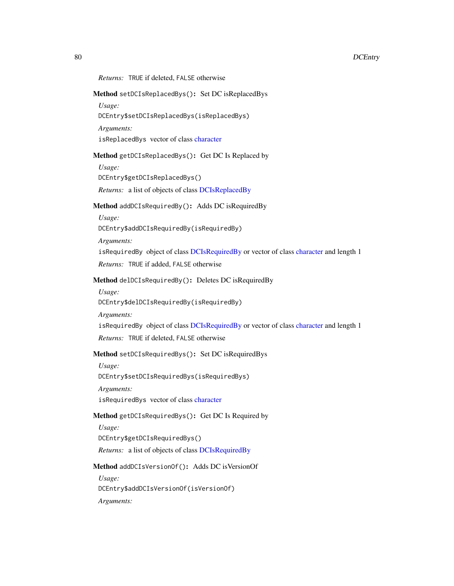# *Returns:* TRUE if deleted, FALSE otherwise

# Method setDCIsReplacedBys(): Set DC isReplacedBys

*Usage:*

DCEntry\$setDCIsReplacedBys(isReplacedBys)

*Arguments:*

isReplacedBys vector of class [character](#page-0-0)

### Method getDCIsReplacedBys(): Get DC Is Replaced by

*Usage:* DCEntry\$getDCIsReplacedBys() *Returns:* a list of objects of class [DCIsReplacedBy](#page-101-0)

# Method addDCIsRequiredBy(): Adds DC isRequiredBy

*Usage:* DCEntry\$addDCIsRequiredBy(isRequiredBy)

*Arguments:*

isRequiredBy object of class [DCIsRequiredBy](#page-102-0) or vector of class [character](#page-0-0) and length 1 *Returns:* TRUE if added, FALSE otherwise

# Method delDCIsRequiredBy(): Deletes DC isRequiredBy

*Usage:* DCEntry\$delDCIsRequiredBy(isRequiredBy)

*Arguments:*

isRequiredBy object of class [DCIsRequiredBy](#page-102-0) or vector of class [character](#page-0-0) and length 1

*Returns:* TRUE if deleted, FALSE otherwise

# Method setDCIsRequiredBys(): Set DC isRequiredBys

*Usage:* DCEntry\$setDCIsRequiredBys(isRequiredBys) *Arguments:* isRequiredBys vector of class [character](#page-0-0)

Method getDCIsRequiredBys(): Get DC Is Required by

*Usage:*

DCEntry\$getDCIsRequiredBys()

*Returns:* a list of objects of class [DCIsRequiredBy](#page-102-0)

Method addDCIsVersionOf(): Adds DC isVersionOf

*Usage:* DCEntry\$addDCIsVersionOf(isVersionOf) *Arguments:*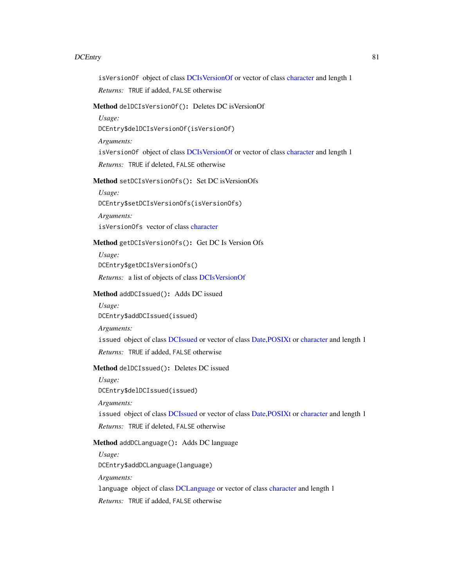isVersionOf object of class [DCIsVersionOf](#page-104-0) or vector of class [character](#page-0-0) and length 1

*Returns:* TRUE if added, FALSE otherwise

# Method delDCIsVersionOf(): Deletes DC isVersionOf

*Usage:*

DCEntry\$delDCIsVersionOf(isVersionOf)

*Arguments:*

isVersionOf object of class [DCIsVersionOf](#page-104-0) or vector of class [character](#page-0-0) and length 1

*Returns:* TRUE if deleted, FALSE otherwise

Method setDCIsVersionOfs(): Set DC isVersionOfs

*Usage:* DCEntry\$setDCIsVersionOfs(isVersionOfs)

*Arguments:* isVersionOfs vector of class [character](#page-0-0)

### Method getDCIsVersionOfs(): Get DC Is Version Ofs

*Usage:* DCEntry\$getDCIsVersionOfs() *Returns:* a list of objects of class [DCIsVersionOf](#page-104-0)

# Method addDCIssued(): Adds DC issued

*Usage:* DCEntry\$addDCIssued(issued) *Arguments:* issued object of class [DCIssued](#page-103-0) or vector of class [Date,POSIXt](#page-0-0) or [character](#page-0-0) and length 1 *Returns:* TRUE if added, FALSE otherwise

# Method delDCIssued(): Deletes DC issued

*Usage:*

DCEntry\$delDCIssued(issued)

*Arguments:*

issued object of class [DCIssued](#page-103-0) or vector of class [Date,POSIXt](#page-0-0) or [character](#page-0-0) and length 1

*Returns:* TRUE if deleted, FALSE otherwise

### Method addDCLanguage(): Adds DC language

*Usage:*

DCEntry\$addDCLanguage(language)

*Arguments:*

language object of class [DCLanguage](#page-105-0) or vector of class [character](#page-0-0) and length 1

*Returns:* TRUE if added, FALSE otherwise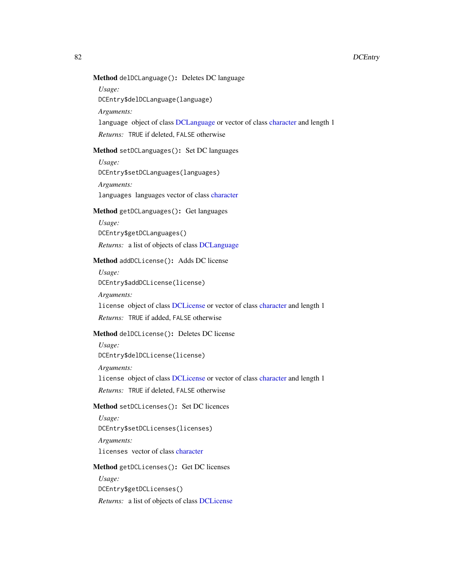# Method delDCLanguage(): Deletes DC language

*Usage:*

DCEntry\$delDCLanguage(language)

*Arguments:*

language object of class [DCLanguage](#page-105-0) or vector of class [character](#page-0-0) and length 1

*Returns:* TRUE if deleted, FALSE otherwise

# Method setDCLanguages(): Set DC languages

*Usage:*

DCEntry\$setDCLanguages(languages)

*Arguments:* languages languages vector of class [character](#page-0-0)

### Method getDCLanguages(): Get languages

*Usage:*

DCEntry\$getDCLanguages()

*Returns:* a list of objects of class [DCLanguage](#page-105-0)

# Method addDCLicense(): Adds DC license

*Usage:* DCEntry\$addDCLicense(license)

*Arguments:*

license object of class [DCLicense](#page-106-0) or vector of class [character](#page-0-0) and length 1

*Returns:* TRUE if added, FALSE otherwise

# Method delDCLicense(): Deletes DC license

*Usage:* DCEntry\$delDCLicense(license)

*Arguments:*

license object of class [DCLicense](#page-106-0) or vector of class [character](#page-0-0) and length 1

*Returns:* TRUE if deleted, FALSE otherwise

# Method setDCLicenses(): Set DC licences

*Usage:* DCEntry\$setDCLicenses(licenses) *Arguments:*

licenses vector of class [character](#page-0-0)

#### Method getDCLicenses(): Get DC licenses

*Usage:* DCEntry\$getDCLicenses() *Returns:* a list of objects of class [DCLicense](#page-106-0)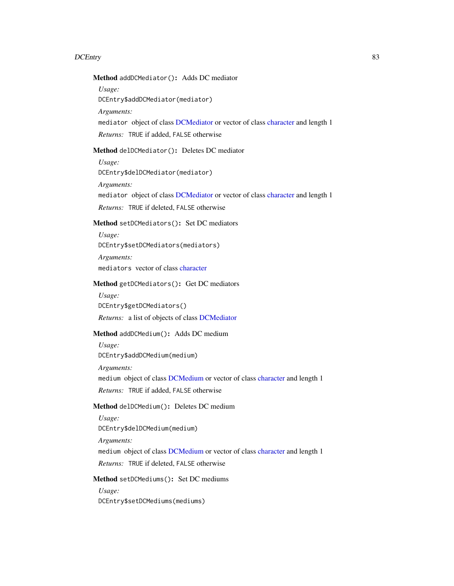Method addDCMediator(): Adds DC mediator

*Usage:*

DCEntry\$addDCMediator(mediator)

*Arguments:*

mediator object of class [DCMediator](#page-107-0) or vector of class [character](#page-0-0) and length 1

*Returns:* TRUE if added, FALSE otherwise

# Method delDCMediator(): Deletes DC mediator

*Usage:*

DCEntry\$delDCMediator(mediator)

*Arguments:*

mediator object of class [DCMediator](#page-107-0) or vector of class [character](#page-0-0) and length 1

*Returns:* TRUE if deleted, FALSE otherwise

# Method setDCMediators(): Set DC mediators

*Usage:* DCEntry\$setDCMediators(mediators) *Arguments:* mediators vector of class [character](#page-0-0)

### Method getDCMediators(): Get DC mediators

*Usage:* DCEntry\$getDCMediators() *Returns:* a list of objects of class [DCMediator](#page-107-0)

# Method addDCMedium(): Adds DC medium

*Usage:* DCEntry\$addDCMedium(medium)

*Arguments:*

medium object of class [DCMedium](#page-108-0) or vector of class [character](#page-0-0) and length 1

*Returns:* TRUE if added, FALSE otherwise

# Method delDCMedium(): Deletes DC medium

*Usage:* DCEntry\$delDCMedium(medium) *Arguments:* medium object of class [DCMedium](#page-108-0) or vector of class [character](#page-0-0) and length 1 *Returns:* TRUE if deleted, FALSE otherwise

## Method setDCMediums(): Set DC mediums

*Usage:*

DCEntry\$setDCMediums(mediums)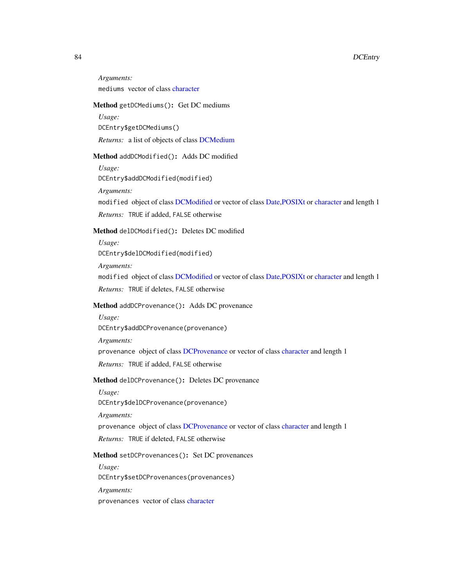*Arguments:* mediums vector of class [character](#page-0-0)

## Method getDCMediums(): Get DC mediums

*Usage:* DCEntry\$getDCMediums() *Returns:* a list of objects of class [DCMedium](#page-108-0)

#### Method addDCModified(): Adds DC modified

*Usage:* DCEntry\$addDCModified(modified)

*Arguments:*

modified object of class [DCModified](#page-110-0) or vector of class [Date,POSIXt](#page-0-0) or [character](#page-0-0) and length 1

*Returns:* TRUE if added, FALSE otherwise

# Method delDCModified(): Deletes DC modified

*Usage:* DCEntry\$delDCModified(modified)

*Arguments:* modified object of class [DCModified](#page-110-0) or vector of class [Date,POSIXt](#page-0-0) or [character](#page-0-0) and length 1 *Returns:* TRUE if deletes, FALSE otherwise

# Method addDCProvenance(): Adds DC provenance

*Usage:* DCEntry\$addDCProvenance(provenance) *Arguments:* provenance object of class [DCProvenance](#page-111-0) or vector of class [character](#page-0-0) and length 1 *Returns:* TRUE if added, FALSE otherwise

Method delDCProvenance(): Deletes DC provenance

*Usage:*

DCEntry\$delDCProvenance(provenance)

*Arguments:*

provenance object of class [DCProvenance](#page-111-0) or vector of class [character](#page-0-0) and length 1

*Returns:* TRUE if deleted, FALSE otherwise

# Method setDCProvenances(): Set DC provenances

*Usage:*

DCEntry\$setDCProvenances(provenances)

*Arguments:*

provenances vector of class [character](#page-0-0)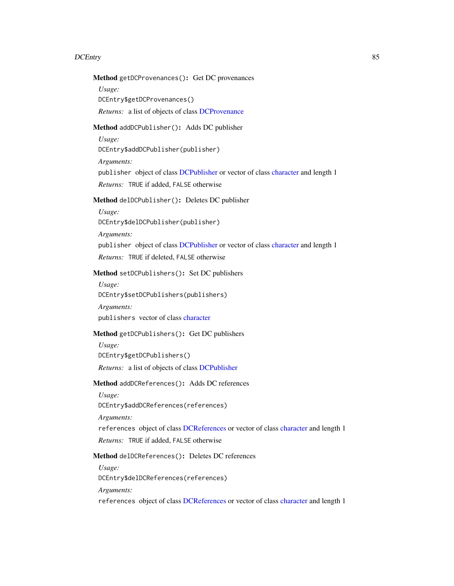# Method getDCProvenances(): Get DC provenances

*Usage:*

DCEntry\$getDCProvenances()

*Returns:* a list of objects of class [DCProvenance](#page-111-0)

# Method addDCPublisher(): Adds DC publisher

*Usage:*

DCEntry\$addDCPublisher(publisher)

*Arguments:*

publisher object of class [DCPublisher](#page-112-0) or vector of class [character](#page-0-0) and length 1

*Returns:* TRUE if added, FALSE otherwise

# Method delDCPublisher(): Deletes DC publisher

*Usage:* DCEntry\$delDCPublisher(publisher)

*Arguments:*

publisher object of class [DCPublisher](#page-112-0) or vector of class [character](#page-0-0) and length 1 *Returns:* TRUE if deleted, FALSE otherwise

## Method setDCPublishers(): Set DC publishers

*Usage:*

DCEntry\$setDCPublishers(publishers)

*Arguments:*

publishers vector of class [character](#page-0-0)

# Method getDCPublishers(): Get DC publishers

*Usage:*

DCEntry\$getDCPublishers()

*Returns:* a list of objects of class [DCPublisher](#page-112-0)

# Method addDCReferences(): Adds DC references

*Usage:*

DCEntry\$addDCReferences(references)

*Arguments:*

references object of class [DCReferences](#page-113-0) or vector of class [character](#page-0-0) and length 1

*Returns:* TRUE if added, FALSE otherwise

# Method delDCReferences(): Deletes DC references

*Usage:*

DCEntry\$delDCReferences(references)

*Arguments:*

references object of class [DCReferences](#page-113-0) or vector of class [character](#page-0-0) and length 1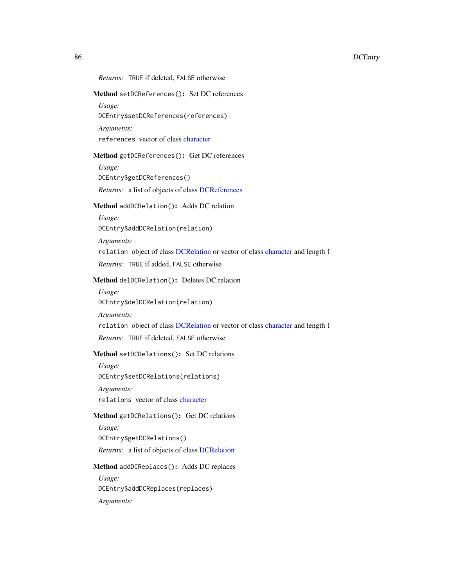## *Returns:* TRUE if deleted, FALSE otherwise

## Method setDCReferences(): Set DC references

*Usage:*

DCEntry\$setDCReferences(references)

*Arguments:*

references vector of class [character](#page-0-0)

# Method getDCReferences(): Get DC references

*Usage:* DCEntry\$getDCReferences() *Returns:* a list of objects of class [DCReferences](#page-113-0)

#### Method addDCRelation(): Adds DC relation

*Usage:* DCEntry\$addDCRelation(relation)

*Arguments:* relation object of class [DCRelation](#page-114-0) or vector of class [character](#page-0-0) and length 1 *Returns:* TRUE if added, FALSE otherwise

# Method delDCRelation(): Deletes DC relation

*Usage:* DCEntry\$delDCRelation(relation) *Arguments:* relation object of class [DCRelation](#page-114-0) or vector of class [character](#page-0-0) and length 1 *Returns:* TRUE if deleted, FALSE otherwise

## Method setDCRelations(): Set DC relations

*Usage:* DCEntry\$setDCRelations(relations) *Arguments:* relations vector of class [character](#page-0-0)

#### Method getDCRelations(): Get DC relations

*Usage:* DCEntry\$getDCRelations()

*Returns:* a list of objects of class [DCRelation](#page-114-0)

### Method addDCReplaces(): Adds DC replaces

*Usage:* DCEntry\$addDCReplaces(replaces) *Arguments:*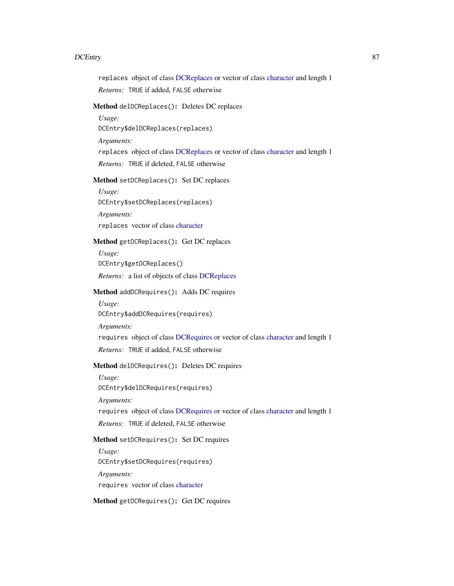replaces object of class [DCReplaces](#page-115-0) or vector of class [character](#page-0-0) and length 1

*Returns:* TRUE if added, FALSE otherwise

# Method delDCReplaces(): Deletes DC replaces

*Usage:*

DCEntry\$delDCReplaces(replaces)

*Arguments:*

replaces object of class [DCReplaces](#page-115-0) or vector of class [character](#page-0-0) and length 1

*Returns:* TRUE if deleted, FALSE otherwise

Method setDCReplaces(): Set DC replaces

*Usage:* DCEntry\$setDCReplaces(replaces)

*Arguments:* replaces vector of class [character](#page-0-0)

# Method getDCReplaces(): Get DC replaces

*Usage:* DCEntry\$getDCReplaces() *Returns:* a list of objects of class [DCReplaces](#page-115-0)

# Method addDCRequires(): Adds DC requires

*Usage:* DCEntry\$addDCRequires(requires) *Arguments:* requires object of class [DCRequires](#page-116-0) or vector of class [character](#page-0-0) and length 1 *Returns:* TRUE if added, FALSE otherwise

# Method delDCRequires(): Deletes DC requires

*Usage:* DCEntry\$delDCRequires(requires) *Arguments:* requires object of class [DCRequires](#page-116-0) or vector of class [character](#page-0-0) and length 1 *Returns:* TRUE if deleted, FALSE otherwise

# Method setDCRequires(): Set DC requires

*Usage:* DCEntry\$setDCRequires(requires) *Arguments:* requires vector of class [character](#page-0-0)

Method getDCRequires(): Get DC requires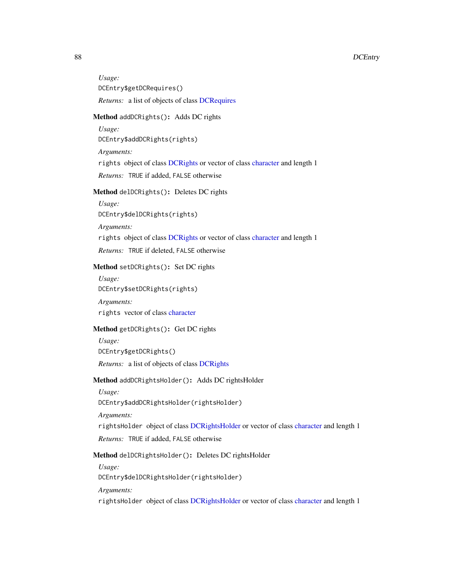*Usage:* DCEntry\$getDCRequires() *Returns:* a list of objects of class [DCRequires](#page-116-0)

### Method addDCRights(): Adds DC rights

*Usage:* DCEntry\$addDCRights(rights) *Arguments:* rights object of class [DCRights](#page-117-0) or vector of class [character](#page-0-0) and length 1 *Returns:* TRUE if added, FALSE otherwise

Method delDCRights(): Deletes DC rights

*Usage:* DCEntry\$delDCRights(rights)

*Arguments:*

rights object of class [DCRights](#page-117-0) or vector of class [character](#page-0-0) and length 1

*Returns:* TRUE if deleted, FALSE otherwise

# Method setDCRights(): Set DC rights

*Usage:* DCEntry\$setDCRights(rights)

*Arguments:* rights vector of class [character](#page-0-0)

# Method getDCRights(): Get DC rights

*Usage:* DCEntry\$getDCRights()

*Returns:* a list of objects of class [DCRights](#page-117-0)

## Method addDCRightsHolder(): Adds DC rightsHolder

*Usage:*

DCEntry\$addDCRightsHolder(rightsHolder)

*Arguments:*

rightsHolder object of class [DCRightsHolder](#page-118-0) or vector of class [character](#page-0-0) and length 1

*Returns:* TRUE if added, FALSE otherwise

## Method delDCRightsHolder(): Deletes DC rightsHolder

*Usage:*

DCEntry\$delDCRightsHolder(rightsHolder)

*Arguments:*

rightsHolder object of class [DCRightsHolder](#page-118-0) or vector of class [character](#page-0-0) and length 1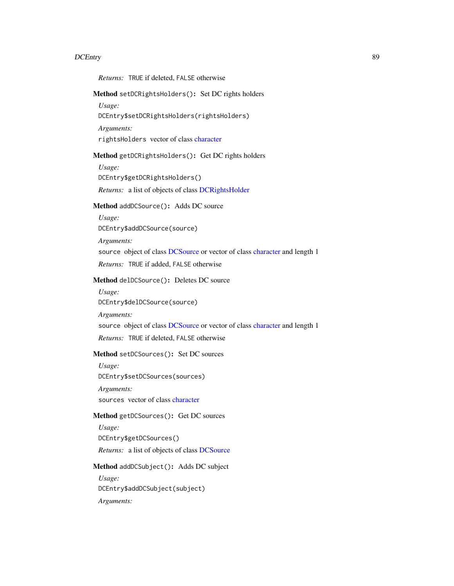*Returns:* TRUE if deleted, FALSE otherwise

Method setDCRightsHolders(): Set DC rights holders

*Usage:*

DCEntry\$setDCRightsHolders(rightsHolders)

*Arguments:*

rightsHolders vector of class [character](#page-0-0)

### Method getDCRightsHolders(): Get DC rights holders

*Usage:* DCEntry\$getDCRightsHolders() *Returns:* a list of objects of class [DCRightsHolder](#page-118-0)

#### Method addDCSource(): Adds DC source

*Usage:* DCEntry\$addDCSource(source) *Arguments:*

source object of class [DCSource](#page-119-0) or vector of class [character](#page-0-0) and length 1 *Returns:* TRUE if added, FALSE otherwise

# Method delDCSource(): Deletes DC source

*Usage:* DCEntry\$delDCSource(source) *Arguments:* source object of class [DCSource](#page-119-0) or vector of class [character](#page-0-0) and length 1 *Returns:* TRUE if deleted, FALSE otherwise

### Method setDCSources(): Set DC sources

*Usage:* DCEntry\$setDCSources(sources) *Arguments:* sources vector of class [character](#page-0-0)

### Method getDCSources(): Get DC sources

*Usage:* DCEntry\$getDCSources()

*Returns:* a list of objects of class [DCSource](#page-119-0)

### Method addDCSubject(): Adds DC subject

*Usage:* DCEntry\$addDCSubject(subject) *Arguments:*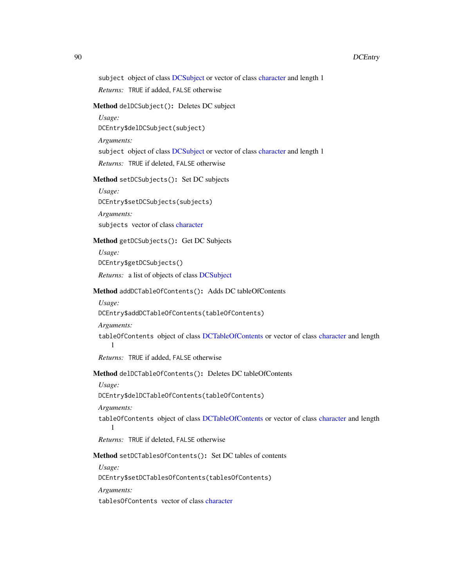### 90 DCEntry and the control of the control of the control of the control of the control of the control of the control of the control of the control of the control of the control of the control of the control of the control

subject object of class [DCSubject](#page-121-0) or vector of class [character](#page-0-0) and length 1

*Returns:* TRUE if added, FALSE otherwise

# Method delDCSubject(): Deletes DC subject

*Usage:*

DCEntry\$delDCSubject(subject)

*Arguments:*

subject object of class [DCSubject](#page-121-0) or vector of class [character](#page-0-0) and length 1

*Returns:* TRUE if deleted, FALSE otherwise

Method setDCSubjects(): Set DC subjects

*Usage:* DCEntry\$setDCSubjects(subjects)

*Arguments:* subjects vector of class [character](#page-0-0)

# Method getDCSubjects(): Get DC Subjects

*Usage:* DCEntry\$getDCSubjects() *Returns:* a list of objects of class [DCSubject](#page-121-0)

### Method addDCTableOfContents(): Adds DC tableOfContents

*Usage:*

DCEntry\$addDCTableOfContents(tableOfContents)

*Arguments:*

tableOfContents object of class [DCTableOfContents](#page-122-0) or vector of class [character](#page-0-0) and length 1

*Returns:* TRUE if added, FALSE otherwise

# Method delDCTableOfContents(): Deletes DC tableOfContents

*Usage:*

DCEntry\$delDCTableOfContents(tableOfContents)

*Arguments:*

tableOfContents object of class [DCTableOfContents](#page-122-0) or vector of class [character](#page-0-0) and length 1

*Returns:* TRUE if deleted, FALSE otherwise

Method setDCTablesOfContents(): Set DC tables of contents

*Usage:*

DCEntry\$setDCTablesOfContents(tablesOfContents)

*Arguments:*

tablesOfContents vector of class [character](#page-0-0)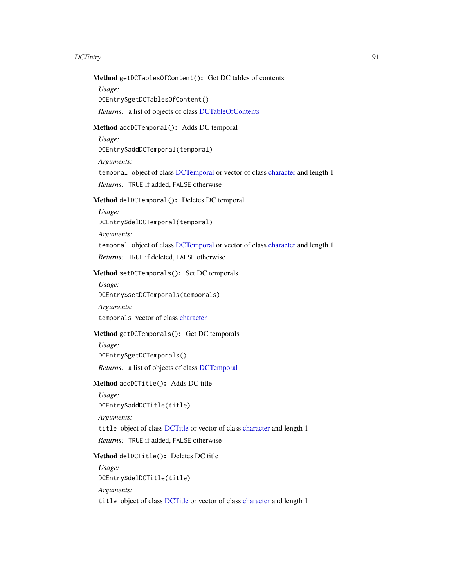# Method getDCTablesOfContent(): Get DC tables of contents

*Usage:*

DCEntry\$getDCTablesOfContent()

*Returns:* a list of objects of class [DCTableOfContents](#page-122-0)

# Method addDCTemporal(): Adds DC temporal

*Usage:*

DCEntry\$addDCTemporal(temporal)

*Arguments:*

temporal object of class [DCTemporal](#page-123-0) or vector of class [character](#page-0-0) and length 1

*Returns:* TRUE if added, FALSE otherwise

# Method delDCTemporal(): Deletes DC temporal

*Usage:*

DCEntry\$delDCTemporal(temporal)

*Arguments:*

temporal object of class [DCTemporal](#page-123-0) or vector of class [character](#page-0-0) and length 1

*Returns:* TRUE if deleted, FALSE otherwise

# Method setDCTemporals(): Set DC temporals

*Usage:*

DCEntry\$setDCTemporals(temporals)

*Arguments:* temporals vector of class [character](#page-0-0)

# Method getDCTemporals(): Get DC temporals

*Usage:* DCEntry\$getDCTemporals() *Returns:* a list of objects of class [DCTemporal](#page-123-0)

# Method addDCTitle(): Adds DC title

*Usage:* DCEntry\$addDCTitle(title) *Arguments:* title object of class [DCTitle](#page-124-0) or vector of class [character](#page-0-0) and length 1 *Returns:* TRUE if added, FALSE otherwise

# Method delDCTitle(): Deletes DC title

*Usage:* DCEntry\$delDCTitle(title) *Arguments:* title object of class [DCTitle](#page-124-0) or vector of class [character](#page-0-0) and length 1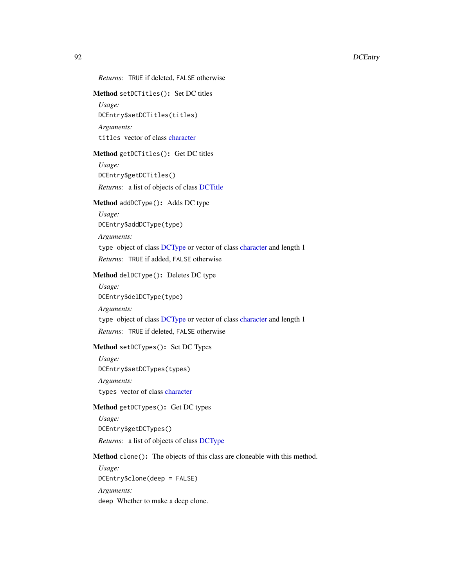*Returns:* TRUE if deleted, FALSE otherwise

## Method setDCTitles(): Set DC titles

*Usage:* DCEntry\$setDCTitles(titles) *Arguments:* titles vector of class [character](#page-0-0)

### Method getDCTitles(): Get DC titles

*Usage:* DCEntry\$getDCTitles() *Returns:* a list of objects of class [DCTitle](#page-124-0)

# Method addDCType(): Adds DC type

*Usage:*

DCEntry\$addDCType(type)

*Arguments:*

type object of class [DCType](#page-125-0) or vector of class [character](#page-0-0) and length 1

*Returns:* TRUE if added, FALSE otherwise

## Method delDCType(): Deletes DC type

- *Usage:* DCEntry\$delDCType(type)
- *Arguments:*

type object of class [DCType](#page-125-0) or vector of class [character](#page-0-0) and length 1

*Returns:* TRUE if deleted, FALSE otherwise

# Method setDCTypes(): Set DC Types

*Usage:* DCEntry\$setDCTypes(types)

*Arguments:*

types vector of class [character](#page-0-0)

# Method getDCTypes(): Get DC types

*Usage:* DCEntry\$getDCTypes()

*Returns:* a list of objects of class [DCType](#page-125-0)

# Method clone(): The objects of this class are cloneable with this method.

*Usage:* DCEntry\$clone(deep = FALSE) *Arguments:* deep Whether to make a deep clone.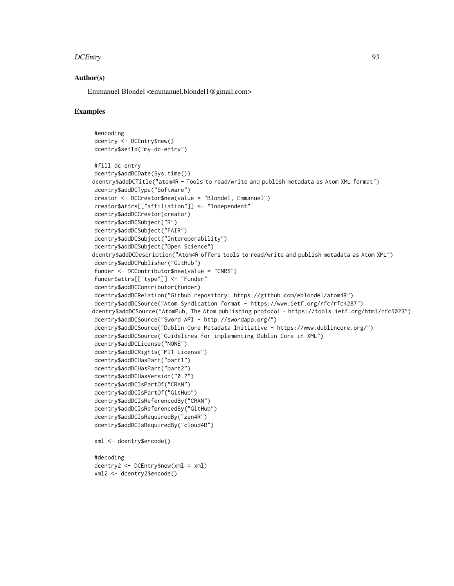### Author(s)

Emmanuel Blondel <emmanuel.blondel1@gmail.com>

### Examples

```
#encoding
dcentry <- DCEntry$new()
dcentry$setId("my-dc-entry")
#fill dc entry
dcentry$addDCDate(Sys.time())
dcentry$addDCTitle("atom4R - Tools to read/write and publish metadata as Atom XML format")
dcentry$addDCType("Software")
creator <- DCCreator$new(value = "Blondel, Emmanuel")
creator$attrs[["affiliation"]] <- "Independent"
dcentry$addDCCreator(creator)
dcentry$addDCSubject("R")
dcentry$addDCSubject("FAIR")
dcentry$addDCSubject("Interoperability")
dcentry$addDCSubject("Open Science")
dcentry$addDCDescription("Atom4R offers tools to read/write and publish metadata as Atom XML")
dcentry$addDCPublisher("GitHub")
funder <- DCContributor$new(value = "CNRS")
funder$attrs[["type"]] <- "Funder"
dcentry$addDCContributor(funder)
dcentry$addDCRelation("Github repository: https://github.com/eblondel/atom4R")
dcentry$addDCSource("Atom Syndication format - https://www.ietf.org/rfc/rfc4287")
dcentry$addDCSource("AtomPub, The Atom publishing protocol - https://tools.ietf.org/html/rfc5023")
dcentry$addDCSource("Sword API - http://swordapp.org/")
dcentry$addDCSource("Dublin Core Metadata Initiative - https://www.dublincore.org/")
dcentry$addDCSource("Guidelines for implementing Dublin Core in XML")
dcentry$addDCLicense("NONE")
dcentry$addDCRights("MIT License")
dcentry$addDCHasPart("part1")
dcentry$addDCHasPart("part2")
dcentry$addDCHasVersion("0.2")
dcentry$addDCIsPartOf("CRAN")
dcentry$addDCIsPartOf("GitHub")
dcentry$addDCIsReferencedBy("CRAN")
dcentry$addDCIsReferencedBy("GitHub")
dcentry$addDCIsRequiredBy("zen4R")
dcentry$addDCIsRequiredBy("cloud4R")
xml <- dcentry$encode()
#decoding
dcentry2 <- DCEntry$new(xml = xml)
xml2 <- dcentry2$encode()
```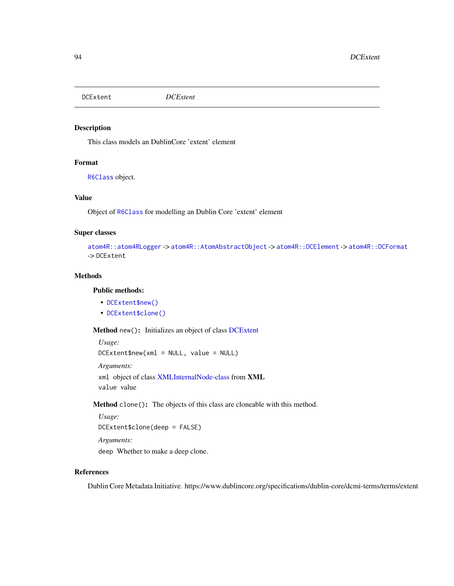<span id="page-93-0"></span>DCExtent *DCExtent*

# Description

This class models an DublinCore 'extent' element

# Format

[R6Class](#page-0-0) object.

## Value

Object of [R6Class](#page-0-0) for modelling an Dublin Core 'extent' element

# Super classes

```
atom4R::atom4RLogger -> atom4R::AtomAbstractObject -> atom4R::DCElement -> atom4R::DCFormat
-> DCExtent
```
## Methods

## Public methods:

- [DCExtent\\$new\(\)](#page-93-1)
- [DCExtent\\$clone\(\)](#page-93-2)

<span id="page-93-1"></span>Method new(): Initializes an object of class [DCExtent](#page-93-0)

```
Usage:
DCExtent$new(xml = NULL, value = NULL)
Arguments:
xml object of class XMLInternalNode-class from XML
value value
```
<span id="page-93-2"></span>Method clone(): The objects of this class are cloneable with this method.

```
Usage:
DCExtent$clone(deep = FALSE)
Arguments:
```
deep Whether to make a deep clone.

# References

Dublin Core Metadata Initiative. https://www.dublincore.org/specifications/dublin-core/dcmi-terms/terms/extent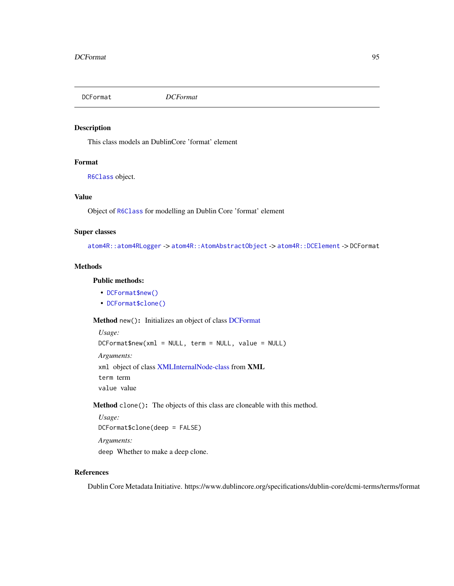<span id="page-94-0"></span>

# Description

This class models an DublinCore 'format' element

## Format

[R6Class](#page-0-0) object.

#### Value

Object of [R6Class](#page-0-0) for modelling an Dublin Core 'format' element

## Super classes

[atom4R::atom4RLogger](#page-0-0) -> [atom4R::AtomAbstractObject](#page-0-0) -> [atom4R::DCElement](#page-0-0) -> DCFormat

## Methods

# Public methods:

- [DCFormat\\$new\(\)](#page-94-1)
- [DCFormat\\$clone\(\)](#page-94-2)

<span id="page-94-1"></span>Method new(): Initializes an object of class [DCFormat](#page-94-0)

*Usage:* DCFormat\$new(xml = NULL, term = NULL, value = NULL) *Arguments:* xml object of class [XMLInternalNode-class](#page-0-0) from XML term term value value

<span id="page-94-2"></span>Method clone(): The objects of this class are cloneable with this method.

*Usage:* DCFormat\$clone(deep = FALSE) *Arguments:* deep Whether to make a deep clone.

#### References

Dublin Core Metadata Initiative. https://www.dublincore.org/specifications/dublin-core/dcmi-terms/terms/format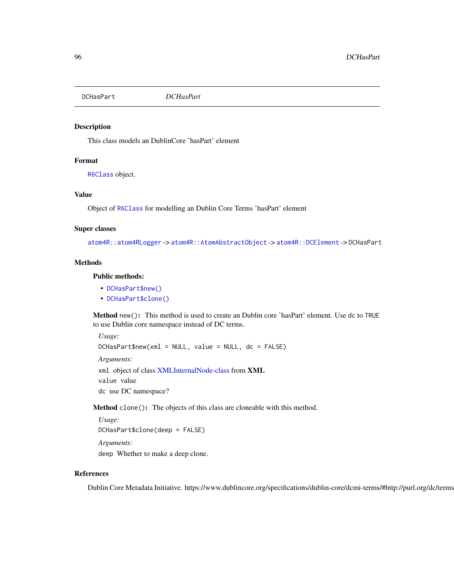<span id="page-95-0"></span>DCHasPart *DCHasPart*

### Description

This class models an DublinCore 'hasPart' element

## Format

[R6Class](#page-0-0) object.

# Value

Object of [R6Class](#page-0-0) for modelling an Dublin Core Terms 'hasPart' element

### Super classes

[atom4R::atom4RLogger](#page-0-0) -> [atom4R::AtomAbstractObject](#page-0-0) -> [atom4R::DCElement](#page-0-0) -> DCHasPart

# **Methods**

# Public methods:

- [DCHasPart\\$new\(\)](#page-95-1)
- [DCHasPart\\$clone\(\)](#page-95-2)

<span id="page-95-1"></span>Method new(): This method is used to create an Dublin core 'hasPart' element. Use dc to TRUE to use Dublin core namespace instead of DC terms.

*Usage:*

DCHasPart\$new(xml = NULL, value = NULL, dc = FALSE)

*Arguments:*

xml object of class [XMLInternalNode-class](#page-0-0) from XML value value

dc use DC namespace?

<span id="page-95-2"></span>Method clone(): The objects of this class are cloneable with this method.

```
Usage:
DCHasPart$clone(deep = FALSE)
Arguments:
deep Whether to make a deep clone.
```
### References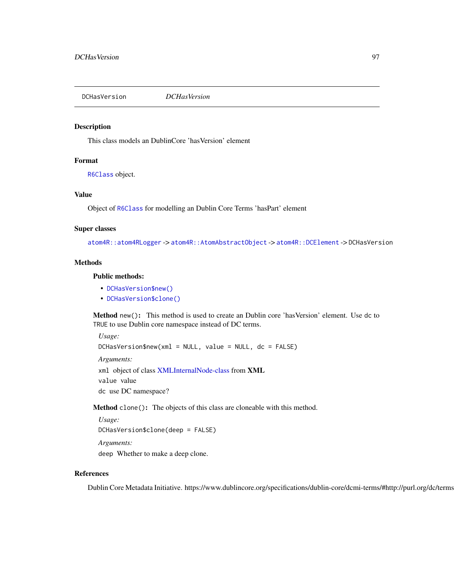<span id="page-96-0"></span>DCHasVersion *DCHasVersion*

### Description

This class models an DublinCore 'hasVersion' element

## Format

[R6Class](#page-0-0) object.

# Value

Object of [R6Class](#page-0-0) for modelling an Dublin Core Terms 'hasPart' element

### Super classes

[atom4R::atom4RLogger](#page-0-0) -> [atom4R::AtomAbstractObject](#page-0-0) -> [atom4R::DCElement](#page-0-0) -> DCHasVersion

## **Methods**

## Public methods:

- [DCHasVersion\\$new\(\)](#page-96-1)
- [DCHasVersion\\$clone\(\)](#page-96-2)

<span id="page-96-1"></span>Method new(): This method is used to create an Dublin core 'hasVersion' element. Use dc to TRUE to use Dublin core namespace instead of DC terms.

*Usage:*

DCHasVersion\$new(xml = NULL, value = NULL, dc = FALSE)

*Arguments:*

xml object of class [XMLInternalNode-class](#page-0-0) from XML value value

dc use DC namespace?

<span id="page-96-2"></span>Method clone(): The objects of this class are cloneable with this method.

```
Usage:
DCHasVersion$clone(deep = FALSE)
Arguments:
```
deep Whether to make a deep clone.

# References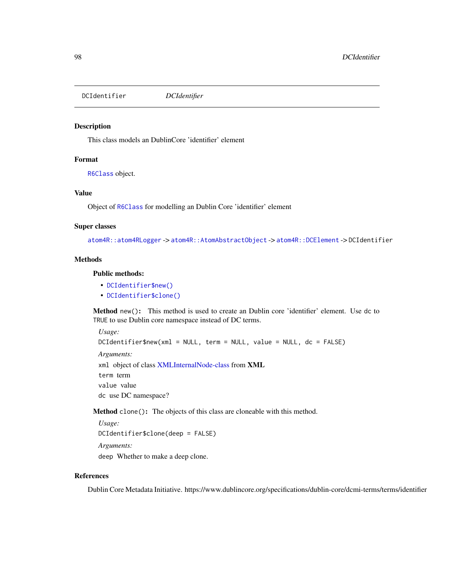<span id="page-97-0"></span>DCIdentifier *DCIdentifier*

### Description

This class models an DublinCore 'identifier' element

## Format

[R6Class](#page-0-0) object.

# Value

Object of [R6Class](#page-0-0) for modelling an Dublin Core 'identifier' element

### Super classes

[atom4R::atom4RLogger](#page-0-0) -> [atom4R::AtomAbstractObject](#page-0-0) -> [atom4R::DCElement](#page-0-0) -> DCIdentifier

#### **Methods**

# Public methods:

- [DCIdentifier\\$new\(\)](#page-97-1)
- [DCIdentifier\\$clone\(\)](#page-97-2)

<span id="page-97-1"></span>Method new(): This method is used to create an Dublin core 'identifier' element. Use dc to TRUE to use Dublin core namespace instead of DC terms.

*Usage:* DCIdentifier\$new(xml = NULL, term = NULL, value = NULL, dc = FALSE) *Arguments:* xml object of class [XMLInternalNode-class](#page-0-0) from XML term term value value dc use DC namespace?

<span id="page-97-2"></span>Method clone(): The objects of this class are cloneable with this method.

*Usage:* DCIdentifier\$clone(deep = FALSE) *Arguments:* deep Whether to make a deep clone.

### References

Dublin Core Metadata Initiative. https://www.dublincore.org/specifications/dublin-core/dcmi-terms/terms/identifier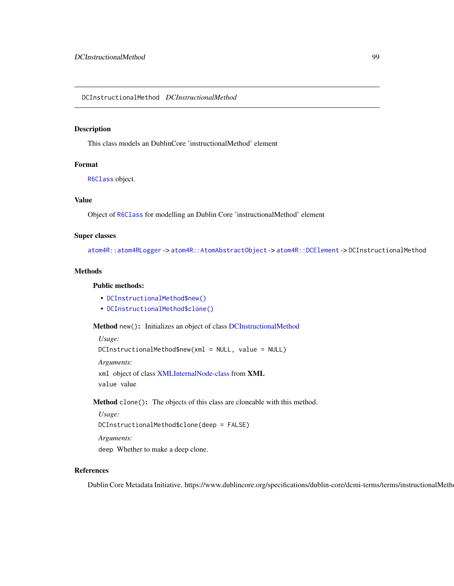### <span id="page-98-0"></span>Description

This class models an DublinCore 'instructionalMethod' element

# Format

[R6Class](#page-0-0) object.

# Value

Object of [R6Class](#page-0-0) for modelling an Dublin Core 'instructionalMethod' element

### Super classes

[atom4R::atom4RLogger](#page-0-0) -> [atom4R::AtomAbstractObject](#page-0-0) -> [atom4R::DCElement](#page-0-0) -> DCInstructionalMethod

# Methods

## Public methods:

- [DCInstructionalMethod\\$new\(\)](#page-98-1)
- [DCInstructionalMethod\\$clone\(\)](#page-98-2)

<span id="page-98-1"></span>Method new(): Initializes an object of class [DCInstructionalMethod](#page-98-0)

```
Usage:
DCInstructionalMethod$new(xml = NULL, value = NULL)
Arguments:
xml object of class XMLInternalNode-class from XML
value value
```
<span id="page-98-2"></span>Method clone(): The objects of this class are cloneable with this method.

```
Usage:
```
DCInstructionalMethod\$clone(deep = FALSE)

*Arguments:*

deep Whether to make a deep clone.

# References

Dublin Core Metadata Initiative. https://www.dublincore.org/specifications/dublin-core/dcmi-terms/terms/instructionalMeth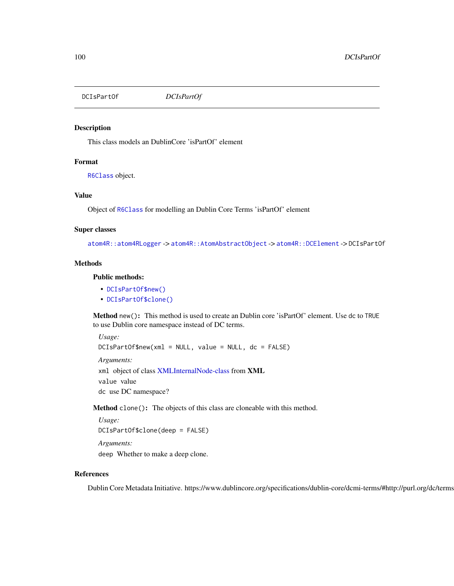<span id="page-99-0"></span>DCIsPartOf *DCIsPartOf*

### Description

This class models an DublinCore 'isPartOf' element

## Format

[R6Class](#page-0-0) object.

## Value

Object of [R6Class](#page-0-0) for modelling an Dublin Core Terms 'isPartOf' element

#### Super classes

[atom4R::atom4RLogger](#page-0-0) -> [atom4R::AtomAbstractObject](#page-0-0) -> [atom4R::DCElement](#page-0-0) -> DCIsPartOf

#### Methods

#### Public methods:

- [DCIsPartOf\\$new\(\)](#page-99-1)
- [DCIsPartOf\\$clone\(\)](#page-99-2)

<span id="page-99-1"></span>Method new(): This method is used to create an Dublin core 'isPartOf' element. Use dc to TRUE to use Dublin core namespace instead of DC terms.

*Usage:*

DCIsPartOf\$new(xml = NULL, value = NULL, dc = FALSE)

*Arguments:*

xml object of class [XMLInternalNode-class](#page-0-0) from XML value value

dc use DC namespace?

<span id="page-99-2"></span>Method clone(): The objects of this class are cloneable with this method.

```
Usage:
DCIsPartOf$clone(deep = FALSE)
Arguments:
```
deep Whether to make a deep clone.

### References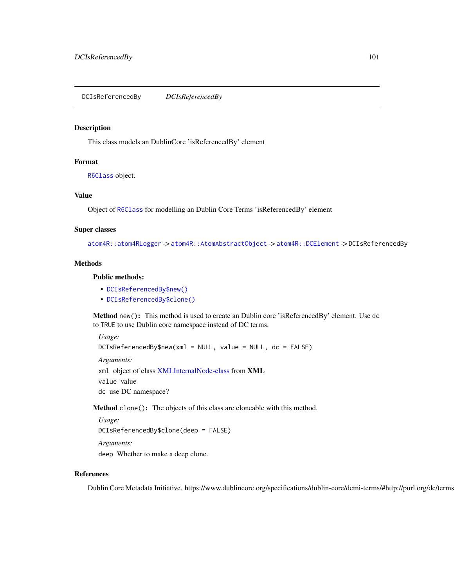<span id="page-100-0"></span>DCIsReferencedBy *DCIsReferencedBy*

#### Description

This class models an DublinCore 'isReferencedBy' element

## Format

[R6Class](#page-0-0) object.

## Value

Object of [R6Class](#page-0-0) for modelling an Dublin Core Terms 'isReferencedBy' element

#### Super classes

[atom4R::atom4RLogger](#page-0-0) -> [atom4R::AtomAbstractObject](#page-0-0) -> [atom4R::DCElement](#page-0-0) -> DCIsReferencedBy

#### Methods

### Public methods:

- [DCIsReferencedBy\\$new\(\)](#page-100-1)
- [DCIsReferencedBy\\$clone\(\)](#page-100-2)

<span id="page-100-1"></span>Method new(): This method is used to create an Dublin core 'isReferencedBy' element. Use dc to TRUE to use Dublin core namespace instead of DC terms.

*Usage:*

```
DCIsReferencedBy$new(xml = NULL, value = NULL, dc = FALSE)
```
*Arguments:*

xml object of class [XMLInternalNode-class](#page-0-0) from XML value value

dc use DC namespace?

<span id="page-100-2"></span>Method clone(): The objects of this class are cloneable with this method.

```
Usage:
```
DCIsReferencedBy\$clone(deep = FALSE)

*Arguments:*

deep Whether to make a deep clone.

### References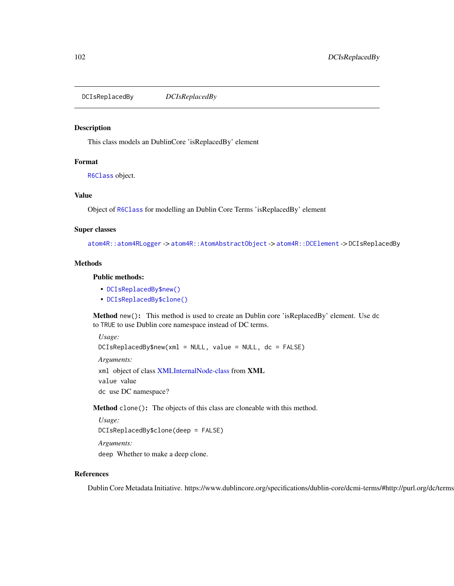<span id="page-101-0"></span>DCIsReplacedBy *DCIsReplacedBy*

### Description

This class models an DublinCore 'isReplacedBy' element

# Format

[R6Class](#page-0-0) object.

# Value

Object of [R6Class](#page-0-0) for modelling an Dublin Core Terms 'isReplacedBy' element

#### Super classes

[atom4R::atom4RLogger](#page-0-0) -> [atom4R::AtomAbstractObject](#page-0-0) -> [atom4R::DCElement](#page-0-0) -> DCIsReplacedBy

#### Methods

#### Public methods:

- [DCIsReplacedBy\\$new\(\)](#page-101-1)
- [DCIsReplacedBy\\$clone\(\)](#page-101-2)

<span id="page-101-1"></span>Method new(): This method is used to create an Dublin core 'isReplacedBy' element. Use dc to TRUE to use Dublin core namespace instead of DC terms.

*Usage:*

DCIsReplacedBy\$new(xml = NULL, value = NULL, dc = FALSE)

*Arguments:*

xml object of class [XMLInternalNode-class](#page-0-0) from XML value value

dc use DC namespace?

<span id="page-101-2"></span>Method clone(): The objects of this class are cloneable with this method.

```
Usage:
```
DCIsReplacedBy\$clone(deep = FALSE)

*Arguments:*

deep Whether to make a deep clone.

### References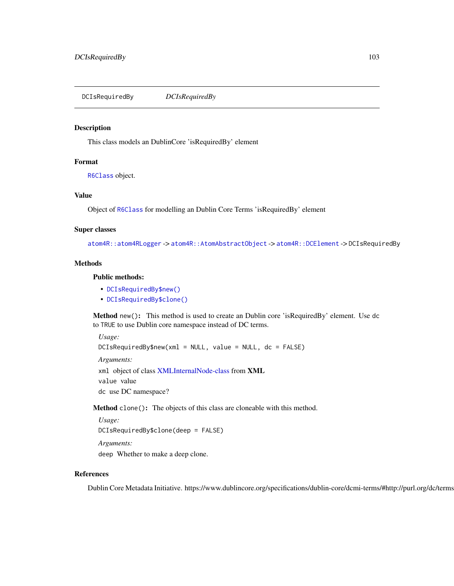<span id="page-102-0"></span>DCIsRequiredBy *DCIsRequiredBy*

### Description

This class models an DublinCore 'isRequiredBy' element

## Format

[R6Class](#page-0-0) object.

## Value

Object of [R6Class](#page-0-0) for modelling an Dublin Core Terms 'isRequiredBy' element

#### Super classes

[atom4R::atom4RLogger](#page-0-0) -> [atom4R::AtomAbstractObject](#page-0-0) -> [atom4R::DCElement](#page-0-0) -> DCIsRequiredBy

#### Methods

#### Public methods:

- [DCIsRequiredBy\\$new\(\)](#page-102-1)
- [DCIsRequiredBy\\$clone\(\)](#page-102-2)

<span id="page-102-1"></span>Method new(): This method is used to create an Dublin core 'isRequiredBy' element. Use dc to TRUE to use Dublin core namespace instead of DC terms.

*Usage:*

```
DCIsRequiredBy$new(xml = NULL, value = NULL, dc = FALSE)
```
*Arguments:*

xml object of class [XMLInternalNode-class](#page-0-0) from XML value value

dc use DC namespace?

<span id="page-102-2"></span>Method clone(): The objects of this class are cloneable with this method.

```
Usage:
```
DCIsRequiredBy\$clone(deep = FALSE)

*Arguments:*

deep Whether to make a deep clone.

### References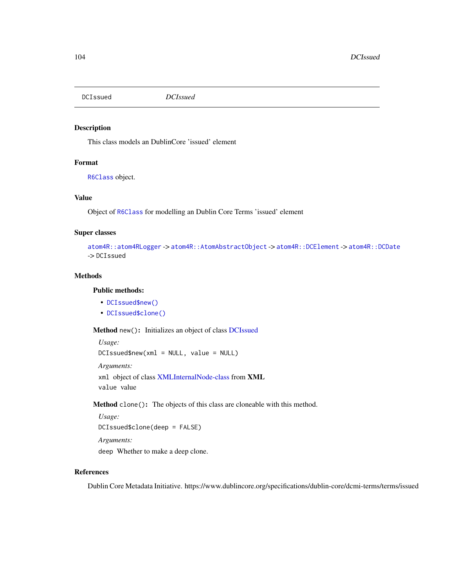<span id="page-103-0"></span>DCIssued *DCIssued*

# Description

This class models an DublinCore 'issued' element

# Format

[R6Class](#page-0-0) object.

### Value

Object of [R6Class](#page-0-0) for modelling an Dublin Core Terms 'issued' element

# Super classes

```
atom4R::atom4RLogger -> atom4R::AtomAbstractObject -> atom4R::DCElement -> atom4R::DCDate
-> DCIssued
```
## Methods

## Public methods:

- [DCIssued\\$new\(\)](#page-103-1)
- [DCIssued\\$clone\(\)](#page-103-2)

<span id="page-103-1"></span>Method new(): Initializes an object of class [DCIssued](#page-103-0)

```
Usage:
DCIssued$new(xml = NULL, value = NULL)
Arguments:
xml object of class XMLInternalNode-class from XML
value value
```
<span id="page-103-2"></span>Method clone(): The objects of this class are cloneable with this method.

```
Usage:
DCIssued$clone(deep = FALSE)
Arguments:
```
deep Whether to make a deep clone.

# References

Dublin Core Metadata Initiative. https://www.dublincore.org/specifications/dublin-core/dcmi-terms/terms/issued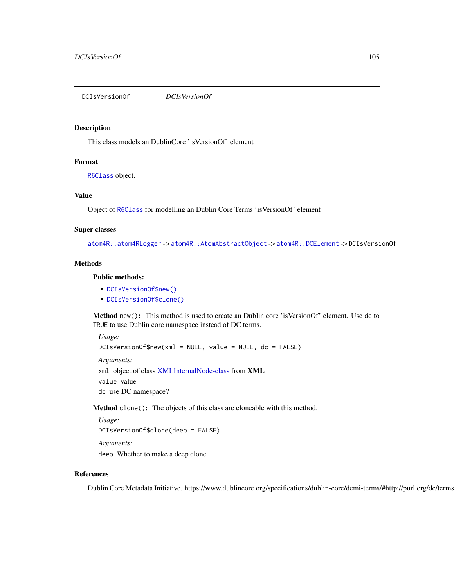<span id="page-104-0"></span>DCIsVersionOf *DCIsVersionOf*

### Description

This class models an DublinCore 'isVersionOf' element

## Format

[R6Class](#page-0-0) object.

### Value

Object of [R6Class](#page-0-0) for modelling an Dublin Core Terms 'isVersionOf' element

#### Super classes

[atom4R::atom4RLogger](#page-0-0) -> [atom4R::AtomAbstractObject](#page-0-0) -> [atom4R::DCElement](#page-0-0) -> DCIsVersionOf

#### Methods

#### Public methods:

- [DCIsVersionOf\\$new\(\)](#page-104-1)
- [DCIsVersionOf\\$clone\(\)](#page-104-2)

<span id="page-104-1"></span>Method new(): This method is used to create an Dublin core 'isVersionOf' element. Use dc to TRUE to use Dublin core namespace instead of DC terms.

*Usage:*

```
DCIsVersionOf$new(xml = NULL, value = NULL, dc = FALSE)
```
*Arguments:*

xml object of class [XMLInternalNode-class](#page-0-0) from XML value value

dc use DC namespace?

<span id="page-104-2"></span>Method clone(): The objects of this class are cloneable with this method.

```
Usage:
DCIsVersionOf$clone(deep = FALSE)
```
*Arguments:*

deep Whether to make a deep clone.

### References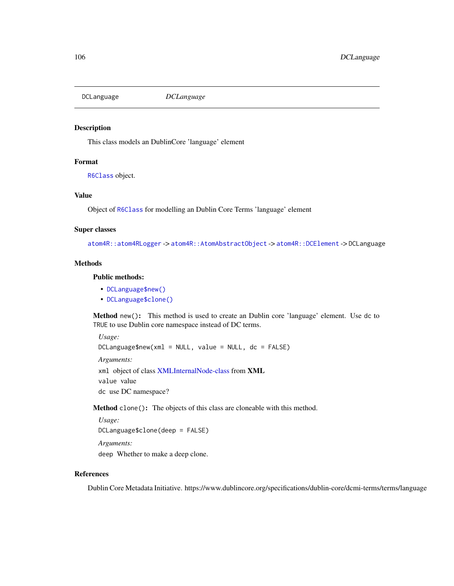<span id="page-105-0"></span>

### Description

This class models an DublinCore 'language' element

#### Format

[R6Class](#page-0-0) object.

## Value

Object of [R6Class](#page-0-0) for modelling an Dublin Core Terms 'language' element

#### Super classes

[atom4R::atom4RLogger](#page-0-0) -> [atom4R::AtomAbstractObject](#page-0-0) -> [atom4R::DCElement](#page-0-0) -> DCLanguage

#### Methods

## Public methods:

- [DCLanguage\\$new\(\)](#page-105-1)
- [DCLanguage\\$clone\(\)](#page-105-2)

<span id="page-105-1"></span>Method new(): This method is used to create an Dublin core 'language' element. Use dc to TRUE to use Dublin core namespace instead of DC terms.

*Usage:*

 $DCL$ anguage\$new(xml = NULL, value = NULL, dc = FALSE)

*Arguments:*

xml object of class [XMLInternalNode-class](#page-0-0) from XML value value

dc use DC namespace?

<span id="page-105-2"></span>Method clone(): The objects of this class are cloneable with this method.

```
Usage:
DCLanguage$clone(deep = FALSE)
```
*Arguments:*

deep Whether to make a deep clone.

### References

Dublin Core Metadata Initiative. https://www.dublincore.org/specifications/dublin-core/dcmi-terms/terms/language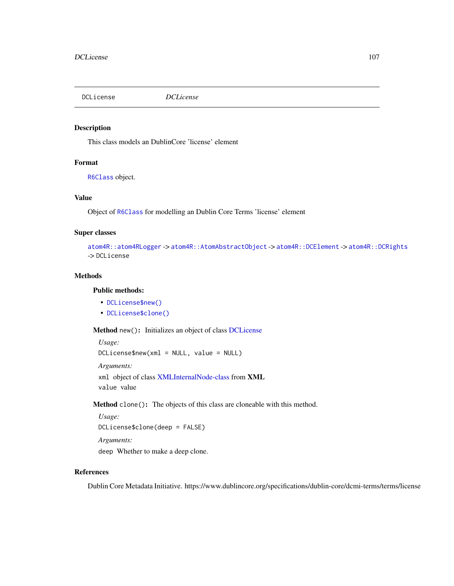<span id="page-106-0"></span>DCLicense *DCLicense*

# Description

This class models an DublinCore 'license' element

# Format

[R6Class](#page-0-0) object.

## Value

Object of [R6Class](#page-0-0) for modelling an Dublin Core Terms 'license' element

# Super classes

```
atom4R::atom4RLogger -> atom4R::AtomAbstractObject -> atom4R::DCElement -> atom4R::DCRights
-> DCLicense
```
# Methods

# Public methods:

- [DCLicense\\$new\(\)](#page-106-1)
- [DCLicense\\$clone\(\)](#page-106-2)

<span id="page-106-1"></span>Method new(): Initializes an object of class [DCLicense](#page-106-0)

```
Usage:
DCLicense$new(xml = NULL, value = NULL)
Arguments:
xml object of class XMLInternalNode-class from XML
value value
```
<span id="page-106-2"></span>Method clone(): The objects of this class are cloneable with this method.

```
Usage:
DCLicense$clone(deep = FALSE)
Arguments:
```
deep Whether to make a deep clone.

# References

Dublin Core Metadata Initiative. https://www.dublincore.org/specifications/dublin-core/dcmi-terms/terms/license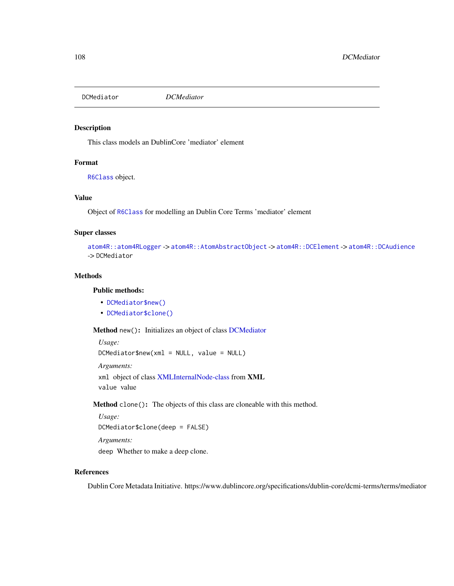<span id="page-107-0"></span>DCMediator *DCMediator*

# Description

This class models an DublinCore 'mediator' element

# Format

[R6Class](#page-0-0) object.

## Value

Object of [R6Class](#page-0-0) for modelling an Dublin Core Terms 'mediator' element

# Super classes

```
atom4R::atom4RLogger -> atom4R::AtomAbstractObject -> atom4R::DCElement -> atom4R::DCAudience
-> DCMediator
```
## Methods

## Public methods:

- [DCMediator\\$new\(\)](#page-107-1)
- [DCMediator\\$clone\(\)](#page-107-2)

<span id="page-107-1"></span>Method new(): Initializes an object of class [DCMediator](#page-107-0)

```
Usage:
DCMediator$new(xml = NULL, value = NULL)
Arguments:
xml object of class XMLInternalNode-class from XML
value value
```
<span id="page-107-2"></span>Method clone(): The objects of this class are cloneable with this method.

*Usage:* DCMediator\$clone(deep = FALSE) *Arguments:*

deep Whether to make a deep clone.

## References

Dublin Core Metadata Initiative. https://www.dublincore.org/specifications/dublin-core/dcmi-terms/terms/mediator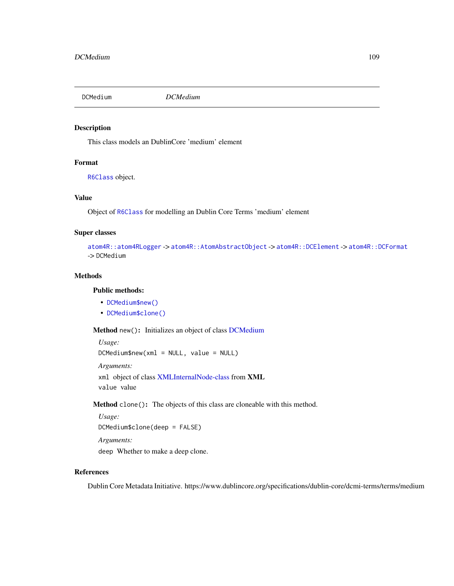<span id="page-108-3"></span><span id="page-108-2"></span>DCMedium *DCMedium*

# Description

This class models an DublinCore 'medium' element

# Format

[R6Class](#page-0-0) object.

## Value

Object of [R6Class](#page-0-0) for modelling an Dublin Core Terms 'medium' element

# Super classes

```
atom4R::atom4RLogger -> atom4R::AtomAbstractObject -> atom4R::DCElement -> atom4R::DCFormat
-> DCMedium
```
# Methods

# Public methods:

- [DCMedium\\$new\(\)](#page-108-0)
- [DCMedium\\$clone\(\)](#page-108-1)

<span id="page-108-0"></span>Method new(): Initializes an object of class [DCMedium](#page-108-2)

```
Usage:
DCMedium$new(xml = NULL, value = NULL)
Arguments:
xml object of class XMLInternalNode-class from XML
value value
```
<span id="page-108-1"></span>Method clone(): The objects of this class are cloneable with this method.

```
Usage:
DCMedium$clone(deep = FALSE)
Arguments:
```
deep Whether to make a deep clone.

# References

Dublin Core Metadata Initiative. https://www.dublincore.org/specifications/dublin-core/dcmi-terms/terms/medium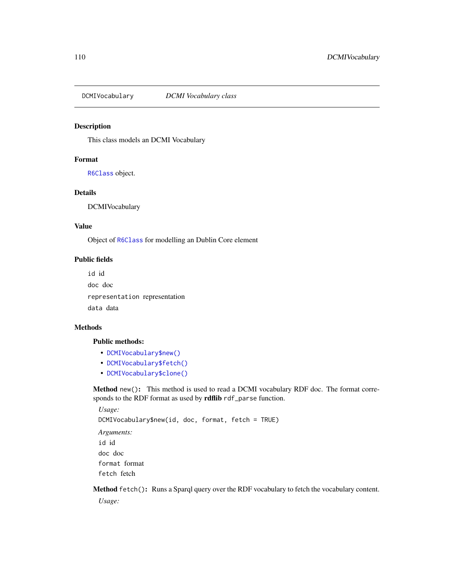DCMIVocabulary *DCMI Vocabulary class*

# Description

This class models an DCMI Vocabulary

# Format

[R6Class](#page-0-0) object.

# Details

DCMIVocabulary

## Value

Object of [R6Class](#page-0-0) for modelling an Dublin Core element

#### Public fields

id id doc doc representation representation data data

# Methods

# Public methods:

- [DCMIVocabulary\\$new\(\)](#page-109-0)
- [DCMIVocabulary\\$fetch\(\)](#page-109-1)
- [DCMIVocabulary\\$clone\(\)](#page-110-0)

<span id="page-109-0"></span>Method new(): This method is used to read a DCMI vocabulary RDF doc. The format corresponds to the RDF format as used by rdflib rdf\_parse function.

*Usage:* DCMIVocabulary\$new(id, doc, format, fetch = TRUE) *Arguments:* id id doc doc format format fetch fetch

<span id="page-109-1"></span>Method fetch(): Runs a Sparql query over the RDF vocabulary to fetch the vocabulary content.

*Usage:*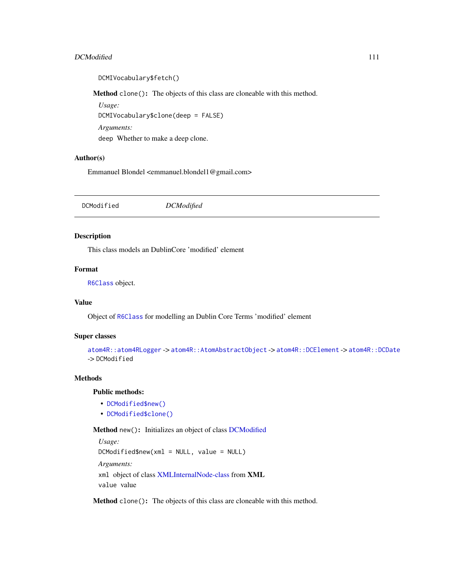#### <span id="page-110-4"></span>DCModified 111

DCMIVocabulary\$fetch()

<span id="page-110-0"></span>Method clone(): The objects of this class are cloneable with this method.

*Usage:* DCMIVocabulary\$clone(deep = FALSE) *Arguments:* deep Whether to make a deep clone.

## Author(s)

Emmanuel Blondel <emmanuel.blondel1@gmail.com>

<span id="page-110-3"></span>

|--|

# Description

This class models an DublinCore 'modified' element

## Format

[R6Class](#page-0-0) object.

# Value

Object of [R6Class](#page-0-0) for modelling an Dublin Core Terms 'modified' element

## Super classes

```
atom4R::atom4RLogger -> atom4R::AtomAbstractObject -> atom4R::DCElement -> atom4R::DCDate
-> DCModified
```
# Methods

# Public methods:

- [DCModified\\$new\(\)](#page-110-1)
- [DCModified\\$clone\(\)](#page-110-2)

<span id="page-110-1"></span>Method new(): Initializes an object of class [DCModified](#page-110-3)

```
Usage:
DCModified$new(xml = NULL, value = NULL)
Arguments:
xml object of class XMLInternalNode-class from XML
value value
```
<span id="page-110-2"></span>Method clone(): The objects of this class are cloneable with this method.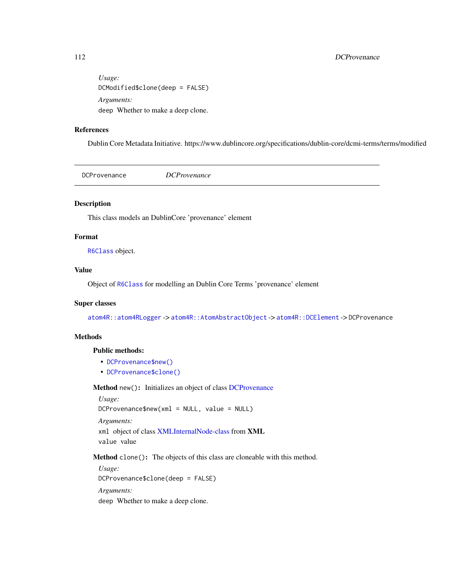# <span id="page-111-3"></span>112 DCProvenance

*Usage:* DCModified\$clone(deep = FALSE) *Arguments:* deep Whether to make a deep clone.

# References

Dublin Core Metadata Initiative. https://www.dublincore.org/specifications/dublin-core/dcmi-terms/terms/modified

<span id="page-111-2"></span>DCProvenance *DCProvenance*

# Description

This class models an DublinCore 'provenance' element

# Format

[R6Class](#page-0-0) object.

# Value

Object of [R6Class](#page-0-0) for modelling an Dublin Core Terms 'provenance' element

#### Super classes

[atom4R::atom4RLogger](#page-0-0) -> [atom4R::AtomAbstractObject](#page-0-0) -> [atom4R::DCElement](#page-0-0) -> DCProvenance

# Methods

# Public methods:

- [DCProvenance\\$new\(\)](#page-111-0)
- [DCProvenance\\$clone\(\)](#page-111-1)

<span id="page-111-0"></span>Method new(): Initializes an object of class [DCProvenance](#page-111-2)

*Usage:* DCProvenance\$new(xml = NULL, value = NULL) *Arguments:* xml object of class [XMLInternalNode-class](#page-0-0) from XML value value

<span id="page-111-1"></span>Method clone(): The objects of this class are cloneable with this method.

*Usage:* DCProvenance\$clone(deep = FALSE) *Arguments:* deep Whether to make a deep clone.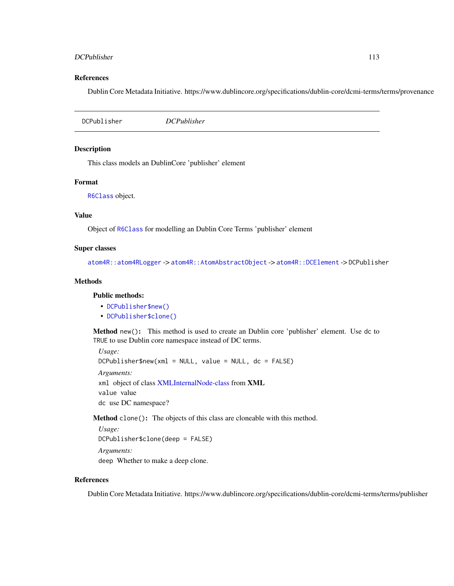#### <span id="page-112-2"></span>DCPublisher 113

#### References

Dublin Core Metadata Initiative. https://www.dublincore.org/specifications/dublin-core/dcmi-terms/terms/provenance

DCPublisher *DCPublisher*

# Description

This class models an DublinCore 'publisher' element

# Format

[R6Class](#page-0-0) object.

# Value

Object of [R6Class](#page-0-0) for modelling an Dublin Core Terms 'publisher' element

#### Super classes

[atom4R::atom4RLogger](#page-0-0) -> [atom4R::AtomAbstractObject](#page-0-0) -> [atom4R::DCElement](#page-0-0) -> DCPublisher

## Methods

#### Public methods:

- [DCPublisher\\$new\(\)](#page-112-0)
- [DCPublisher\\$clone\(\)](#page-112-1)

<span id="page-112-0"></span>Method new(): This method is used to create an Dublin core 'publisher' element. Use dc to TRUE to use Dublin core namespace instead of DC terms.

*Usage:*  $DCPublisher$new(xml = NULL, value = NULL, dc = FALSE)$ *Arguments:* xml object of class [XMLInternalNode-class](#page-0-0) from XML value value dc use DC namespace?

<span id="page-112-1"></span>Method clone(): The objects of this class are cloneable with this method.

*Usage:* DCPublisher\$clone(deep = FALSE) *Arguments:*

deep Whether to make a deep clone.

## References

Dublin Core Metadata Initiative. https://www.dublincore.org/specifications/dublin-core/dcmi-terms/terms/publisher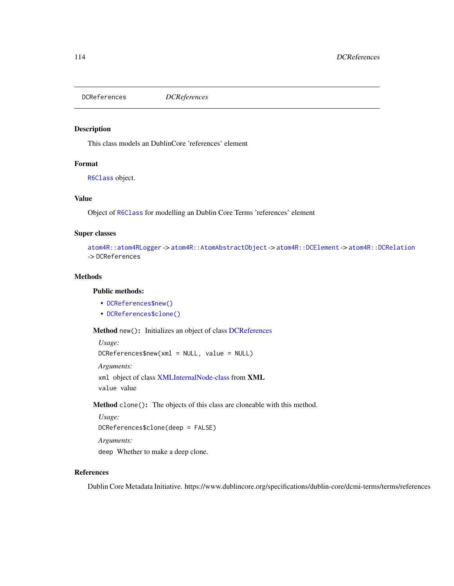<span id="page-113-2"></span>DCReferences *DCReferences*

## Description

This class models an DublinCore 'references' element

## Format

[R6Class](#page-0-0) object.

## Value

Object of [R6Class](#page-0-0) for modelling an Dublin Core Terms 'references' element

#### Super classes

```
atom4R::atom4RLogger -> atom4R::AtomAbstractObject -> atom4R::DCElement -> atom4R::DCRelation
-> DCReferences
```
# Methods

#### Public methods:

- [DCReferences\\$new\(\)](#page-113-0)
- [DCReferences\\$clone\(\)](#page-113-1)

<span id="page-113-0"></span>Method new(): Initializes an object of class [DCReferences](#page-113-2)

*Usage:* DCReferences\$new(xml = NULL, value = NULL) *Arguments:* xml object of class [XMLInternalNode-class](#page-0-0) from XML value value

<span id="page-113-1"></span>Method clone(): The objects of this class are cloneable with this method.

```
Usage:
DCReferences$clone(deep = FALSE)
Arguments:
deep Whether to make a deep clone.
```
# References

Dublin Core Metadata Initiative. https://www.dublincore.org/specifications/dublin-core/dcmi-terms/terms/references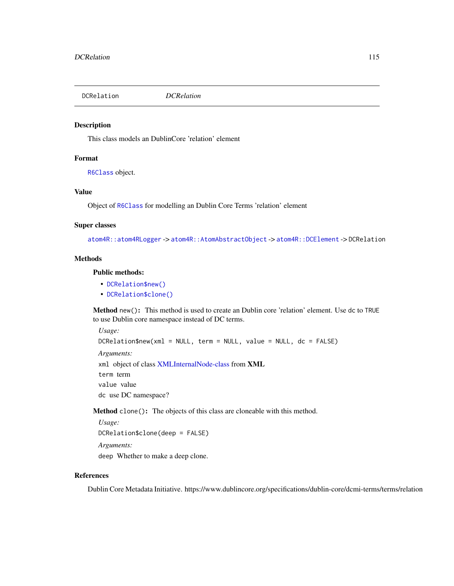#### Description

This class models an DublinCore 'relation' element

# Format

[R6Class](#page-0-0) object.

# Value

Object of [R6Class](#page-0-0) for modelling an Dublin Core Terms 'relation' element

# Super classes

[atom4R::atom4RLogger](#page-0-0) -> [atom4R::AtomAbstractObject](#page-0-0) -> [atom4R::DCElement](#page-0-0) -> DCRelation

## **Methods**

# Public methods:

- [DCRelation\\$new\(\)](#page-114-0)
- [DCRelation\\$clone\(\)](#page-114-1)

<span id="page-114-0"></span>Method new(): This method is used to create an Dublin core 'relation' element. Use dc to TRUE to use Dublin core namespace instead of DC terms.

*Usage:*

```
DCRelation$new(xml = NULL, term = NULL, value = NULL, dc = FALSE)
Arguments:
xml object of class XMLInternalNode-class from XML
term term
value value
```
dc use DC namespace?

<span id="page-114-1"></span>Method clone(): The objects of this class are cloneable with this method.

*Usage:* DCRelation\$clone(deep = FALSE) *Arguments:* deep Whether to make a deep clone.

## References

Dublin Core Metadata Initiative. https://www.dublincore.org/specifications/dublin-core/dcmi-terms/terms/relation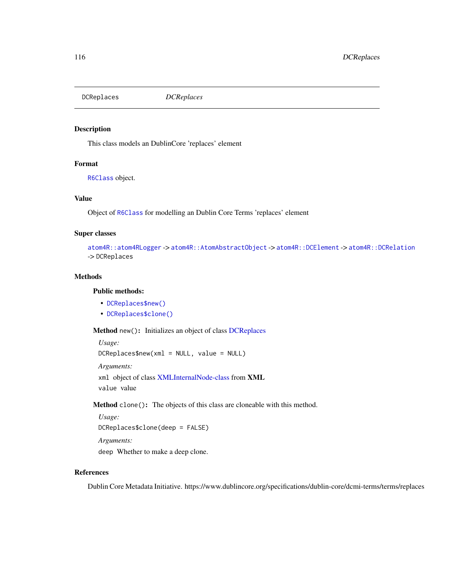<span id="page-115-2"></span>DCReplaces *DCReplaces*

## Description

This class models an DublinCore 'replaces' element

## Format

[R6Class](#page-0-0) object.

## Value

Object of [R6Class](#page-0-0) for modelling an Dublin Core Terms 'replaces' element

#### Super classes

```
atom4R::atom4RLogger -> atom4R::AtomAbstractObject -> atom4R::DCElement -> atom4R::DCRelation
-> DCReplaces
```
## Methods

#### Public methods:

- [DCReplaces\\$new\(\)](#page-115-0)
- [DCReplaces\\$clone\(\)](#page-115-1)

<span id="page-115-0"></span>Method new(): Initializes an object of class [DCReplaces](#page-115-2)

```
Usage:
DCReplaces$new(xml = NULL, value = NULL)
Arguments:
xml object of class XMLInternalNode-class from XML
```
value value

<span id="page-115-1"></span>Method clone(): The objects of this class are cloneable with this method.

```
Usage:
DCReplaces$clone(deep = FALSE)
Arguments:
deep Whether to make a deep clone.
```
# References

Dublin Core Metadata Initiative. https://www.dublincore.org/specifications/dublin-core/dcmi-terms/terms/replaces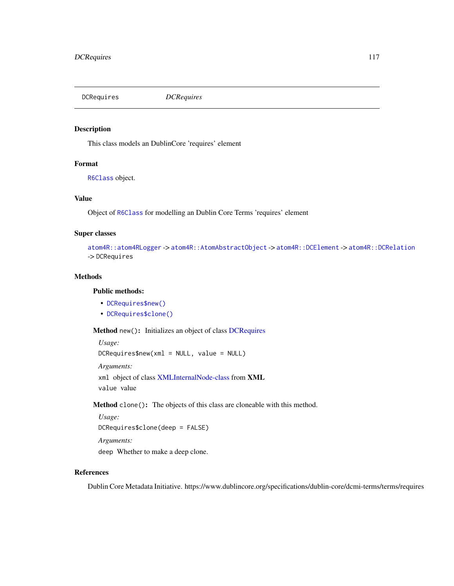<span id="page-116-2"></span>DCRequires *DCRequires*

## Description

This class models an DublinCore 'requires' element

# Format

[R6Class](#page-0-0) object.

## Value

Object of [R6Class](#page-0-0) for modelling an Dublin Core Terms 'requires' element

#### Super classes

```
atom4R::atom4RLogger -> atom4R::AtomAbstractObject -> atom4R::DCElement -> atom4R::DCRelation
-> DCRequires
```
# Methods

#### Public methods:

- [DCRequires\\$new\(\)](#page-116-0)
- [DCRequires\\$clone\(\)](#page-116-1)

<span id="page-116-0"></span>Method new(): Initializes an object of class [DCRequires](#page-116-2)

*Usage:* DCRequires\$new(xml = NULL, value = NULL) *Arguments:* xml object of class [XMLInternalNode-class](#page-0-0) from XML

value value

<span id="page-116-1"></span>Method clone(): The objects of this class are cloneable with this method.

*Usage:* DCRequires\$clone(deep = FALSE) *Arguments:* deep Whether to make a deep clone.

# References

Dublin Core Metadata Initiative. https://www.dublincore.org/specifications/dublin-core/dcmi-terms/terms/requires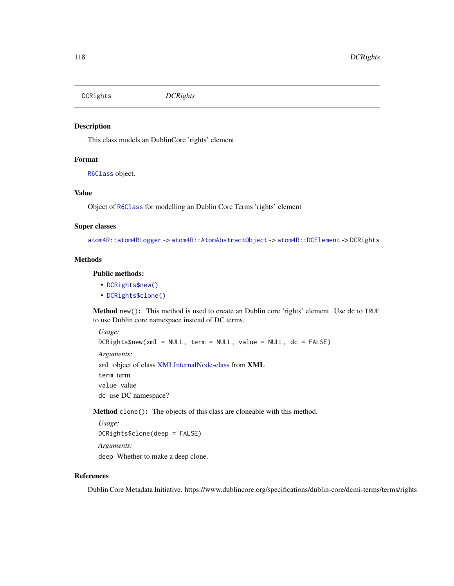DCRights *DCRights*

## Description

This class models an DublinCore 'rights' element

## Format

[R6Class](#page-0-0) object.

# Value

Object of [R6Class](#page-0-0) for modelling an Dublin Core Terms 'rights' element

#### Super classes

[atom4R::atom4RLogger](#page-0-0) -> [atom4R::AtomAbstractObject](#page-0-0) -> [atom4R::DCElement](#page-0-0) -> DCRights

#### **Methods**

# Public methods:

- [DCRights\\$new\(\)](#page-117-0)
- [DCRights\\$clone\(\)](#page-117-1)

<span id="page-117-0"></span>Method new(): This method is used to create an Dublin core 'rights' element. Use dc to TRUE to use Dublin core namespace instead of DC terms.

*Usage:* DCRights\$new(xml = NULL, term = NULL, value = NULL, dc = FALSE) *Arguments:* xml object of class [XMLInternalNode-class](#page-0-0) from XML term term value value dc use DC namespace?

<span id="page-117-1"></span>Method clone(): The objects of this class are cloneable with this method.

*Usage:* DCRights\$clone(deep = FALSE) *Arguments:* deep Whether to make a deep clone.

# References

Dublin Core Metadata Initiative. https://www.dublincore.org/specifications/dublin-core/dcmi-terms/terms/rights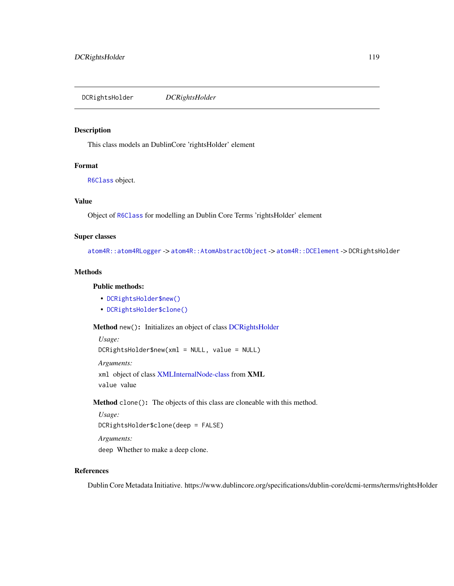<span id="page-118-2"></span>DCRightsHolder *DCRightsHolder*

# Description

This class models an DublinCore 'rightsHolder' element

#### Format

[R6Class](#page-0-0) object.

#### Value

Object of [R6Class](#page-0-0) for modelling an Dublin Core Terms 'rightsHolder' element

# Super classes

[atom4R::atom4RLogger](#page-0-0) -> [atom4R::AtomAbstractObject](#page-0-0) -> [atom4R::DCElement](#page-0-0) -> DCRightsHolder

## Methods

# Public methods:

- [DCRightsHolder\\$new\(\)](#page-118-0)
- [DCRightsHolder\\$clone\(\)](#page-118-1)

<span id="page-118-0"></span>Method new(): Initializes an object of class [DCRightsHolder](#page-118-2)

```
Usage:
DCRightsHolder$new(xml = NULL, value = NULL)
Arguments:
xml object of class XMLInternalNode-class from XML
value value
```
<span id="page-118-1"></span>Method clone(): The objects of this class are cloneable with this method.

```
Usage:
DCRightsHolder$clone(deep = FALSE)
Arguments:
deep Whether to make a deep clone.
```
## References

Dublin Core Metadata Initiative. https://www.dublincore.org/specifications/dublin-core/dcmi-terms/terms/rightsHolder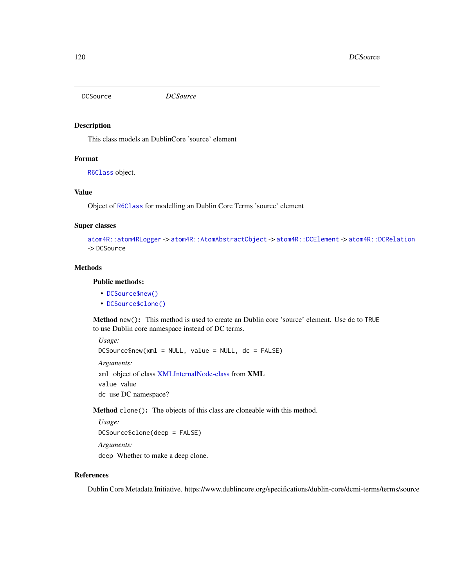## Description

This class models an DublinCore 'source' element

# Format

[R6Class](#page-0-0) object.

# Value

Object of [R6Class](#page-0-0) for modelling an Dublin Core Terms 'source' element

# Super classes

```
atom4R::atom4RLogger -> atom4R::AtomAbstractObject -> atom4R::DCElement -> atom4R::DCRelation
-> DCSource
```
# **Methods**

# Public methods:

- [DCSource\\$new\(\)](#page-119-0)
- [DCSource\\$clone\(\)](#page-119-1)

<span id="page-119-0"></span>Method new(): This method is used to create an Dublin core 'source' element. Use dc to TRUE to use Dublin core namespace instead of DC terms.

*Usage:* DCSource\$new(xml = NULL, value = NULL, dc = FALSE) *Arguments:* xml object of class [XMLInternalNode-class](#page-0-0) from XML value value dc use DC namespace?

<span id="page-119-1"></span>Method clone(): The objects of this class are cloneable with this method.

*Usage:*

DCSource\$clone(deep = FALSE)

*Arguments:*

deep Whether to make a deep clone.

# References

Dublin Core Metadata Initiative. https://www.dublincore.org/specifications/dublin-core/dcmi-terms/terms/source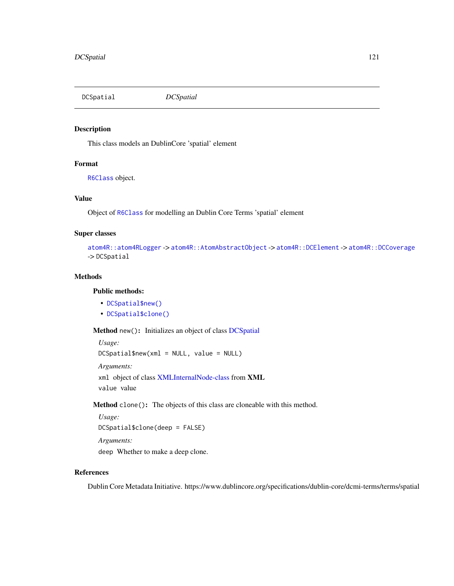<span id="page-120-2"></span>DCSpatial *DCSpatial*

## Description

This class models an DublinCore 'spatial' element

# Format

[R6Class](#page-0-0) object.

## Value

Object of [R6Class](#page-0-0) for modelling an Dublin Core Terms 'spatial' element

#### Super classes

```
atom4R::atom4RLogger -> atom4R::AtomAbstractObject -> atom4R::DCElement -> atom4R::DCCoverage
-> DCSpatial
```
# Methods

#### Public methods:

- [DCSpatial\\$new\(\)](#page-120-0)
- [DCSpatial\\$clone\(\)](#page-120-1)

<span id="page-120-0"></span>Method new(): Initializes an object of class [DCSpatial](#page-120-2)

```
Usage:
DCSpatial$new(xml = NULL, value = NULL)
Arguments:
xml object of class XMLInternalNode-class from XML
value value
```
<span id="page-120-1"></span>Method clone(): The objects of this class are cloneable with this method.

```
Usage:
DCSpatial$clone(deep = FALSE)
Arguments:
deep Whether to make a deep clone.
```
# References

Dublin Core Metadata Initiative. https://www.dublincore.org/specifications/dublin-core/dcmi-terms/terms/spatial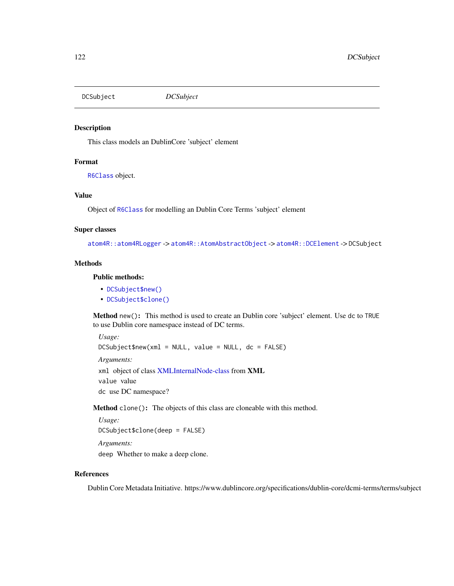DCSubject *DCSubject*

## Description

This class models an DublinCore 'subject' element

## Format

[R6Class](#page-0-0) object.

# Value

Object of [R6Class](#page-0-0) for modelling an Dublin Core Terms 'subject' element

#### Super classes

[atom4R::atom4RLogger](#page-0-0) -> [atom4R::AtomAbstractObject](#page-0-0) -> [atom4R::DCElement](#page-0-0) -> DCSubject

#### Methods

# Public methods:

- [DCSubject\\$new\(\)](#page-121-0)
- [DCSubject\\$clone\(\)](#page-121-1)

<span id="page-121-0"></span>Method new(): This method is used to create an Dublin core 'subject' element. Use dc to TRUE to use Dublin core namespace instead of DC terms.

*Usage:*

DCSubject\$new(xml = NULL, value = NULL, dc = FALSE)

*Arguments:*

xml object of class [XMLInternalNode-class](#page-0-0) from XML value value

dc use DC namespace?

<span id="page-121-1"></span>Method clone(): The objects of this class are cloneable with this method.

*Usage:* DCSubject\$clone(deep = FALSE) *Arguments:* deep Whether to make a deep clone.

#### References

Dublin Core Metadata Initiative. https://www.dublincore.org/specifications/dublin-core/dcmi-terms/terms/subject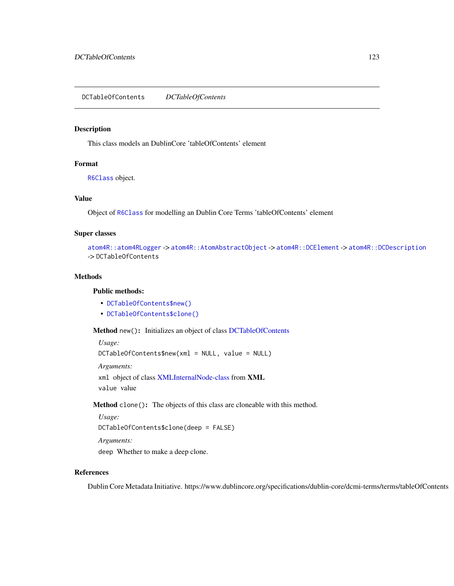<span id="page-122-2"></span>DCTableOfContents *DCTableOfContents*

#### Description

This class models an DublinCore 'tableOfContents' element

# Format

[R6Class](#page-0-0) object.

## Value

Object of [R6Class](#page-0-0) for modelling an Dublin Core Terms 'tableOfContents' element

#### Super classes

```
atom4R::atom4RLogger -> atom4R::AtomAbstractObject -> atom4R::DCElement -> atom4R::DCDescription
-> DCTableOfContents
```
# Methods

#### Public methods:

- [DCTableOfContents\\$new\(\)](#page-122-0)
- [DCTableOfContents\\$clone\(\)](#page-122-1)

<span id="page-122-0"></span>Method new(): Initializes an object of class [DCTableOfContents](#page-122-2)

*Usage:* DCTableOfContents\$new(xml = NULL, value = NULL)

*Arguments:*

xml object of class [XMLInternalNode-class](#page-0-0) from XML value value

<span id="page-122-1"></span>Method clone(): The objects of this class are cloneable with this method.

```
Usage:
DCTableOfContents$clone(deep = FALSE)
Arguments:
```
deep Whether to make a deep clone.

# References

Dublin Core Metadata Initiative. https://www.dublincore.org/specifications/dublin-core/dcmi-terms/terms/tableOfContents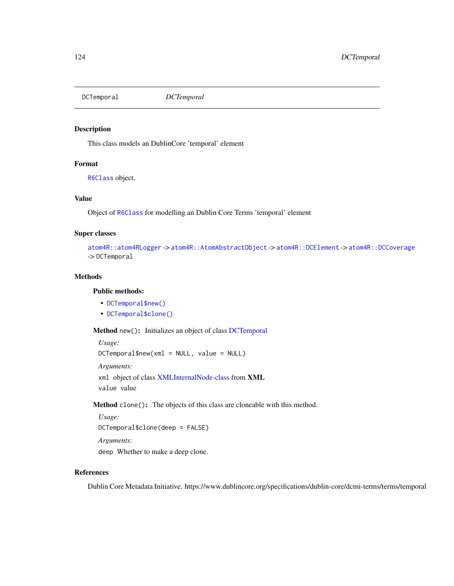<span id="page-123-2"></span>DCTemporal *DCTemporal*

## Description

This class models an DublinCore 'temporal' element

# Format

[R6Class](#page-0-0) object.

## Value

Object of [R6Class](#page-0-0) for modelling an Dublin Core Terms 'temporal' element

#### Super classes

```
atom4R::atom4RLogger -> atom4R::AtomAbstractObject -> atom4R::DCElement -> atom4R::DCCoverage
-> DCTemporal
```
## Methods

#### Public methods:

- [DCTemporal\\$new\(\)](#page-123-0)
- [DCTemporal\\$clone\(\)](#page-123-1)

<span id="page-123-0"></span>Method new(): Initializes an object of class [DCTemporal](#page-123-2)

*Usage:* DCTemporal\$new(xml = NULL, value = NULL) *Arguments:*

xml object of class [XMLInternalNode-class](#page-0-0) from XML value value

<span id="page-123-1"></span>Method clone(): The objects of this class are cloneable with this method.

*Usage:* DCTemporal\$clone(deep = FALSE) *Arguments:* deep Whether to make a deep clone.

## References

Dublin Core Metadata Initiative. https://www.dublincore.org/specifications/dublin-core/dcmi-terms/terms/temporal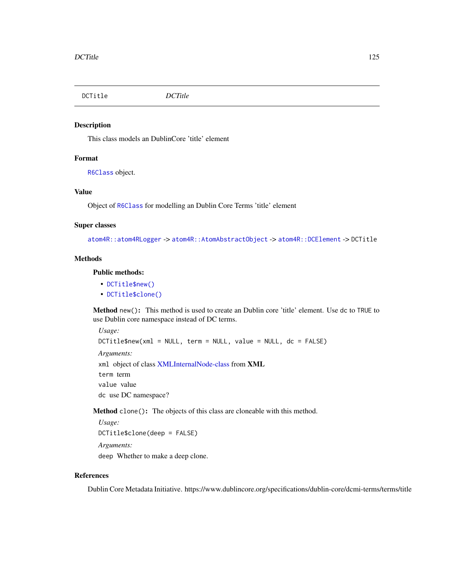DCTitle *DCTitle*

## Description

This class models an DublinCore 'title' element

# Format

[R6Class](#page-0-0) object.

# Value

Object of [R6Class](#page-0-0) for modelling an Dublin Core Terms 'title' element

# Super classes

[atom4R::atom4RLogger](#page-0-0) -> [atom4R::AtomAbstractObject](#page-0-0) -> [atom4R::DCElement](#page-0-0) -> DCTitle

## **Methods**

# Public methods:

- [DCTitle\\$new\(\)](#page-124-0)
- [DCTitle\\$clone\(\)](#page-124-1)

<span id="page-124-0"></span>Method new(): This method is used to create an Dublin core 'title' element. Use dc to TRUE to use Dublin core namespace instead of DC terms.

*Usage:* DCTitle\$new(xml = NULL, term = NULL, value = NULL, dc = FALSE) *Arguments:* xml object of class [XMLInternalNode-class](#page-0-0) from XML term term value value dc use DC namespace?

<span id="page-124-1"></span>Method clone(): The objects of this class are cloneable with this method.

*Usage:* DCTitle\$clone(deep = FALSE) *Arguments:* deep Whether to make a deep clone.

# References

Dublin Core Metadata Initiative. https://www.dublincore.org/specifications/dublin-core/dcmi-terms/terms/title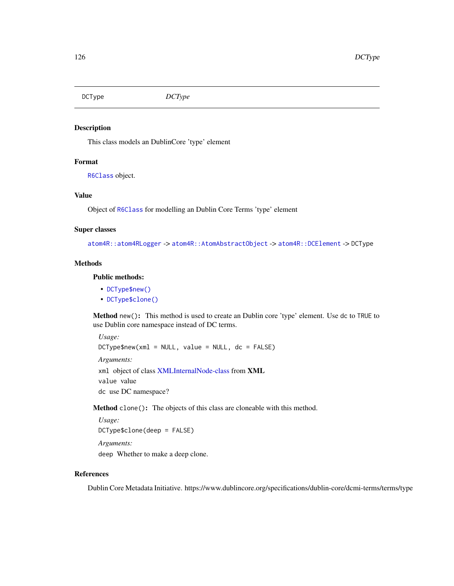DCType *DCType*

## Description

This class models an DublinCore 'type' element

# Format

[R6Class](#page-0-0) object.

# Value

Object of [R6Class](#page-0-0) for modelling an Dublin Core Terms 'type' element

#### Super classes

[atom4R::atom4RLogger](#page-0-0) -> [atom4R::AtomAbstractObject](#page-0-0) -> [atom4R::DCElement](#page-0-0) -> DCType

#### Methods

# Public methods:

- [DCType\\$new\(\)](#page-125-0)
- [DCType\\$clone\(\)](#page-125-1)

<span id="page-125-0"></span>Method new(): This method is used to create an Dublin core 'type' element. Use dc to TRUE to use Dublin core namespace instead of DC terms.

*Usage:*

 $DCType$new(xml = NULL, value = NULL, dc = FALSE)$ 

*Arguments:*

xml object of class [XMLInternalNode-class](#page-0-0) from XML value value dc use DC namespace?

<span id="page-125-1"></span>Method clone(): The objects of this class are cloneable with this method.

```
Usage:
DCType$clone(deep = FALSE)
Arguments:
deep Whether to make a deep clone.
```
## References

Dublin Core Metadata Initiative. https://www.dublincore.org/specifications/dublin-core/dcmi-terms/terms/type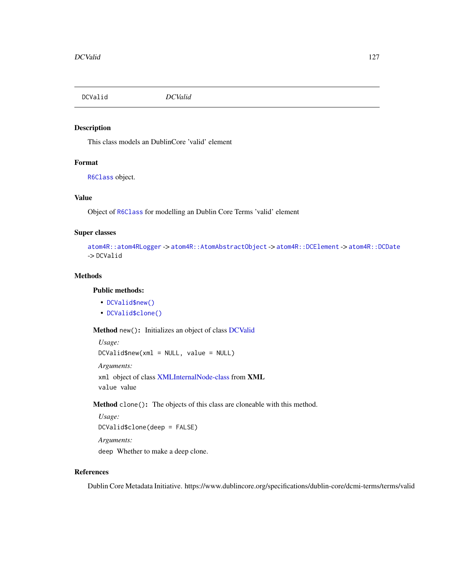<span id="page-126-2"></span>DCValid *DCValid*

# Description

This class models an DublinCore 'valid' element

# Format

[R6Class](#page-0-0) object.

# Value

Object of [R6Class](#page-0-0) for modelling an Dublin Core Terms 'valid' element

# Super classes

```
atom4R::atom4RLogger -> atom4R::AtomAbstractObject -> atom4R::DCElement -> atom4R::DCDate
-> DCValid
```
# Methods

# Public methods:

- [DCValid\\$new\(\)](#page-126-0)
- [DCValid\\$clone\(\)](#page-126-1)

<span id="page-126-0"></span>Method new(): Initializes an object of class [DCValid](#page-126-2)

```
Usage:
DCValid$new(xml = NULL, value = NULL)
Arguments:
xml object of class XMLInternalNode-class from XML
value value
```
<span id="page-126-1"></span>Method clone(): The objects of this class are cloneable with this method.

*Usage:* DCValid\$clone(deep = FALSE) *Arguments:*

deep Whether to make a deep clone.

# References

Dublin Core Metadata Initiative. https://www.dublincore.org/specifications/dublin-core/dcmi-terms/terms/valid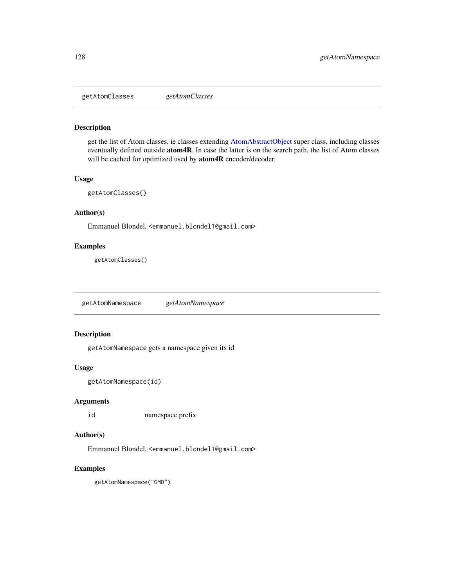getAtomClasses *getAtomClasses*

## Description

get the list of Atom classes, ie classes extending [AtomAbstractObject](#page-5-0) super class, including classes eventually defined outside atom4R. In case the latter is on the search path, the list of Atom classes will be cached for optimized used by atom4R encoder/decoder.

# Usage

```
getAtomClasses()
```
# Author(s)

Emmanuel Blondel, <emmanuel.blondel1@gmail.com>

## Examples

getAtomClasses()

getAtomNamespace *getAtomNamespace*

# Description

getAtomNamespace gets a namespace given its id

## Usage

```
getAtomNamespace(id)
```
# Arguments

id namespace prefix

# Author(s)

Emmanuel Blondel, <emmanuel.blondel1@gmail.com>

## Examples

getAtomNamespace("GMD")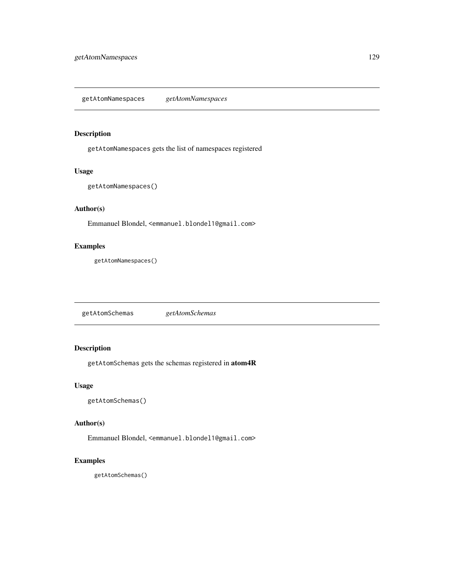# Description

getAtomNamespaces gets the list of namespaces registered

## Usage

```
getAtomNamespaces()
```
## Author(s)

Emmanuel Blondel, <emmanuel.blondel1@gmail.com>

# Examples

getAtomNamespaces()

getAtomSchemas *getAtomSchemas*

# Description

getAtomSchemas gets the schemas registered in atom4R

## Usage

getAtomSchemas()

# Author(s)

Emmanuel Blondel, <emmanuel.blondel1@gmail.com>

# Examples

getAtomSchemas()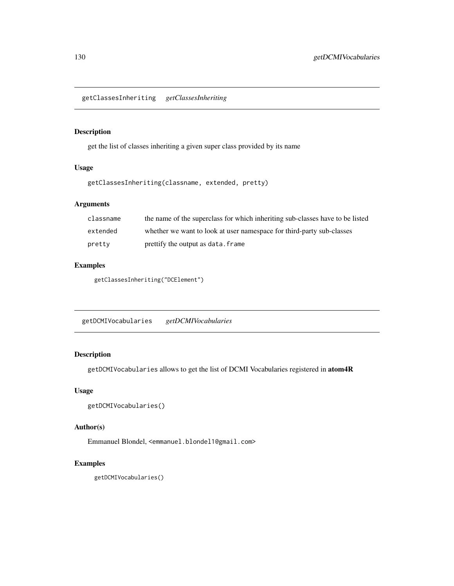getClassesInheriting *getClassesInheriting*

## Description

get the list of classes inheriting a given super class provided by its name

# Usage

getClassesInheriting(classname, extended, pretty)

# Arguments

| classname | the name of the superclass for which inheriting sub-classes have to be listed |
|-----------|-------------------------------------------------------------------------------|
| extended  | whether we want to look at user namespace for third-party sub-classes         |
| pretty    | prettify the output as data. frame                                            |

# Examples

getClassesInheriting("DCElement")

getDCMIVocabularies *getDCMIVocabularies*

# Description

getDCMIVocabularies allows to get the list of DCMI Vocabularies registered in atom4R

# Usage

```
getDCMIVocabularies()
```
# Author(s)

Emmanuel Blondel, <emmanuel.blondel1@gmail.com>

# Examples

getDCMIVocabularies()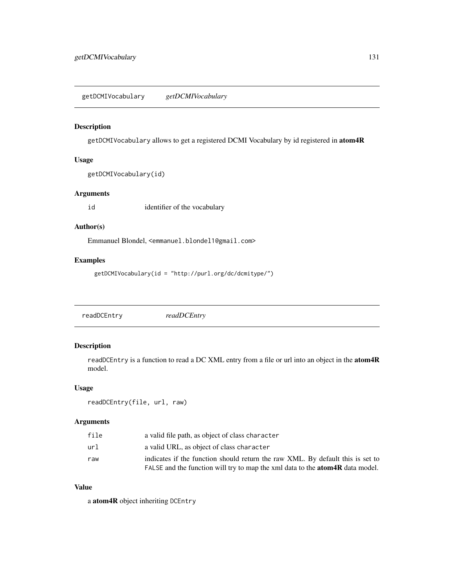# Description

getDCMIVocabulary allows to get a registered DCMI Vocabulary by id registered in atom4R

#### Usage

```
getDCMIVocabulary(id)
```
# Arguments

id identifier of the vocabulary

## Author(s)

Emmanuel Blondel, <emmanuel.blondel1@gmail.com>

# Examples

getDCMIVocabulary(id = "http://purl.org/dc/dcmitype/")

readDCEntry *readDCEntry*

# Description

readDCEntry is a function to read a DC XML entry from a file or url into an object in the atom4R model.

#### Usage

```
readDCEntry(file, url, raw)
```
## Arguments

| file | a valid file path, as object of class character                                      |
|------|--------------------------------------------------------------------------------------|
| ur1  | a valid URL, as object of class character                                            |
| raw  | indicates if the function should return the raw XML. By default this is set to       |
|      | FALSE and the function will try to map the xml data to the <b>atom4R</b> data model. |

# Value

a atom4R object inheriting DCEntry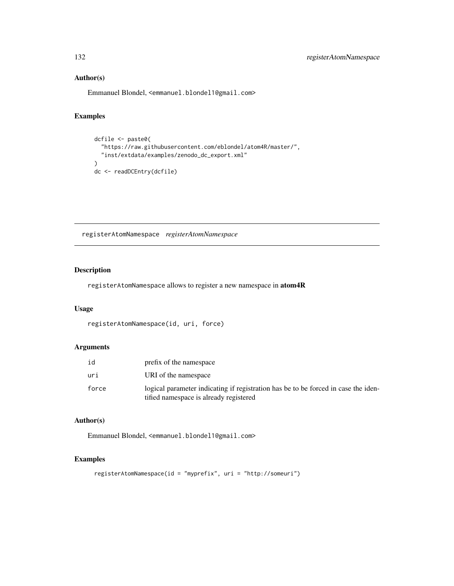# Author(s)

Emmanuel Blondel, <emmanuel.blondel1@gmail.com>

# Examples

```
dcfile <- paste0(
  "https://raw.githubusercontent.com/eblondel/atom4R/master/",
  "inst/extdata/examples/zenodo_dc_export.xml"
\mathcal{L}dc <- readDCEntry(dcfile)
```
registerAtomNamespace *registerAtomNamespace*

# Description

registerAtomNamespace allows to register a new namespace in atom4R

#### Usage

```
registerAtomNamespace(id, uri, force)
```
# Arguments

| id    | prefix of the namespace                                                                                                      |
|-------|------------------------------------------------------------------------------------------------------------------------------|
| uri   | URI of the namespace                                                                                                         |
| force | logical parameter indicating if registration has be to be forced in case the iden-<br>tified namespace is already registered |

# Author(s)

Emmanuel Blondel, <emmanuel.blondel1@gmail.com>

# Examples

```
registerAtomNamespace(id = "myprefix", uri = "http://someuri")
```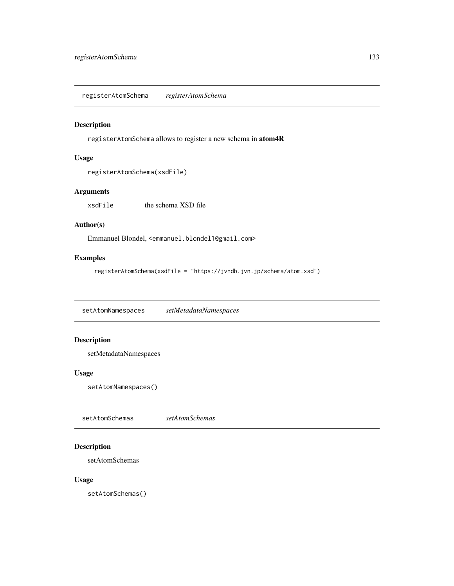registerAtomSchema *registerAtomSchema*

#### Description

registerAtomSchema allows to register a new schema in atom4R

## Usage

registerAtomSchema(xsdFile)

# Arguments

xsdFile the schema XSD file

# Author(s)

Emmanuel Blondel, <emmanuel.blondel1@gmail.com>

# Examples

registerAtomSchema(xsdFile = "https://jvndb.jvn.jp/schema/atom.xsd")

setAtomNamespaces *setMetadataNamespaces*

# Description

setMetadataNamespaces

## Usage

setAtomNamespaces()

setAtomSchemas *setAtomSchemas*

# Description

setAtomSchemas

# Usage

setAtomSchemas()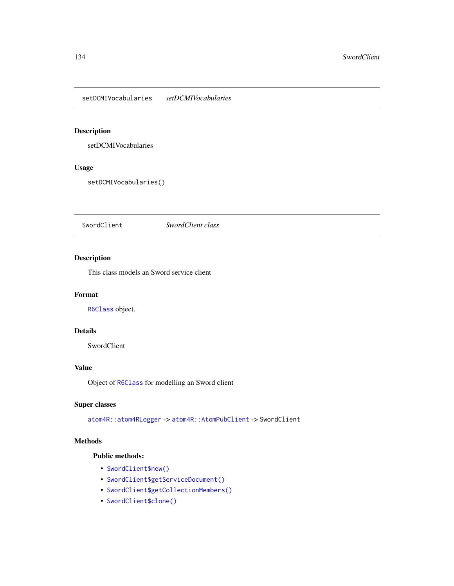setDCMIVocabularies *setDCMIVocabularies*

# Description

setDCMIVocabularies

# Usage

setDCMIVocabularies()

<span id="page-133-1"></span>SwordClient *SwordClient class*

# Description

This class models an Sword service client

# Format

[R6Class](#page-0-0) object.

# Details

SwordClient

# Value

Object of [R6Class](#page-0-0) for modelling an Sword client

# Super classes

[atom4R::atom4RLogger](#page-0-0) -> [atom4R::AtomPubClient](#page-0-0) -> SwordClient

# Methods

# Public methods:

- [SwordClient\\$new\(\)](#page-133-0)
- [SwordClient\\$getServiceDocument\(\)](#page-134-0)
- [SwordClient\\$getCollectionMembers\(\)](#page-134-1)
- <span id="page-133-0"></span>• [SwordClient\\$clone\(\)](#page-134-2)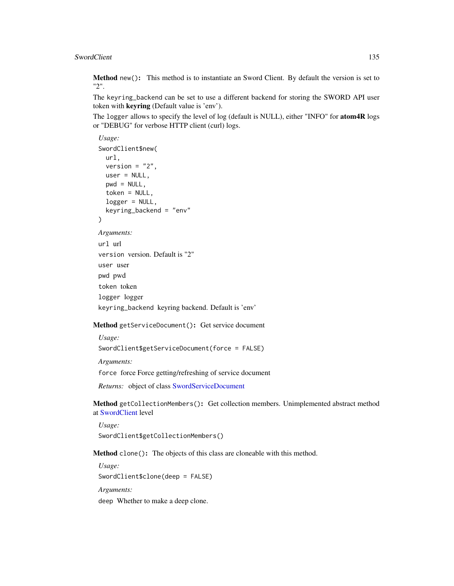Method new(): This method is to instantiate an Sword Client. By default the version is set to "2".

The keyring\_backend can be set to use a different backend for storing the SWORD API user token with keyring (Default value is 'env').

The logger allows to specify the level of log (default is NULL), either "INFO" for **atom4R** logs or "DEBUG" for verbose HTTP client (curl) logs.

```
Usage:
SwordClient$new(
 url,
 version = "2",
 user = NULL,
 pwd = NULL,
 token = NULL,
 logger = NULL,
 keyring_backend = "env"
)
```

```
Arguments:
```

```
url url
version version. Default is "2"
user user
pwd pwd
token token
logger logger
keyring_backend keyring backend. Default is 'env'
```
<span id="page-134-0"></span>Method getServiceDocument(): Get service document

*Usage:*

```
SwordClient$getServiceDocument(force = FALSE)
```
*Arguments:*

force force Force getting/refreshing of service document

*Returns:* object of class [SwordServiceDocument](#page-141-0)

<span id="page-134-1"></span>Method getCollectionMembers(): Get collection members. Unimplemented abstract method at [SwordClient](#page-133-1) level

```
Usage:
SwordClient$getCollectionMembers()
```
<span id="page-134-2"></span>Method clone(): The objects of this class are cloneable with this method.

*Usage:* SwordClient\$clone(deep = FALSE) *Arguments:* deep Whether to make a deep clone.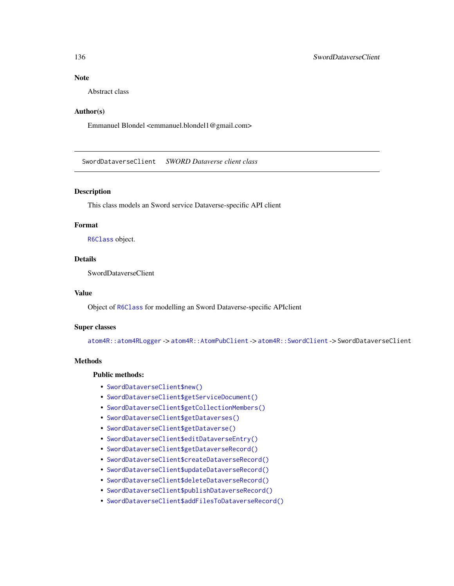# Note

Abstract class

# Author(s)

Emmanuel Blondel <emmanuel.blondel1@gmail.com>

SwordDataverseClient *SWORD Dataverse client class*

# Description

This class models an Sword service Dataverse-specific API client

# Format

[R6Class](#page-0-0) object.

# Details

SwordDataverseClient

# Value

Object of [R6Class](#page-0-0) for modelling an Sword Dataverse-specific APIclient

#### Super classes

[atom4R::atom4RLogger](#page-0-0) -> [atom4R::AtomPubClient](#page-0-0) -> [atom4R::SwordClient](#page-0-0) -> SwordDataverseClient

#### Methods

## Public methods:

- [SwordDataverseClient\\$new\(\)](#page-136-0)
- [SwordDataverseClient\\$getServiceDocument\(\)](#page-136-1)
- [SwordDataverseClient\\$getCollectionMembers\(\)](#page-136-2)
- [SwordDataverseClient\\$getDataverses\(\)](#page-136-3)
- [SwordDataverseClient\\$getDataverse\(\)](#page-136-4)
- [SwordDataverseClient\\$editDataverseEntry\(\)](#page-137-0)
- [SwordDataverseClient\\$getDataverseRecord\(\)](#page-137-1)
- [SwordDataverseClient\\$createDataverseRecord\(\)](#page-137-2)
- [SwordDataverseClient\\$updateDataverseRecord\(\)](#page-137-3)
- [SwordDataverseClient\\$deleteDataverseRecord\(\)](#page-137-4)
- [SwordDataverseClient\\$publishDataverseRecord\(\)](#page-138-0)
- [SwordDataverseClient\\$addFilesToDataverseRecord\(\)](#page-138-1)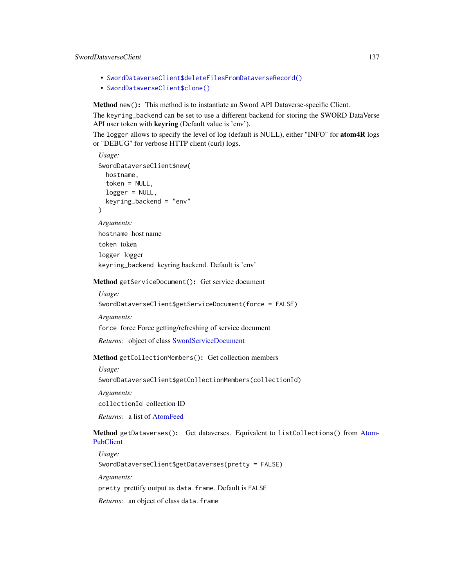# SwordDataverseClient 137

- [SwordDataverseClient\\$deleteFilesFromDataverseRecord\(\)](#page-138-2)
- [SwordDataverseClient\\$clone\(\)](#page-138-3)

<span id="page-136-0"></span>Method new(): This method is to instantiate an Sword API Dataverse-specific Client.

The keyring\_backend can be set to use a different backend for storing the SWORD DataVerse API user token with keyring (Default value is 'env').

The logger allows to specify the level of log (default is NULL), either "INFO" for **atom4R** logs or "DEBUG" for verbose HTTP client (curl) logs.

```
Usage:
SwordDataverseClient$new(
  hostname,
  token = NULL,
  logger = NULL,
  keyring_backend = "env"
)
Arguments:
```
hostname host name token token logger logger keyring\_backend keyring backend. Default is 'env'

<span id="page-136-1"></span>Method getServiceDocument(): Get service document

*Usage:*

SwordDataverseClient\$getServiceDocument(force = FALSE)

*Arguments:*

force force Force getting/refreshing of service document

*Returns:* object of class [SwordServiceDocument](#page-141-0)

<span id="page-136-2"></span>Method getCollectionMembers(): Get collection members

*Usage:*

SwordDataverseClient\$getCollectionMembers(collectionId)

*Arguments:*

collectionId collection ID

*Returns:* a list of [AtomFeed](#page-19-0)

<span id="page-136-3"></span>Method getDataverses(): Get dataverses. Equivalent to listCollections() from [Atom-](#page-32-0)[PubClient](#page-32-0)

*Usage:*

SwordDataverseClient\$getDataverses(pretty = FALSE)

*Arguments:*

pretty prettify output as data.frame. Default is FALSE

<span id="page-136-4"></span>*Returns:* an object of class data.frame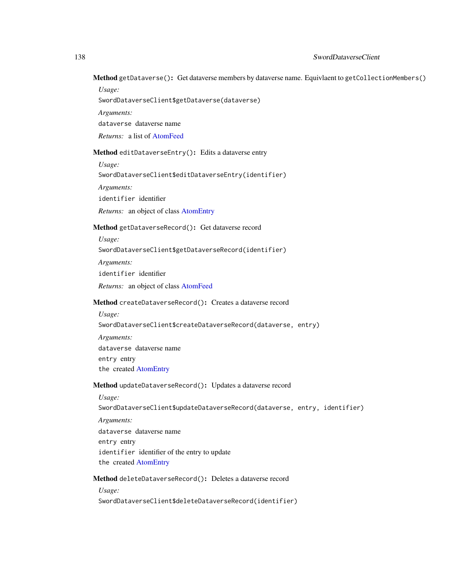Method getDataverse(): Get dataverse members by dataverse name. Equivlaent to getCollectionMembers()

*Usage:*

SwordDataverseClient\$getDataverse(dataverse)

*Arguments:*

dataverse dataverse name

*Returns:* a list of [AtomFeed](#page-19-0)

<span id="page-137-0"></span>Method editDataverseEntry(): Edits a dataverse entry

*Usage:*

SwordDataverseClient\$editDataverseEntry(identifier)

*Arguments:*

identifier identifier

*Returns:* an object of class [AtomEntry](#page-14-0)

# <span id="page-137-1"></span>Method getDataverseRecord(): Get dataverse record

*Usage:*

SwordDataverseClient\$getDataverseRecord(identifier)

*Arguments:*

identifier identifier

*Returns:* an object of class [AtomFeed](#page-19-0)

## <span id="page-137-2"></span>Method createDataverseRecord(): Creates a dataverse record

*Usage:* SwordDataverseClient\$createDataverseRecord(dataverse, entry) *Arguments:* dataverse dataverse name entry entry

the created [AtomEntry](#page-14-0)

#### <span id="page-137-3"></span>Method updateDataverseRecord(): Updates a dataverse record

*Usage:*

SwordDataverseClient\$updateDataverseRecord(dataverse, entry, identifier)

*Arguments:*

dataverse dataverse name

entry entry

identifier identifier of the entry to update

the created [AtomEntry](#page-14-0)

# <span id="page-137-4"></span>Method deleteDataverseRecord(): Deletes a dataverse record

*Usage:*

SwordDataverseClient\$deleteDataverseRecord(identifier)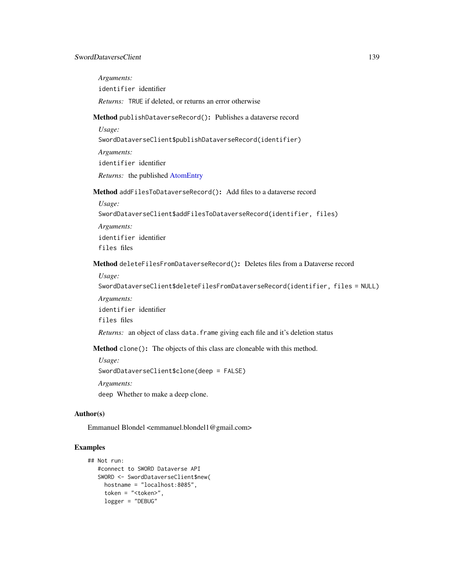<span id="page-138-1"></span><span id="page-138-0"></span>*Arguments:* identifier identifier *Returns:* TRUE if deleted, or returns an error otherwise Method publishDataverseRecord(): Publishes a dataverse record *Usage:* SwordDataverseClient\$publishDataverseRecord(identifier) *Arguments:* identifier identifier *Returns:* the published [AtomEntry](#page-14-0) Method addFilesToDataverseRecord(): Add files to a dataverse record *Usage:* SwordDataverseClient\$addFilesToDataverseRecord(identifier, files) *Arguments:* identifier identifier files files Method deleteFilesFromDataverseRecord(): Deletes files from a Dataverse record *Usage:* SwordDataverseClient\$deleteFilesFromDataverseRecord(identifier, files = NULL) *Arguments:* identifier identifier files files *Returns:* an object of class data. frame giving each file and it's deletion status Method clone(): The objects of this class are cloneable with this method. *Usage:* SwordDataverseClient\$clone(deep = FALSE) *Arguments:*

<span id="page-138-3"></span><span id="page-138-2"></span>deep Whether to make a deep clone.

#### Author(s)

Emmanuel Blondel <emmanuel.blondel1@gmail.com>

# Examples

```
## Not run:
   #connect to SWORD Dataverse API
   SWORD <- SwordDataverseClient$new(
    hostname = "localhost:8085",
    token = "<token>",
    logger = "DEBUG"
```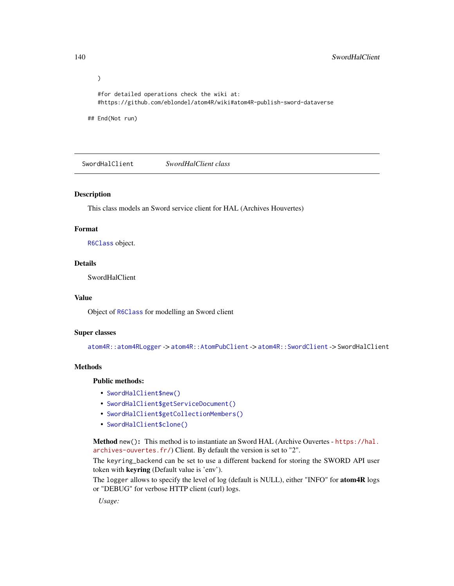$\mathcal{L}$ #for detailed operations check the wiki at: #https://github.com/eblondel/atom4R/wiki#atom4R-publish-sword-dataverse

## End(Not run)

SwordHalClient *SwordHalClient class*

## Description

This class models an Sword service client for HAL (Archives Houvertes)

# Format

[R6Class](#page-0-0) object.

#### Details

SwordHalClient

# Value

Object of [R6Class](#page-0-0) for modelling an Sword client

#### Super classes

[atom4R::atom4RLogger](#page-0-0) -> [atom4R::AtomPubClient](#page-0-0) -> [atom4R::SwordClient](#page-0-0) -> SwordHalClient

# Methods

#### Public methods:

- [SwordHalClient\\$new\(\)](#page-139-0)
- [SwordHalClient\\$getServiceDocument\(\)](#page-140-0)
- [SwordHalClient\\$getCollectionMembers\(\)](#page-140-1)
- [SwordHalClient\\$clone\(\)](#page-140-2)

<span id="page-139-0"></span>Method new(): This method is to instantiate an Sword HAL (Archive Ouvertes - [https://hal.](https://hal.archives-ouvertes.fr/) [archives-ouvertes.fr/](https://hal.archives-ouvertes.fr/)) Client. By default the version is set to "2".

The keyring\_backend can be set to use a different backend for storing the SWORD API user token with keyring (Default value is 'env').

The logger allows to specify the level of log (default is NULL), either "INFO" for **atom4R** logs or "DEBUG" for verbose HTTP client (curl) logs.

*Usage:*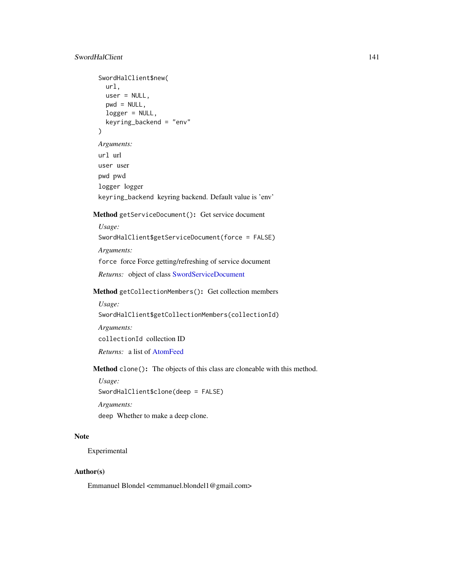# SwordHalClient 141

```
SwordHalClient$new(
   url,
   user = NULL,
   pwd = NULL,logger = NULL,
   keyring_backend = "env"
 )
 Arguments:
 url url
 user user
 pwd pwd
 logger logger
 keyring_backend keyring backend. Default value is 'env'
Method getServiceDocument(): Get service document
 Usage:
 SwordHalClient$getServiceDocument(force = FALSE)
 Arguments:
 force force Force getting/refreshing of service document
 Returns: object of class SwordServiceDocument
```
<span id="page-140-1"></span><span id="page-140-0"></span>Method getCollectionMembers(): Get collection members

```
Usage:
SwordHalClient$getCollectionMembers(collectionId)
Arguments:
collectionId collection ID
```
*Returns:* a list of [AtomFeed](#page-19-0)

<span id="page-140-2"></span>Method clone(): The objects of this class are cloneable with this method.

*Usage:* SwordHalClient\$clone(deep = FALSE) *Arguments:*

deep Whether to make a deep clone.

# Note

Experimental

# Author(s)

Emmanuel Blondel <emmanuel.blondel1@gmail.com>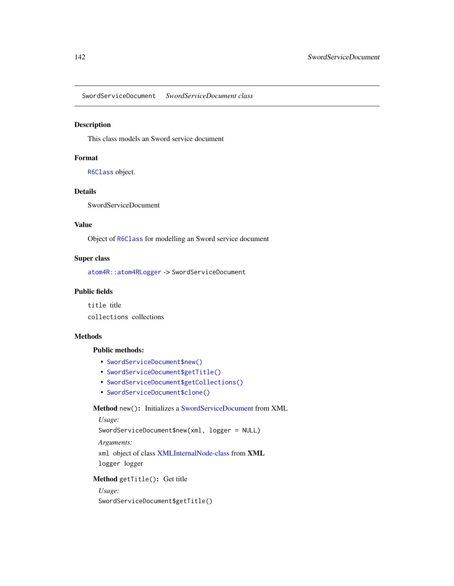<span id="page-141-0"></span>SwordServiceDocument *SwordServiceDocument class*

## Description

This class models an Sword service document

## Format

[R6Class](#page-0-0) object.

# Details

SwordServiceDocument

# Value

Object of [R6Class](#page-0-0) for modelling an Sword service document

# Super class

[atom4R::atom4RLogger](#page-0-0) -> SwordServiceDocument

# Public fields

title title collections collections

# Methods

# Public methods:

- [SwordServiceDocument\\$new\(\)](#page-141-1)
- [SwordServiceDocument\\$getTitle\(\)](#page-141-2)
- [SwordServiceDocument\\$getCollections\(\)](#page-142-0)
- [SwordServiceDocument\\$clone\(\)](#page-142-1)

# <span id="page-141-1"></span>Method new(): Initializes a [SwordServiceDocument](#page-141-0) from XML

# *Usage:*

SwordServiceDocument\$new(xml, logger = NULL)

*Arguments:*

xml object of class [XMLInternalNode-class](#page-0-0) from XML logger logger

# <span id="page-141-2"></span>Method getTitle(): Get title

*Usage:* SwordServiceDocument\$getTitle()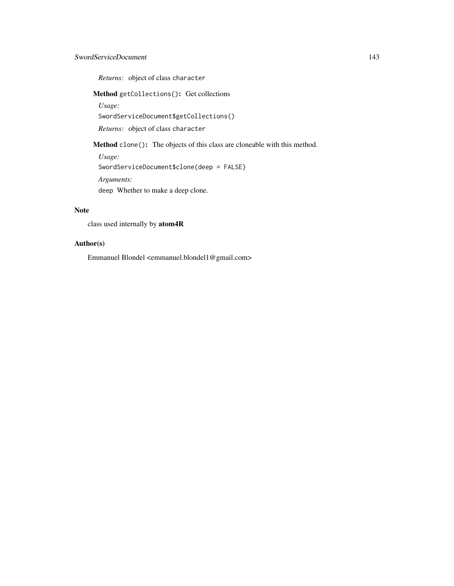# SwordServiceDocument 143

*Returns:* object of class character

<span id="page-142-0"></span>Method getCollections(): Get collections

*Usage:*

SwordServiceDocument\$getCollections()

*Returns:* object of class character

<span id="page-142-1"></span>Method clone(): The objects of this class are cloneable with this method.

*Usage:* SwordServiceDocument\$clone(deep = FALSE) *Arguments:*

deep Whether to make a deep clone.

# Note

class used internally by atom4R

# Author(s)

Emmanuel Blondel <emmanuel.blondel1@gmail.com>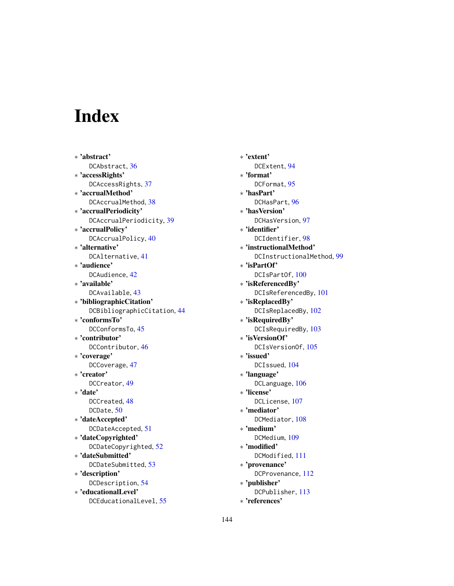# **Index**

∗ 'abstract' DCAbstract, [36](#page-35-0) ∗ 'accessRights' DCAccessRights, [37](#page-36-0) ∗ 'accrualMethod' DCAccrualMethod, [38](#page-37-0) ∗ 'accrualPeriodicity' DCAccrualPeriodicity, [39](#page-38-0) ∗ 'accrualPolicy' DCAccrualPolicy, [40](#page-39-0) ∗ 'alternative' DCAlternative, [41](#page-40-0) ∗ 'audience' DCAudience, [42](#page-41-0) ∗ 'available' DCAvailable, [43](#page-42-0) ∗ 'bibliographicCitation' DCBibliographicCitation, [44](#page-43-0) ∗ 'conformsTo' DCConformsTo, [45](#page-44-0) ∗ 'contributor' DCContributor, [46](#page-45-0) ∗ 'coverage' DCCoverage, [47](#page-46-0) ∗ 'creator' DCCreator, [49](#page-48-0) ∗ 'date' DCCreated, [48](#page-47-0) DCDate, [50](#page-49-0) ∗ 'dateAccepted' DCDateAccepted, [51](#page-50-0) ∗ 'dateCopyrighted' DCDateCopyrighted, [52](#page-51-0) ∗ 'dateSubmitted' DCDateSubmitted, [53](#page-52-0) ∗ 'description' DCDescription, [54](#page-53-0) ∗ 'educationalLevel' DCEducationalLevel, [55](#page-54-0)

∗ 'extent' DCExtent, [94](#page-93-0) ∗ 'format' DCFormat, [95](#page-94-0) ∗ 'hasPart' DCHasPart, [96](#page-95-0) ∗ 'hasVersion' DCHasVersion, [97](#page-96-0) ∗ 'identifier' DCIdentifier, [98](#page-97-0) ∗ 'instructionalMethod' DCInstructionalMethod, [99](#page-98-0) ∗ 'isPartOf' DCIsPartOf, [100](#page-99-0) ∗ 'isReferencedBy' DCIsReferencedBy, [101](#page-100-0) ∗ 'isReplacedBy' DCIsReplacedBy, [102](#page-101-0) ∗ 'isRequiredBy' DCIsRequiredBy, [103](#page-102-0) ∗ 'isVersionOf' DCIsVersionOf, [105](#page-104-0) ∗ 'issued' DCIssued, [104](#page-103-0) ∗ 'language' DCLanguage, [106](#page-105-0) ∗ 'license' DCLicense, [107](#page-106-0) ∗ 'mediator' DCMediator, [108](#page-107-0) ∗ 'medium' DCMedium, [109](#page-108-3) ∗ 'modified' DCModified, [111](#page-110-4) ∗ 'provenance' DCProvenance, [112](#page-111-3) ∗ 'publisher' DCPublisher, [113](#page-112-2) ∗ 'references'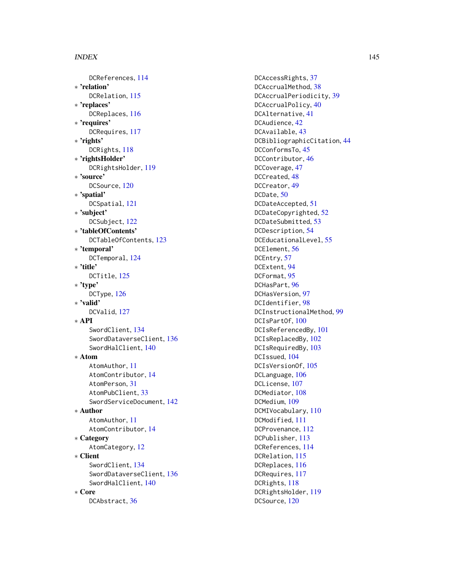## INDEX 145

DCReferences , [114](#page-113-0) ∗ 'relation' DCRelation, [115](#page-114-0) ∗ 'replaces' DCReplaces , [116](#page-115-0) ∗ 'requires' DCRequires , [117](#page-116-0) ∗ 'rights' DCRights, [118](#page-117-0) ∗ 'rightsHolder' DCRightsHolder , [119](#page-118-0) ∗ 'source' DCSource, [120](#page-119-0) ∗ 'spatial' DCSpatial , [121](#page-120-0) ∗ 'subject' DCSubject , [122](#page-121-0) ∗ 'tableOfContents' DCTableOfContents , [123](#page-122-0) ∗ 'temporal' DCTemporal , [124](#page-123-0) ∗ 'title' DCTitle, [125](#page-124-0) ∗ 'type' DCType, [126](#page-125-0) ∗ 'valid' DCValid, [127](#page-126-0) ∗ API SwordClient , [134](#page-133-0) SwordDataverseClient , [136](#page-135-0) SwordHalClient , [140](#page-139-0) ∗ Atom AtomAuthor , [11](#page-10-0) AtomContributor , [14](#page-13-0) AtomPerson , [31](#page-30-0) AtomPubClient, [33](#page-32-0) SwordServiceDocument , [142](#page-141-0) ∗ Author AtomAuthor , [11](#page-10-0) AtomContributor , [14](#page-13-0) ∗ Category AtomCategory, [12](#page-11-0) ∗ Client SwordClient , [134](#page-133-0) SwordDataverseClient , [136](#page-135-0) SwordHalClient , [140](#page-139-0) ∗ Core DCAbstract, [36](#page-35-0)

DCAccessRights, [37](#page-36-0) DCAccrualMethod, [38](#page-37-0) DCAccrualPeriodicity, [39](#page-38-0) DCAccrualPolicy, [40](#page-39-0) DCAlternative , [41](#page-40-0) DCAudience , [42](#page-41-0) DCAvailable, [43](#page-42-0) DCBibliographicCitation , [44](#page-43-0) DCConformsTo, [45](#page-44-0) DCContributor, [46](#page-45-0) DCCoverage , [47](#page-46-0) DCCreated, [48](#page-47-0) DCCreator , [49](#page-48-0) DCDate , [50](#page-49-0) DCDateAccepted , [51](#page-50-0) DCDateCopyrighted, [52](#page-51-0) DCDateSubmitted , [53](#page-52-0) DCDescription, [54](#page-53-0) DCEducationalLevel , [55](#page-54-0) DCElement , [56](#page-55-0) DCEntry, [57](#page-56-0) DCExtent , [94](#page-93-0) DCFormat, [95](#page-94-0) DCHasPart , [96](#page-95-0) DCHasVersion, [97](#page-96-0) DCIdentifier , [98](#page-97-0) DCInstructionalMethod, [99](#page-98-0) DCIsPartOf,  $100$ DCIsReferencedBy , [101](#page-100-0) DCIsReplacedBy,  $102$ DCIsRequiredBy, [103](#page-102-0) DCIssued, [104](#page-103-0) DCIsVersionOf, [105](#page-104-0) DCLanguage, [106](#page-105-0) DCLicense , [107](#page-106-0) DCMediator, [108](#page-107-0) DCMedium , [109](#page-108-0) DCMIVocabulary, [110](#page-109-0) DCModified , [111](#page-110-0) DCProvenance, [112](#page-111-0) DCPublisher , [113](#page-112-0) DCReferences , [114](#page-113-0) DCRelation, [115](#page-114-0) DCReplaces , [116](#page-115-0) DCRequires , [117](#page-116-0) DCRights, [118](#page-117-0) DCRightsHolder , [119](#page-118-0) DCSource, [120](#page-119-0)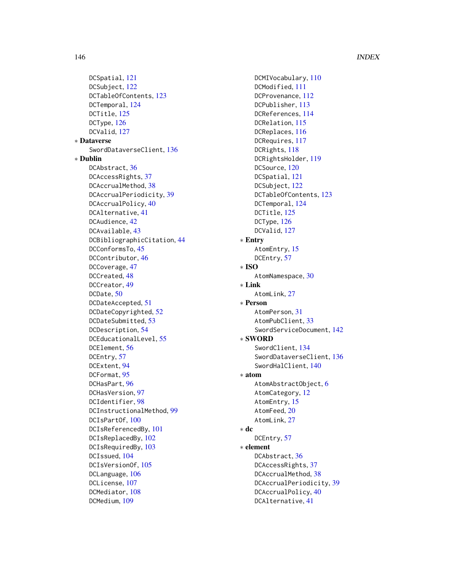DCSpatial, [121](#page-120-0) DCSubject, [122](#page-121-0) DCTableOfContents, [123](#page-122-0) DCTemporal, [124](#page-123-0) DCTitle, [125](#page-124-0) DCType, [126](#page-125-0) DCValid, [127](#page-126-0) ∗ Dataverse SwordDataverseClient, [136](#page-135-0) ∗ Dublin DCAbstract, [36](#page-35-0) DCAccessRights, [37](#page-36-0) DCAccrualMethod, [38](#page-37-0) DCAccrualPeriodicity, [39](#page-38-0) DCAccrualPolicy, [40](#page-39-0) DCAlternative, [41](#page-40-0) DCAudience, [42](#page-41-0) DCAvailable, [43](#page-42-0) DCBibliographicCitation, [44](#page-43-0) DCConformsTo, [45](#page-44-0) DCContributor, [46](#page-45-0) DCCoverage, [47](#page-46-0) DCCreated, [48](#page-47-0) DCCreator, [49](#page-48-0) DCDate, [50](#page-49-0) DCDateAccepted, [51](#page-50-0) DCDateCopyrighted, [52](#page-51-0) DCDateSubmitted, [53](#page-52-0) DCDescription, [54](#page-53-0) DCEducationalLevel, [55](#page-54-0) DCElement, [56](#page-55-0) DCEntry, [57](#page-56-0) DCExtent, [94](#page-93-0) DCFormat, [95](#page-94-0) DCHasPart, [96](#page-95-0) DCHasVersion, [97](#page-96-0) DCIdentifier, [98](#page-97-0) DCInstructionalMethod, [99](#page-98-0) DCIsPartOf, [100](#page-99-0) DCIsReferencedBy, [101](#page-100-0) DCIsReplacedBy, [102](#page-101-0) DCIsRequiredBy, [103](#page-102-0) DCIssued, [104](#page-103-0) DCIsVersionOf, [105](#page-104-0) DCLanguage, [106](#page-105-0) DCLicense, [107](#page-106-0) DCMediator, [108](#page-107-0) DCMedium, [109](#page-108-0)

DCMIVocabulary, [110](#page-109-0) DCModified, [111](#page-110-0) DCProvenance, [112](#page-111-0) DCPublisher, [113](#page-112-0) DCReferences, [114](#page-113-0) DCRelation, [115](#page-114-0) DCReplaces, [116](#page-115-0) DCRequires, [117](#page-116-0) DCRights, [118](#page-117-0) DCRightsHolder, [119](#page-118-0) DCSource, [120](#page-119-0) DCSpatial, [121](#page-120-0) DCSubject, [122](#page-121-0) DCTableOfContents, [123](#page-122-0) DCTemporal, [124](#page-123-0) DCTitle, [125](#page-124-0) DCType, [126](#page-125-0) DCValid, [127](#page-126-0) ∗ Entry AtomEntry, [15](#page-14-0) DCEntry, [57](#page-56-0) ∗ ISO AtomNamespace, [30](#page-29-0) ∗ Link AtomLink, [27](#page-26-0) ∗ Person AtomPerson, [31](#page-30-0) AtomPubClient, [33](#page-32-0) SwordServiceDocument, [142](#page-141-0) ∗ SWORD SwordClient, [134](#page-133-0) SwordDataverseClient, [136](#page-135-0) SwordHalClient, [140](#page-139-0) ∗ atom AtomAbstractObject, [6](#page-5-0) AtomCategory, [12](#page-11-0) AtomEntry, [15](#page-14-0) AtomFeed, [20](#page-19-0) AtomLink, [27](#page-26-0) ∗ dc DCEntry, [57](#page-56-0) ∗ element DCAbstract, [36](#page-35-0) DCAccessRights, [37](#page-36-0) DCAccrualMethod, [38](#page-37-0) DCAccrualPeriodicity, [39](#page-38-0) DCAccrualPolicy, [40](#page-39-0) DCAlternative, [41](#page-40-0)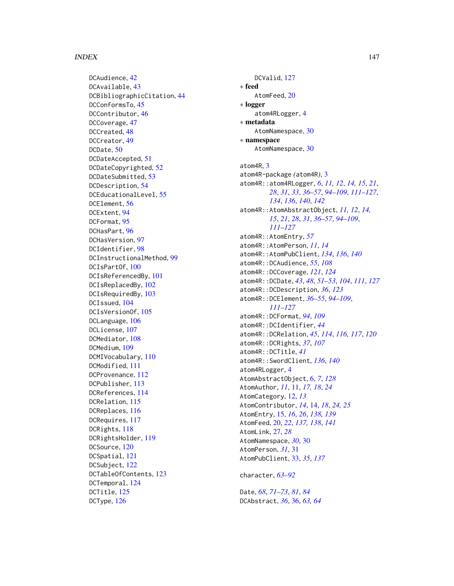### INDEX 147

DCAudience, [42](#page-41-0) DCAvailable, [43](#page-42-0) DCBibliographicCitation, [44](#page-43-0) DCConformsTo, [45](#page-44-0) DCContributor, [46](#page-45-0) DCCoverage, [47](#page-46-0) DCCreated, [48](#page-47-0) DCCreator, [49](#page-48-0) DCDate, [50](#page-49-0) DCDateAccepted, [51](#page-50-0) DCDateCopyrighted, [52](#page-51-0) DCDateSubmitted, [53](#page-52-0) DCDescription, [54](#page-53-0) DCEducationalLevel, [55](#page-54-0) DCElement, [56](#page-55-0) DCExtent, [94](#page-93-0) DCFormat, [95](#page-94-0) DCHasPart, [96](#page-95-0) DCHasVersion, [97](#page-96-0) DCIdentifier, [98](#page-97-0) DCInstructionalMethod, [99](#page-98-0) DCIsPartOf, [100](#page-99-0) DCIsReferencedBy, [101](#page-100-0) DCIsReplacedBy, [102](#page-101-0) DCIsRequiredBy, [103](#page-102-0) DCIssued, [104](#page-103-0) DCIsVersionOf, [105](#page-104-0) DCLanguage, [106](#page-105-0) DCLicense, [107](#page-106-0) DCMediator, [108](#page-107-0) DCMedium, [109](#page-108-0) DCMIVocabulary, [110](#page-109-0) DCModified, [111](#page-110-0) DCProvenance, [112](#page-111-0) DCPublisher, [113](#page-112-0) DCReferences, [114](#page-113-0) DCRelation, [115](#page-114-0) DCReplaces, [116](#page-115-0) DCRequires, [117](#page-116-0) DCRights, [118](#page-117-0) DCRightsHolder, [119](#page-118-0) DCSource, [120](#page-119-0) DCSpatial, [121](#page-120-0) DCSubject, [122](#page-121-0) DCTableOfContents, [123](#page-122-0) DCTemporal, [124](#page-123-0) DCTitle, [125](#page-124-0) DCType, [126](#page-125-0)

DCValid, [127](#page-126-0) ∗ feed AtomFeed, [20](#page-19-0) ∗ logger atom4RLogger, [4](#page-3-0) ∗ metadata AtomNamespace, [30](#page-29-0) ∗ namespace AtomNamespace, [30](#page-29-0) atom4R, [3](#page-2-0) atom4R-package *(*atom4R*)*, [3](#page-2-0) atom4R::atom4RLogger, *[6](#page-5-0)*, *[11,](#page-10-0) [12](#page-11-0)*, *[14,](#page-13-0) [15](#page-14-0)*, *[21](#page-20-0)*, *[28](#page-27-0)*, *[31](#page-30-0)*, *[33](#page-32-0)*, *[36](#page-35-0)[–57](#page-56-0)*, *[94](#page-93-0)[–109](#page-108-0)*, *[111](#page-110-0)[–127](#page-126-0)*, *[134](#page-133-0)*, *[136](#page-135-0)*, *[140](#page-139-0)*, *[142](#page-141-0)* atom4R::AtomAbstractObject, *[11,](#page-10-0) [12](#page-11-0)*, *[14,](#page-13-0) [15](#page-14-0)*, *[21](#page-20-0)*, *[28](#page-27-0)*, *[31](#page-30-0)*, *[36](#page-35-0)[–57](#page-56-0)*, *[94](#page-93-0)[–109](#page-108-0)*, *[111](#page-110-0)[–127](#page-126-0)* atom4R::AtomEntry, *[57](#page-56-0)* atom4R::AtomPerson, *[11](#page-10-0)*, *[14](#page-13-0)* atom4R::AtomPubClient, *[134](#page-133-0)*, *[136](#page-135-0)*, *[140](#page-139-0)* atom4R::DCAudience, *[55](#page-54-0)*, *[108](#page-107-0)* atom4R::DCCoverage, *[121](#page-120-0)*, *[124](#page-123-0)* atom4R::DCDate, *[43](#page-42-0)*, *[48](#page-47-0)*, *[51–](#page-50-0)[53](#page-52-0)*, *[104](#page-103-0)*, *[111](#page-110-0)*, *[127](#page-126-0)* atom4R::DCDescription, *[36](#page-35-0)*, *[123](#page-122-0)* atom4R::DCElement, *[36](#page-35-0)[–55](#page-54-0)*, *[94](#page-93-0)[–109](#page-108-0)*, *[111](#page-110-0)[–127](#page-126-0)* atom4R::DCFormat, *[94](#page-93-0)*, *[109](#page-108-0)* atom4R::DCIdentifier, *[44](#page-43-0)* atom4R::DCRelation, *[45](#page-44-0)*, *[114](#page-113-0)*, *[116,](#page-115-0) [117](#page-116-0)*, *[120](#page-119-0)* atom4R::DCRights, *[37](#page-36-0)*, *[107](#page-106-0)* atom4R::DCTitle, *[41](#page-40-0)* atom4R::SwordClient, *[136](#page-135-0)*, *[140](#page-139-0)* atom4RLogger, [4](#page-3-0) AtomAbstractObject, [6,](#page-5-0) *[7](#page-6-0)*, *[128](#page-127-0)* AtomAuthor, *[11](#page-10-0)*, [11,](#page-10-0) *[17,](#page-16-0) [18](#page-17-0)*, *[24](#page-23-0)* AtomCategory, [12,](#page-11-0) *[13](#page-12-0)* AtomContributor, *[14](#page-13-0)*, [14,](#page-13-0) *[18](#page-17-0)*, *[24,](#page-23-0) [25](#page-24-0)* AtomEntry, [15,](#page-14-0) *[16](#page-15-0)*, *[26](#page-25-0)*, *[138,](#page-137-0) [139](#page-138-0)* AtomFeed, [20,](#page-19-0) *[22](#page-21-0)*, *[137,](#page-136-0) [138](#page-137-0)*, *[141](#page-140-0)* AtomLink, [27,](#page-26-0) *[28](#page-27-0)* AtomNamespace, *[30](#page-29-0)*, [30](#page-29-0) AtomPerson, *[31](#page-30-0)*, [31](#page-30-0) AtomPubClient, [33,](#page-32-0) *[35](#page-34-0)*, *[137](#page-136-0)* character, *[63](#page-62-0)[–92](#page-91-0)*

Date, *[68](#page-67-0)*, *[71](#page-70-0)[–73](#page-72-0)*, *[81](#page-80-0)*, *[84](#page-83-0)* DCAbstract, *[36](#page-35-0)*, [36,](#page-35-0) *[63,](#page-62-0) [64](#page-63-0)*